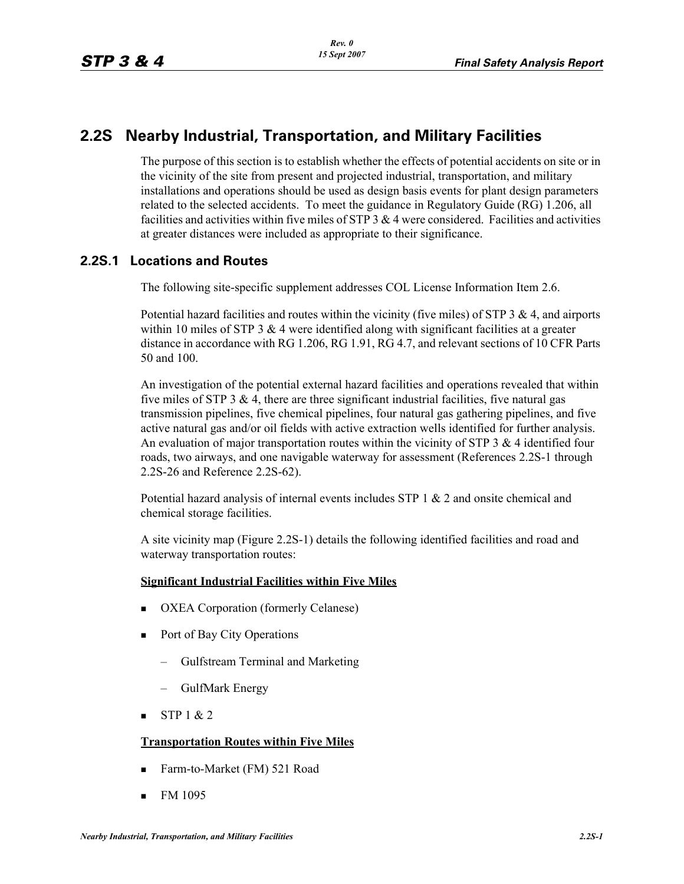# **2.2S Nearby Industrial, Transportation, and Military Facilities**

The purpose of this section is to establish whether the effects of potential accidents on site or in the vicinity of the site from present and projected industrial, transportation, and military installations and operations should be used as design basis events for plant design parameters related to the selected accidents. To meet the guidance in Regulatory Guide (RG) 1.206, all facilities and activities within five miles of STP  $3 \& 4$  were considered. Facilities and activities at greater distances were included as appropriate to their significance.

#### **2.2S.1 Locations and Routes**

The following site-specific supplement addresses COL License Information Item 2.6.

Potential hazard facilities and routes within the vicinity (five miles) of STP  $3 \& 4$ , and airports within 10 miles of STP 3  $\&$  4 were identified along with significant facilities at a greater distance in accordance with RG 1.206, RG 1.91, RG 4.7, and relevant sections of 10 CFR Parts 50 and 100.

An investigation of the potential external hazard facilities and operations revealed that within five miles of STP 3  $\&$  4, there are three significant industrial facilities, five natural gas transmission pipelines, five chemical pipelines, four natural gas gathering pipelines, and five active natural gas and/or oil fields with active extraction wells identified for further analysis. An evaluation of major transportation routes within the vicinity of STP 3  $\&$  4 identified four roads, two airways, and one navigable waterway for assessment (References 2.2S-1 through 2.2S-26 and Reference 2.2S-62).

Potential hazard analysis of internal events includes STP 1 & 2 and onsite chemical and chemical storage facilities.

A site vicinity map (Figure 2.2S-1) details the following identified facilities and road and waterway transportation routes:

#### **Significant Industrial Facilities within Five Miles**

- OXEA Corporation (formerly Celanese)
- Port of Bay City Operations
	- Gulfstream Terminal and Marketing
	- GulfMark Energy
- $\blacksquare$  STP 1 & 2

#### **Transportation Routes within Five Miles**

- Farm-to-Market (FM) 521 Road
- $\blacksquare$  FM 1095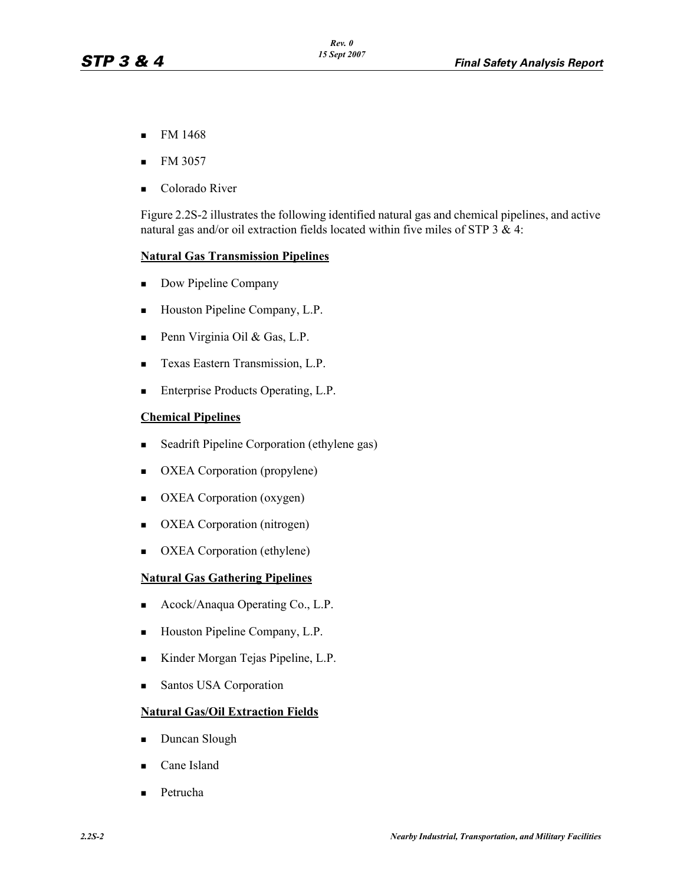- $\blacksquare$  FM 1468
- FM 3057
- Colorado River

Figure 2.2S-2 illustrates the following identified natural gas and chemical pipelines, and active natural gas and/or oil extraction fields located within five miles of STP  $3 \& 4$ :

#### **Natural Gas Transmission Pipelines**

- Dow Pipeline Company
- Houston Pipeline Company, L.P.
- Penn Virginia Oil & Gas, L.P.
- **Texas Eastern Transmission, L.P.**
- **Enterprise Products Operating, L.P.**

#### **Chemical Pipelines**

- **Seadrift Pipeline Corporation (ethylene gas)**
- OXEA Corporation (propylene)
- OXEA Corporation (oxygen)
- OXEA Corporation (nitrogen)
- OXEA Corporation (ethylene)

#### **Natural Gas Gathering Pipelines**

- Acock/Anaqua Operating Co., L.P.
- Houston Pipeline Company, L.P.
- Kinder Morgan Tejas Pipeline, L.P.
- **Santos USA Corporation**

#### **Natural Gas/Oil Extraction Fields**

- Duncan Slough
- Cane Island
- Petrucha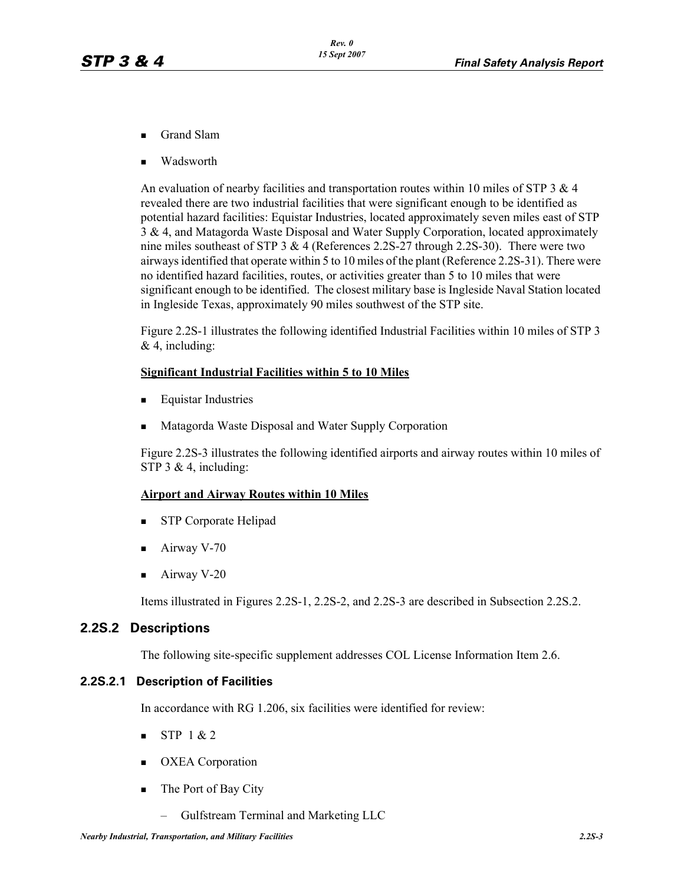- Grand Slam
- Wadsworth

An evaluation of nearby facilities and transportation routes within 10 miles of STP  $3 \& 4$ revealed there are two industrial facilities that were significant enough to be identified as potential hazard facilities: Equistar Industries, located approximately seven miles east of STP 3 & 4, and Matagorda Waste Disposal and Water Supply Corporation, located approximately nine miles southeast of STP 3  $\&$  4 (References 2.2S-27 through 2.2S-30). There were two airways identified that operate within 5 to 10 miles of the plant (Reference 2.2S-31). There were no identified hazard facilities, routes, or activities greater than 5 to 10 miles that were significant enough to be identified. The closest military base is Ingleside Naval Station located in Ingleside Texas, approximately 90 miles southwest of the STP site.

Figure 2.2S-1 illustrates the following identified Industrial Facilities within 10 miles of STP 3  $& 4$ , including:

#### **Significant Industrial Facilities within 5 to 10 Miles**

- **Equistar Industries**
- Matagorda Waste Disposal and Water Supply Corporation

Figure 2.2S-3 illustrates the following identified airports and airway routes within 10 miles of STP  $3 \& 4$ , including:

#### **Airport and Airway Routes within 10 Miles**

- **STP Corporate Helipad**
- $\blacksquare$  Airway V-70
- $\blacksquare$  Airway V-20

Items illustrated in Figures 2.2S-1, 2.2S-2, and 2.2S-3 are described in Subsection 2.2S.2.

#### **2.2S.2 Descriptions**

The following site-specific supplement addresses COL License Information Item 2.6.

#### **2.2S.2.1 Description of Facilities**

In accordance with RG 1.206, six facilities were identified for review:

- $STP 1 & 2$
- **COXEA** Corporation
- $\blacksquare$  The Port of Bay City
	- Gulfstream Terminal and Marketing LLC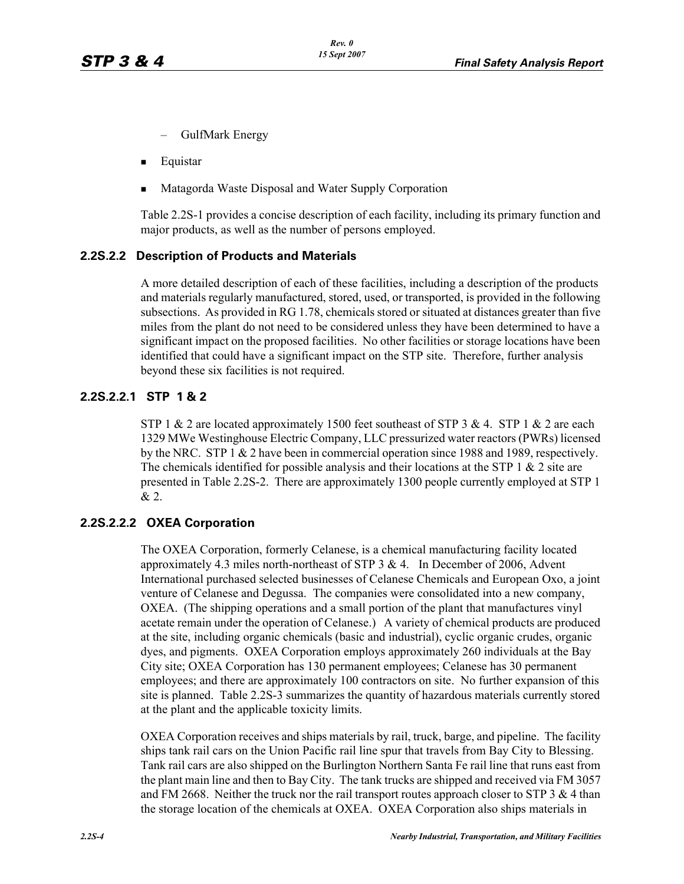- GulfMark Energy
- **Equistar**
- Matagorda Waste Disposal and Water Supply Corporation

Table 2.2S-1 provides a concise description of each facility, including its primary function and major products, as well as the number of persons employed.

#### **2.2S.2.2 Description of Products and Materials**

A more detailed description of each of these facilities, including a description of the products and materials regularly manufactured, stored, used, or transported, is provided in the following subsections. As provided in RG 1.78, chemicals stored or situated at distances greater than five miles from the plant do not need to be considered unless they have been determined to have a significant impact on the proposed facilities. No other facilities or storage locations have been identified that could have a significant impact on the STP site. Therefore, further analysis beyond these six facilities is not required.

#### **2.2S.2.2.1 STP 1 & 2**

STP 1  $\&$  2 are located approximately 1500 feet southeast of STP 3  $\&$  4. STP 1  $\&$  2 are each 1329 MWe Westinghouse Electric Company, LLC pressurized water reactors (PWRs) licensed by the NRC. STP 1 & 2 have been in commercial operation since 1988 and 1989, respectively. The chemicals identified for possible analysis and their locations at the STP 1  $\&$  2 site are presented in Table 2.2S-2. There are approximately 1300 people currently employed at STP 1 & 2.

#### **2.2S.2.2.2 OXEA Corporation**

The OXEA Corporation, formerly Celanese, is a chemical manufacturing facility located approximately 4.3 miles north-northeast of STP 3 & 4. In December of 2006, Advent International purchased selected businesses of Celanese Chemicals and European Oxo, a joint venture of Celanese and Degussa. The companies were consolidated into a new company, OXEA. (The shipping operations and a small portion of the plant that manufactures vinyl acetate remain under the operation of Celanese.) A variety of chemical products are produced at the site, including organic chemicals (basic and industrial), cyclic organic crudes, organic dyes, and pigments. OXEA Corporation employs approximately 260 individuals at the Bay City site; OXEA Corporation has 130 permanent employees; Celanese has 30 permanent employees; and there are approximately 100 contractors on site. No further expansion of this site is planned. Table 2.2S-3 summarizes the quantity of hazardous materials currently stored at the plant and the applicable toxicity limits.

OXEA Corporation receives and ships materials by rail, truck, barge, and pipeline. The facility ships tank rail cars on the Union Pacific rail line spur that travels from Bay City to Blessing. Tank rail cars are also shipped on the Burlington Northern Santa Fe rail line that runs east from the plant main line and then to Bay City. The tank trucks are shipped and received via FM 3057 and FM 2668. Neither the truck nor the rail transport routes approach closer to STP 3  $\&$  4 than the storage location of the chemicals at OXEA. OXEA Corporation also ships materials in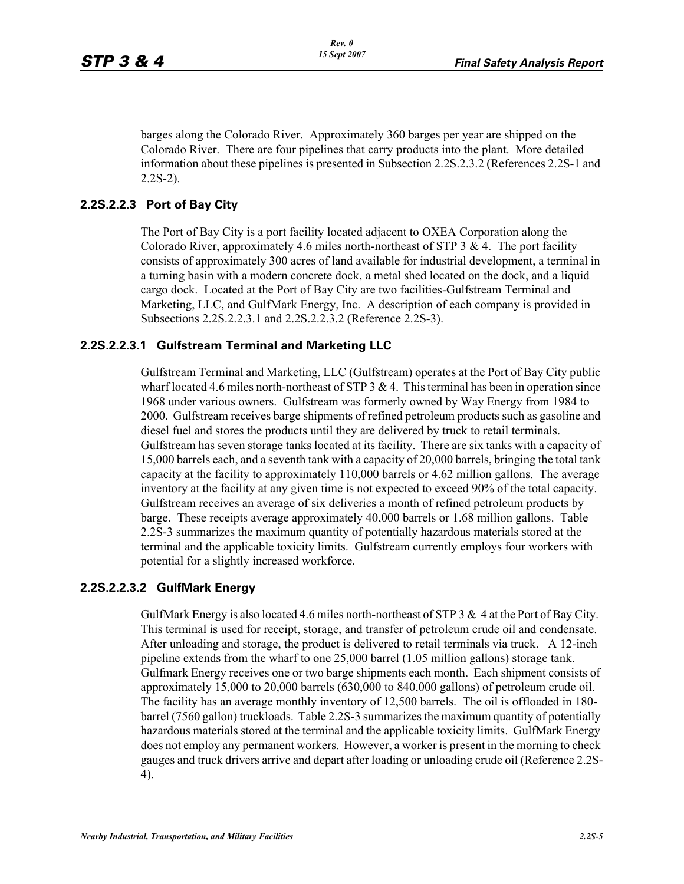barges along the Colorado River. Approximately 360 barges per year are shipped on the Colorado River. There are four pipelines that carry products into the plant. More detailed information about these pipelines is presented in Subsection 2.2S.2.3.2 (References 2.2S-1 and 2.2S-2).

#### **2.2S.2.2.3 Port of Bay City**

The Port of Bay City is a port facility located adjacent to OXEA Corporation along the Colorado River, approximately 4.6 miles north-northeast of STP 3  $\&$  4. The port facility consists of approximately 300 acres of land available for industrial development, a terminal in a turning basin with a modern concrete dock, a metal shed located on the dock, and a liquid cargo dock. Located at the Port of Bay City are two facilities-Gulfstream Terminal and Marketing, LLC, and GulfMark Energy, Inc. A description of each company is provided in Subsections 2.2S.2.2.3.1 and 2.2S.2.2.3.2 (Reference 2.2S-3).

#### **2.2S.2.2.3.1 Gulfstream Terminal and Marketing LLC**

Gulfstream Terminal and Marketing, LLC (Gulfstream) operates at the Port of Bay City public wharf located 4.6 miles north-northeast of STP  $3 & 4$ . This terminal has been in operation since 1968 under various owners. Gulfstream was formerly owned by Way Energy from 1984 to 2000. Gulfstream receives barge shipments of refined petroleum products such as gasoline and diesel fuel and stores the products until they are delivered by truck to retail terminals. Gulfstream has seven storage tanks located at its facility. There are six tanks with a capacity of 15,000 barrels each, and a seventh tank with a capacity of 20,000 barrels, bringing the total tank capacity at the facility to approximately 110,000 barrels or 4.62 million gallons. The average inventory at the facility at any given time is not expected to exceed 90% of the total capacity. Gulfstream receives an average of six deliveries a month of refined petroleum products by barge. These receipts average approximately 40,000 barrels or 1.68 million gallons. Table 2.2S-3 summarizes the maximum quantity of potentially hazardous materials stored at the terminal and the applicable toxicity limits. Gulfstream currently employs four workers with potential for a slightly increased workforce.

#### **2.2S.2.2.3.2 GulfMark Energy**

GulfMark Energy is also located 4.6 miles north-northeast of STP 3  $\&$  4 at the Port of Bay City. This terminal is used for receipt, storage, and transfer of petroleum crude oil and condensate. After unloading and storage, the product is delivered to retail terminals via truck. A 12-inch pipeline extends from the wharf to one 25,000 barrel (1.05 million gallons) storage tank. Gulfmark Energy receives one or two barge shipments each month. Each shipment consists of approximately 15,000 to 20,000 barrels (630,000 to 840,000 gallons) of petroleum crude oil. The facility has an average monthly inventory of 12,500 barrels. The oil is offloaded in 180 barrel (7560 gallon) truckloads. Table 2.2S-3 summarizes the maximum quantity of potentially hazardous materials stored at the terminal and the applicable toxicity limits. GulfMark Energy does not employ any permanent workers. However, a worker is present in the morning to check gauges and truck drivers arrive and depart after loading or unloading crude oil (Reference 2.2S-4).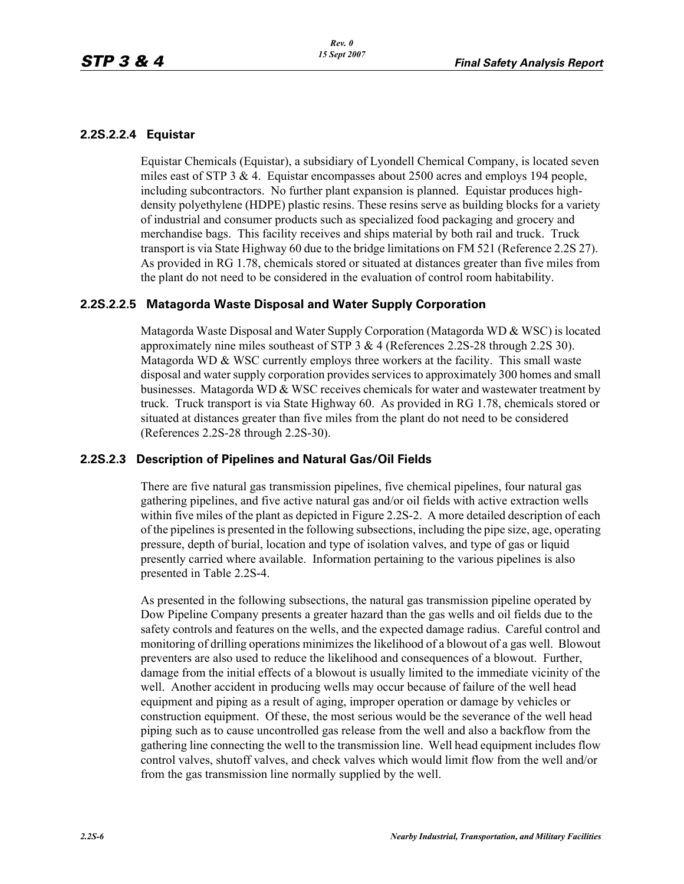#### **2.2S.2.2.4 Equistar**

Equistar Chemicals (Equistar), a subsidiary of Lyondell Chemical Company, is located seven miles east of STP  $3 \& 4$ . Equistar encompasses about 2500 acres and employs 194 people, including subcontractors. No further plant expansion is planned. Equistar produces highdensity polyethylene (HDPE) plastic resins. These resins serve as building blocks for a variety of industrial and consumer products such as specialized food packaging and grocery and merchandise bags. This facility receives and ships material by both rail and truck. Truck transport is via State Highway 60 due to the bridge limitations on FM 521 (Reference 2.2S 27). As provided in RG 1.78, chemicals stored or situated at distances greater than five miles from the plant do not need to be considered in the evaluation of control room habitability.

#### **2.2S.2.2.5 Matagorda Waste Disposal and Water Supply Corporation**

Matagorda Waste Disposal and Water Supply Corporation (Matagorda WD & WSC) is located approximately nine miles southeast of STP 3 & 4 (References 2.2S-28 through 2.2S 30). Matagorda WD  $\&$  WSC currently employs three workers at the facility. This small waste disposal and water supply corporation provides services to approximately 300 homes and small businesses. Matagorda WD & WSC receives chemicals for water and wastewater treatment by truck. Truck transport is via State Highway 60. As provided in RG 1.78, chemicals stored or situated at distances greater than five miles from the plant do not need to be considered (References 2.2S-28 through 2.2S-30).

#### **2.2S.2.3 Description of Pipelines and Natural Gas/Oil Fields**

There are five natural gas transmission pipelines, five chemical pipelines, four natural gas gathering pipelines, and five active natural gas and/or oil fields with active extraction wells within five miles of the plant as depicted in Figure 2.2S-2. A more detailed description of each of the pipelines is presented in the following subsections, including the pipe size, age, operating pressure, depth of burial, location and type of isolation valves, and type of gas or liquid presently carried where available. Information pertaining to the various pipelines is also presented in Table 2.2S-4.

As presented in the following subsections, the natural gas transmission pipeline operated by Dow Pipeline Company presents a greater hazard than the gas wells and oil fields due to the safety controls and features on the wells, and the expected damage radius. Careful control and monitoring of drilling operations minimizes the likelihood of a blowout of a gas well. Blowout preventers are also used to reduce the likelihood and consequences of a blowout. Further, damage from the initial effects of a blowout is usually limited to the immediate vicinity of the well. Another accident in producing wells may occur because of failure of the well head equipment and piping as a result of aging, improper operation or damage by vehicles or construction equipment. Of these, the most serious would be the severance of the well head piping such as to cause uncontrolled gas release from the well and also a backflow from the gathering line connecting the well to the transmission line. Well head equipment includes flow control valves, shutoff valves, and check valves which would limit flow from the well and/or from the gas transmission line normally supplied by the well.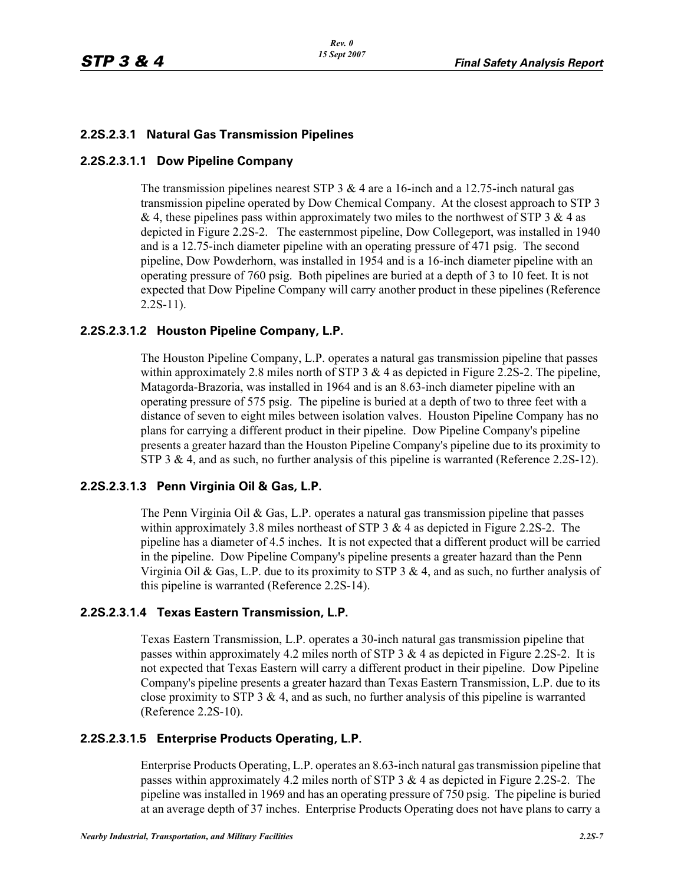#### **2.2S.2.3.1 Natural Gas Transmission Pipelines**

#### **2.2S.2.3.1.1 Dow Pipeline Company**

The transmission pipelines nearest STP 3  $\&$  4 are a 16-inch and a 12.75-inch natural gas transmission pipeline operated by Dow Chemical Company. At the closest approach to STP 3 & 4, these pipelines pass within approximately two miles to the northwest of STP 3 & 4 as depicted in Figure 2.2S-2. The easternmost pipeline, Dow Collegeport, was installed in 1940 and is a 12.75-inch diameter pipeline with an operating pressure of 471 psig. The second pipeline, Dow Powderhorn, was installed in 1954 and is a 16-inch diameter pipeline with an operating pressure of 760 psig. Both pipelines are buried at a depth of 3 to 10 feet. It is not expected that Dow Pipeline Company will carry another product in these pipelines (Reference  $2.2S-11$ ).

#### **2.2S.2.3.1.2 Houston Pipeline Company, L.P.**

The Houston Pipeline Company, L.P. operates a natural gas transmission pipeline that passes within approximately 2.8 miles north of STP 3  $\&$  4 as depicted in Figure 2.2S-2. The pipeline, Matagorda-Brazoria, was installed in 1964 and is an 8.63-inch diameter pipeline with an operating pressure of 575 psig. The pipeline is buried at a depth of two to three feet with a distance of seven to eight miles between isolation valves. Houston Pipeline Company has no plans for carrying a different product in their pipeline. Dow Pipeline Company's pipeline presents a greater hazard than the Houston Pipeline Company's pipeline due to its proximity to STP 3 & 4, and as such, no further analysis of this pipeline is warranted (Reference 2.2S-12).

#### **2.2S.2.3.1.3 Penn Virginia Oil & Gas, L.P.**

The Penn Virginia Oil  $\&$  Gas, L.P. operates a natural gas transmission pipeline that passes within approximately 3.8 miles northeast of STP  $3 \& 4$  as depicted in Figure 2.2S-2. The pipeline has a diameter of 4.5 inches. It is not expected that a different product will be carried in the pipeline. Dow Pipeline Company's pipeline presents a greater hazard than the Penn Virginia Oil & Gas, L.P. due to its proximity to STP 3 & 4, and as such, no further analysis of this pipeline is warranted (Reference 2.2S-14).

#### **2.2S.2.3.1.4 Texas Eastern Transmission, L.P.**

Texas Eastern Transmission, L.P. operates a 30-inch natural gas transmission pipeline that passes within approximately 4.2 miles north of STP  $3 \& 4$  as depicted in Figure 2.2S-2. It is not expected that Texas Eastern will carry a different product in their pipeline. Dow Pipeline Company's pipeline presents a greater hazard than Texas Eastern Transmission, L.P. due to its close proximity to STP 3  $\&$  4, and as such, no further analysis of this pipeline is warranted (Reference 2.2S-10).

#### **2.2S.2.3.1.5 Enterprise Products Operating, L.P.**

Enterprise Products Operating, L.P. operates an 8.63-inch natural gas transmission pipeline that passes within approximately 4.2 miles north of STP 3 & 4 as depicted in Figure 2.2S-2. The pipeline was installed in 1969 and has an operating pressure of 750 psig. The pipeline is buried at an average depth of 37 inches. Enterprise Products Operating does not have plans to carry a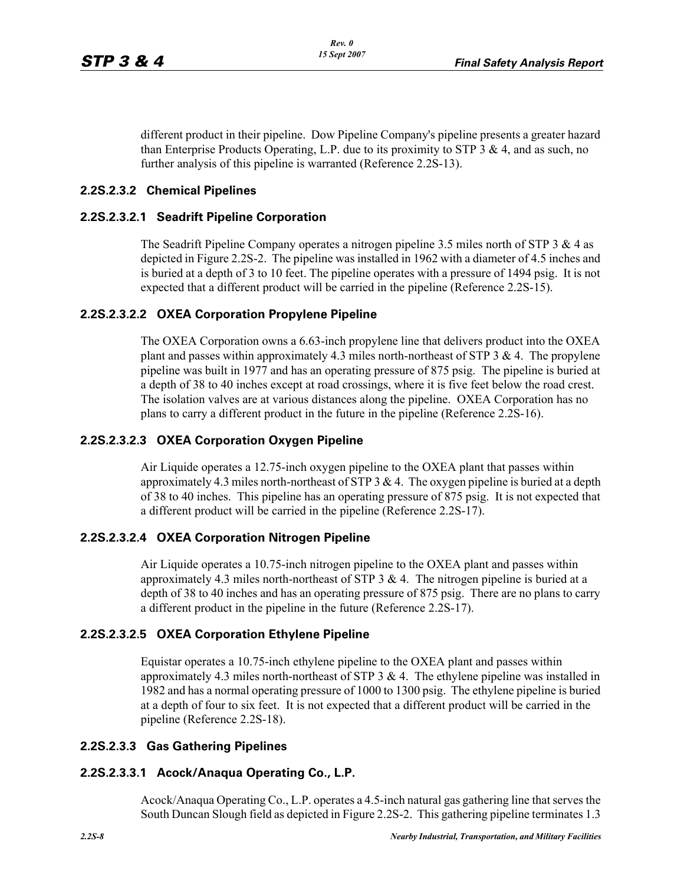different product in their pipeline. Dow Pipeline Company's pipeline presents a greater hazard than Enterprise Products Operating, L.P. due to its proximity to STP 3  $\&$  4, and as such, no further analysis of this pipeline is warranted (Reference 2.2S-13).

#### **2.2S.2.3.2 Chemical Pipelines**

#### **2.2S.2.3.2.1 Seadrift Pipeline Corporation**

The Seadrift Pipeline Company operates a nitrogen pipeline 3.5 miles north of STP 3 & 4 as depicted in Figure 2.2S-2. The pipeline was installed in 1962 with a diameter of 4.5 inches and is buried at a depth of 3 to 10 feet. The pipeline operates with a pressure of 1494 psig. It is not expected that a different product will be carried in the pipeline (Reference 2.2S-15).

#### **2.2S.2.3.2.2 OXEA Corporation Propylene Pipeline**

The OXEA Corporation owns a 6.63-inch propylene line that delivers product into the OXEA plant and passes within approximately 4.3 miles north-northeast of STP 3  $\&$  4. The propylene pipeline was built in 1977 and has an operating pressure of 875 psig. The pipeline is buried at a depth of 38 to 40 inches except at road crossings, where it is five feet below the road crest. The isolation valves are at various distances along the pipeline. OXEA Corporation has no plans to carry a different product in the future in the pipeline (Reference 2.2S-16).

#### **2.2S.2.3.2.3 OXEA Corporation Oxygen Pipeline**

Air Liquide operates a 12.75-inch oxygen pipeline to the OXEA plant that passes within approximately 4.3 miles north-northeast of STP  $3 \& 4$ . The oxygen pipeline is buried at a depth of 38 to 40 inches. This pipeline has an operating pressure of 875 psig. It is not expected that a different product will be carried in the pipeline (Reference 2.2S-17).

#### **2.2S.2.3.2.4 OXEA Corporation Nitrogen Pipeline**

Air Liquide operates a 10.75-inch nitrogen pipeline to the OXEA plant and passes within approximately 4.3 miles north-northeast of STP  $3 \& 4$ . The nitrogen pipeline is buried at a depth of 38 to 40 inches and has an operating pressure of 875 psig. There are no plans to carry a different product in the pipeline in the future (Reference 2.2S-17).

#### **2.2S.2.3.2.5 OXEA Corporation Ethylene Pipeline**

Equistar operates a 10.75-inch ethylene pipeline to the OXEA plant and passes within approximately 4.3 miles north-northeast of STP  $3 \& 4$ . The ethylene pipeline was installed in 1982 and has a normal operating pressure of 1000 to 1300 psig. The ethylene pipeline is buried at a depth of four to six feet. It is not expected that a different product will be carried in the pipeline (Reference 2.2S-18).

#### **2.2S.2.3.3 Gas Gathering Pipelines**

#### **2.2S.2.3.3.1 Acock/Anaqua Operating Co., L.P.**

Acock/Anaqua Operating Co., L.P. operates a 4.5-inch natural gas gathering line that serves the South Duncan Slough field as depicted in Figure 2.2S-2. This gathering pipeline terminates 1.3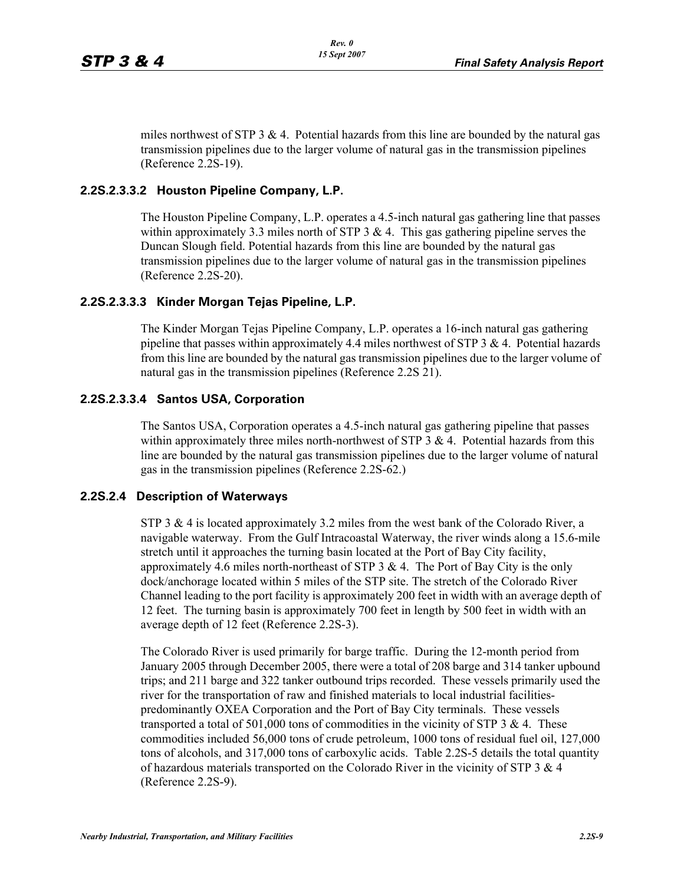miles northwest of STP 3  $\&$  4. Potential hazards from this line are bounded by the natural gas transmission pipelines due to the larger volume of natural gas in the transmission pipelines (Reference 2.2S-19).

#### **2.2S.2.3.3.2 Houston Pipeline Company, L.P.**

The Houston Pipeline Company, L.P. operates a 4.5-inch natural gas gathering line that passes within approximately 3.3 miles north of STP  $3 \& 4$ . This gas gathering pipeline serves the Duncan Slough field. Potential hazards from this line are bounded by the natural gas transmission pipelines due to the larger volume of natural gas in the transmission pipelines (Reference 2.2S-20).

#### **2.2S.2.3.3.3 Kinder Morgan Tejas Pipeline, L.P.**

The Kinder Morgan Tejas Pipeline Company, L.P. operates a 16-inch natural gas gathering pipeline that passes within approximately 4.4 miles northwest of STP 3 & 4. Potential hazards from this line are bounded by the natural gas transmission pipelines due to the larger volume of natural gas in the transmission pipelines (Reference 2.2S 21).

#### **2.2S.2.3.3.4 Santos USA, Corporation**

The Santos USA, Corporation operates a 4.5-inch natural gas gathering pipeline that passes within approximately three miles north-northwest of STP  $3 \& 4$ . Potential hazards from this line are bounded by the natural gas transmission pipelines due to the larger volume of natural gas in the transmission pipelines (Reference 2.2S-62.)

#### **2.2S.2.4 Description of Waterways**

STP 3  $\&$  4 is located approximately 3.2 miles from the west bank of the Colorado River, a navigable waterway. From the Gulf Intracoastal Waterway, the river winds along a 15.6-mile stretch until it approaches the turning basin located at the Port of Bay City facility, approximately 4.6 miles north-northeast of STP  $3 \& 4$ . The Port of Bay City is the only dock/anchorage located within 5 miles of the STP site. The stretch of the Colorado River Channel leading to the port facility is approximately 200 feet in width with an average depth of 12 feet. The turning basin is approximately 700 feet in length by 500 feet in width with an average depth of 12 feet (Reference 2.2S-3).

The Colorado River is used primarily for barge traffic. During the 12-month period from January 2005 through December 2005, there were a total of 208 barge and 314 tanker upbound trips; and 211 barge and 322 tanker outbound trips recorded. These vessels primarily used the river for the transportation of raw and finished materials to local industrial facilitiespredominantly OXEA Corporation and the Port of Bay City terminals. These vessels transported a total of 501,000 tons of commodities in the vicinity of STP 3  $\&$  4. These commodities included 56,000 tons of crude petroleum, 1000 tons of residual fuel oil, 127,000 tons of alcohols, and 317,000 tons of carboxylic acids. Table 2.2S-5 details the total quantity of hazardous materials transported on the Colorado River in the vicinity of STP  $3 \& 4$ (Reference 2.2S-9).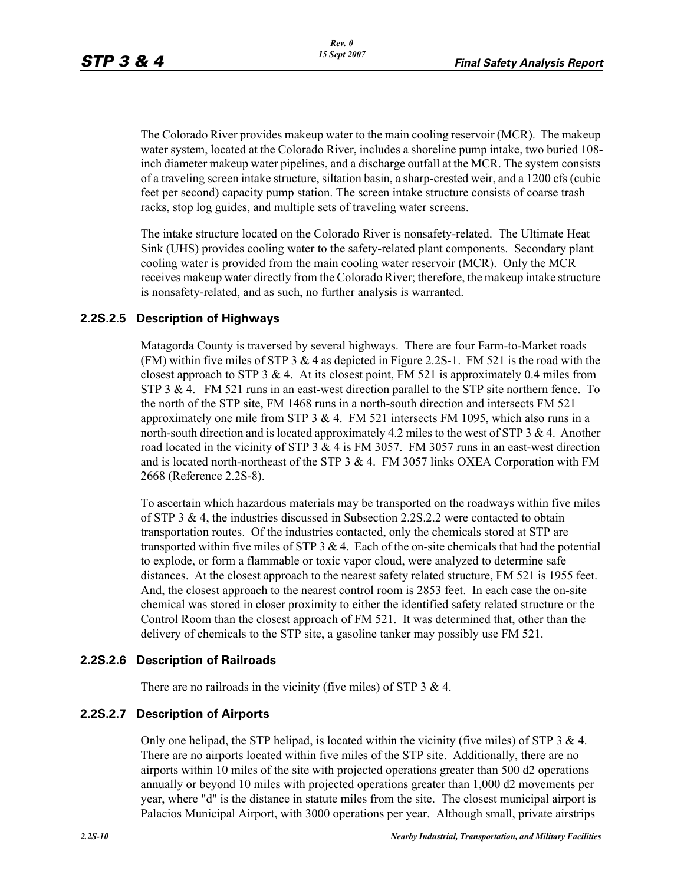The Colorado River provides makeup water to the main cooling reservoir (MCR). The makeup water system, located at the Colorado River, includes a shoreline pump intake, two buried 108 inch diameter makeup water pipelines, and a discharge outfall at the MCR. The system consists of a traveling screen intake structure, siltation basin, a sharp-crested weir, and a 1200 cfs (cubic feet per second) capacity pump station. The screen intake structure consists of coarse trash racks, stop log guides, and multiple sets of traveling water screens.

The intake structure located on the Colorado River is nonsafety-related. The Ultimate Heat Sink (UHS) provides cooling water to the safety-related plant components. Secondary plant cooling water is provided from the main cooling water reservoir (MCR). Only the MCR receives makeup water directly from the Colorado River; therefore, the makeup intake structure is nonsafety-related, and as such, no further analysis is warranted.

#### **2.2S.2.5 Description of Highways**

Matagorda County is traversed by several highways. There are four Farm-to-Market roads (FM) within five miles of STP 3  $\&$  4 as depicted in Figure 2.2S-1. FM 521 is the road with the closest approach to STP 3  $& 4$ . At its closest point, FM 521 is approximately 0.4 miles from STP 3  $\&$  4. FM 521 runs in an east-west direction parallel to the STP site northern fence. To the north of the STP site, FM 1468 runs in a north-south direction and intersects FM 521 approximately one mile from STP  $3 \& 4$ . FM  $521$  intersects FM 1095, which also runs in a north-south direction and is located approximately 4.2 miles to the west of STP 3 & 4. Another road located in the vicinity of STP  $3 \& 4$  is FM 3057. FM 3057 runs in an east-west direction and is located north-northeast of the STP  $3 \& 4$ . FM 3057 links OXEA Corporation with FM 2668 (Reference 2.2S-8).

To ascertain which hazardous materials may be transported on the roadways within five miles of STP 3 & 4, the industries discussed in Subsection 2.2S.2.2 were contacted to obtain transportation routes. Of the industries contacted, only the chemicals stored at STP are transported within five miles of STP  $3 \& 4$ . Each of the on-site chemicals that had the potential to explode, or form a flammable or toxic vapor cloud, were analyzed to determine safe distances. At the closest approach to the nearest safety related structure, FM 521 is 1955 feet. And, the closest approach to the nearest control room is 2853 feet. In each case the on-site chemical was stored in closer proximity to either the identified safety related structure or the Control Room than the closest approach of FM 521. It was determined that, other than the delivery of chemicals to the STP site, a gasoline tanker may possibly use FM 521.

#### **2.2S.2.6 Description of Railroads**

There are no railroads in the vicinity (five miles) of STP 3 & 4.

#### **2.2S.2.7 Description of Airports**

Only one helipad, the STP helipad, is located within the vicinity (five miles) of STP 3  $\&$  4. There are no airports located within five miles of the STP site. Additionally, there are no airports within 10 miles of the site with projected operations greater than 500 d2 operations annually or beyond 10 miles with projected operations greater than 1,000 d2 movements per year, where "d" is the distance in statute miles from the site. The closest municipal airport is Palacios Municipal Airport, with 3000 operations per year. Although small, private airstrips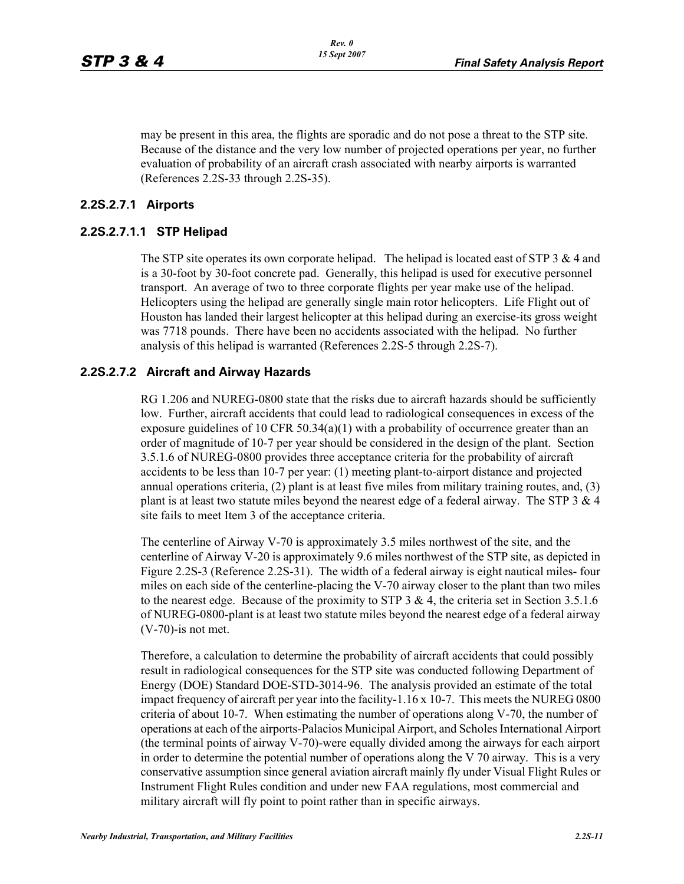may be present in this area, the flights are sporadic and do not pose a threat to the STP site. Because of the distance and the very low number of projected operations per year, no further evaluation of probability of an aircraft crash associated with nearby airports is warranted (References 2.2S-33 through 2.2S-35).

#### **2.2S.2.7.1 Airports**

#### **2.2S.2.7.1.1 STP Helipad**

The STP site operates its own corporate helipad. The helipad is located east of STP 3  $\&$  4 and is a 30-foot by 30-foot concrete pad. Generally, this helipad is used for executive personnel transport. An average of two to three corporate flights per year make use of the helipad. Helicopters using the helipad are generally single main rotor helicopters. Life Flight out of Houston has landed their largest helicopter at this helipad during an exercise-its gross weight was 7718 pounds. There have been no accidents associated with the helipad. No further analysis of this helipad is warranted (References 2.2S-5 through 2.2S-7).

#### **2.2S.2.7.2 Aircraft and Airway Hazards**

RG 1.206 and NUREG-0800 state that the risks due to aircraft hazards should be sufficiently low. Further, aircraft accidents that could lead to radiological consequences in excess of the exposure guidelines of 10 CFR 50.34(a)(1) with a probability of occurrence greater than an order of magnitude of 10-7 per year should be considered in the design of the plant. Section 3.5.1.6 of NUREG-0800 provides three acceptance criteria for the probability of aircraft accidents to be less than 10-7 per year: (1) meeting plant-to-airport distance and projected annual operations criteria, (2) plant is at least five miles from military training routes, and, (3) plant is at least two statute miles beyond the nearest edge of a federal airway. The STP  $3 \& 4$ site fails to meet Item 3 of the acceptance criteria.

The centerline of Airway V-70 is approximately 3.5 miles northwest of the site, and the centerline of Airway V-20 is approximately 9.6 miles northwest of the STP site, as depicted in Figure 2.2S-3 (Reference 2.2S-31). The width of a federal airway is eight nautical miles- four miles on each side of the centerline-placing the V-70 airway closer to the plant than two miles to the nearest edge. Because of the proximity to STP 3  $\&$  4, the criteria set in Section 3.5.1.6 of NUREG-0800-plant is at least two statute miles beyond the nearest edge of a federal airway (V-70)-is not met.

Therefore, a calculation to determine the probability of aircraft accidents that could possibly result in radiological consequences for the STP site was conducted following Department of Energy (DOE) Standard DOE-STD-3014-96. The analysis provided an estimate of the total impact frequency of aircraft per year into the facility-1.16 x 10-7. This meets the NUREG 0800 criteria of about 10-7. When estimating the number of operations along V-70, the number of operations at each of the airports-Palacios Municipal Airport, and Scholes International Airport (the terminal points of airway V-70)-were equally divided among the airways for each airport in order to determine the potential number of operations along the V 70 airway. This is a very conservative assumption since general aviation aircraft mainly fly under Visual Flight Rules or Instrument Flight Rules condition and under new FAA regulations, most commercial and military aircraft will fly point to point rather than in specific airways.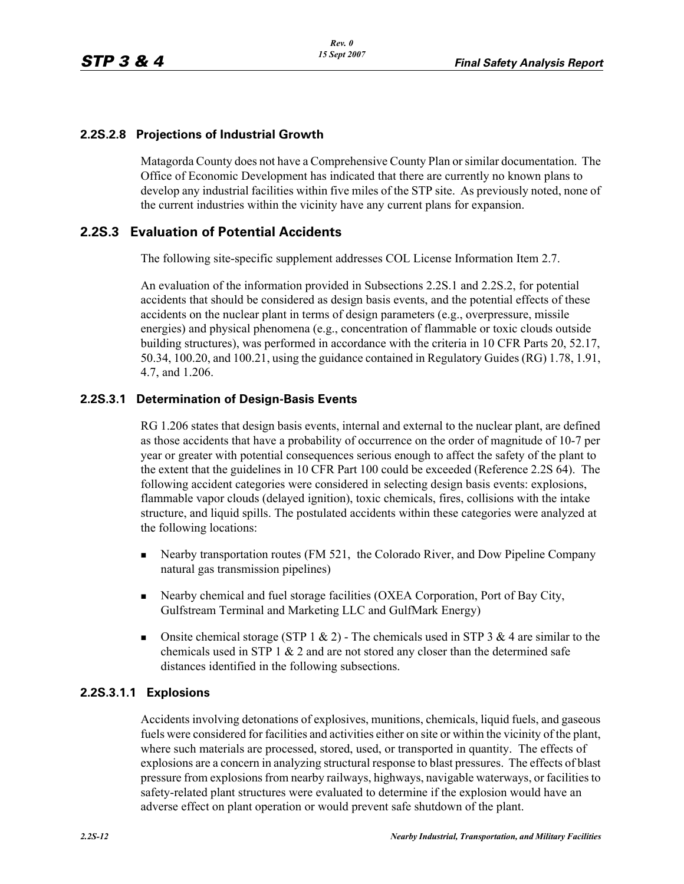#### **2.2S.2.8 Projections of Industrial Growth**

Matagorda County does not have a Comprehensive County Plan or similar documentation. The Office of Economic Development has indicated that there are currently no known plans to develop any industrial facilities within five miles of the STP site. As previously noted, none of the current industries within the vicinity have any current plans for expansion.

#### **2.2S.3 Evaluation of Potential Accidents**

The following site-specific supplement addresses COL License Information Item 2.7.

An evaluation of the information provided in Subsections 2.2S.1 and 2.2S.2, for potential accidents that should be considered as design basis events, and the potential effects of these accidents on the nuclear plant in terms of design parameters (e.g., overpressure, missile energies) and physical phenomena (e.g., concentration of flammable or toxic clouds outside building structures), was performed in accordance with the criteria in 10 CFR Parts 20, 52.17, 50.34, 100.20, and 100.21, using the guidance contained in Regulatory Guides (RG) 1.78, 1.91, 4.7, and 1.206.

#### **2.2S.3.1 Determination of Design-Basis Events**

RG 1.206 states that design basis events, internal and external to the nuclear plant, are defined as those accidents that have a probability of occurrence on the order of magnitude of 10-7 per year or greater with potential consequences serious enough to affect the safety of the plant to the extent that the guidelines in 10 CFR Part 100 could be exceeded (Reference 2.2S 64). The following accident categories were considered in selecting design basis events: explosions, flammable vapor clouds (delayed ignition), toxic chemicals, fires, collisions with the intake structure, and liquid spills. The postulated accidents within these categories were analyzed at the following locations:

- Nearby transportation routes (FM 521, the Colorado River, and Dow Pipeline Company natural gas transmission pipelines)
- Nearby chemical and fuel storage facilities (OXEA Corporation, Port of Bay City, Gulfstream Terminal and Marketing LLC and GulfMark Energy)
- **Onsite chemical storage (STP 1 & 2)** The chemicals used in STP 3 & 4 are similar to the chemicals used in STP 1  $\&$  2 and are not stored any closer than the determined safe distances identified in the following subsections.

#### **2.2S.3.1.1 Explosions**

Accidents involving detonations of explosives, munitions, chemicals, liquid fuels, and gaseous fuels were considered for facilities and activities either on site or within the vicinity of the plant, where such materials are processed, stored, used, or transported in quantity. The effects of explosions are a concern in analyzing structural response to blast pressures. The effects of blast pressure from explosions from nearby railways, highways, navigable waterways, or facilities to safety-related plant structures were evaluated to determine if the explosion would have an adverse effect on plant operation or would prevent safe shutdown of the plant.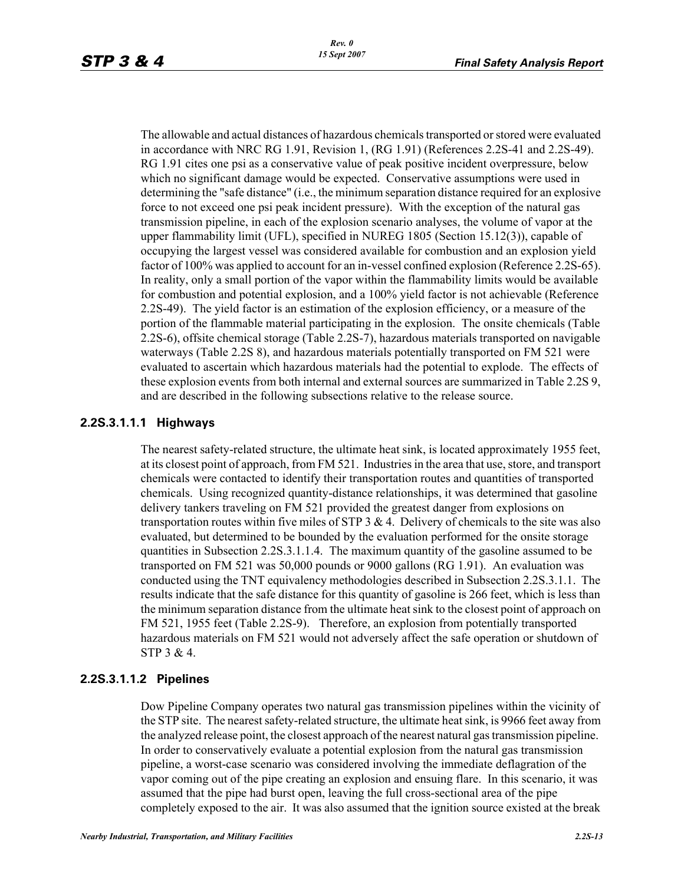The allowable and actual distances of hazardous chemicals transported or stored were evaluated in accordance with NRC RG 1.91, Revision 1, (RG 1.91) (References 2.2S-41 and 2.2S-49). RG 1.91 cites one psi as a conservative value of peak positive incident overpressure, below which no significant damage would be expected. Conservative assumptions were used in determining the "safe distance" (i.e., the minimum separation distance required for an explosive force to not exceed one psi peak incident pressure). With the exception of the natural gas transmission pipeline, in each of the explosion scenario analyses, the volume of vapor at the upper flammability limit (UFL), specified in NUREG 1805 (Section 15.12(3)), capable of occupying the largest vessel was considered available for combustion and an explosion yield factor of 100% was applied to account for an in-vessel confined explosion (Reference 2.2S-65). In reality, only a small portion of the vapor within the flammability limits would be available for combustion and potential explosion, and a 100% yield factor is not achievable (Reference 2.2S-49). The yield factor is an estimation of the explosion efficiency, or a measure of the portion of the flammable material participating in the explosion. The onsite chemicals (Table 2.2S-6), offsite chemical storage (Table 2.2S-7), hazardous materials transported on navigable waterways (Table 2.2S 8), and hazardous materials potentially transported on FM 521 were evaluated to ascertain which hazardous materials had the potential to explode. The effects of these explosion events from both internal and external sources are summarized in Table 2.2S 9, and are described in the following subsections relative to the release source.

#### **2.2S.3.1.1.1 Highways**

The nearest safety-related structure, the ultimate heat sink, is located approximately 1955 feet, at its closest point of approach, from FM 521. Industries in the area that use, store, and transport chemicals were contacted to identify their transportation routes and quantities of transported chemicals. Using recognized quantity-distance relationships, it was determined that gasoline delivery tankers traveling on FM 521 provided the greatest danger from explosions on transportation routes within five miles of STP  $3 \& 4$ . Delivery of chemicals to the site was also evaluated, but determined to be bounded by the evaluation performed for the onsite storage quantities in Subsection 2.2S.3.1.1.4. The maximum quantity of the gasoline assumed to be transported on FM 521 was 50,000 pounds or 9000 gallons (RG 1.91). An evaluation was conducted using the TNT equivalency methodologies described in Subsection 2.2S.3.1.1. The results indicate that the safe distance for this quantity of gasoline is 266 feet, which is less than the minimum separation distance from the ultimate heat sink to the closest point of approach on FM 521, 1955 feet (Table 2.2S-9). Therefore, an explosion from potentially transported hazardous materials on FM 521 would not adversely affect the safe operation or shutdown of STP 3 & 4.

#### **2.2S.3.1.1.2 Pipelines**

Dow Pipeline Company operates two natural gas transmission pipelines within the vicinity of the STP site. The nearest safety-related structure, the ultimate heat sink, is 9966 feet away from the analyzed release point, the closest approach of the nearest natural gas transmission pipeline. In order to conservatively evaluate a potential explosion from the natural gas transmission pipeline, a worst-case scenario was considered involving the immediate deflagration of the vapor coming out of the pipe creating an explosion and ensuing flare. In this scenario, it was assumed that the pipe had burst open, leaving the full cross-sectional area of the pipe completely exposed to the air. It was also assumed that the ignition source existed at the break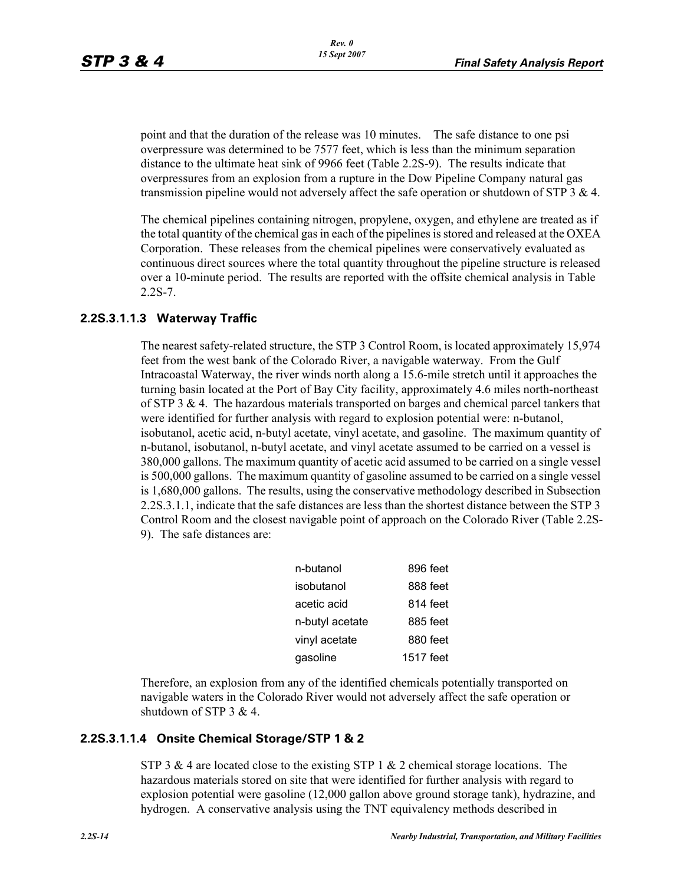point and that the duration of the release was 10 minutes. The safe distance to one psi overpressure was determined to be 7577 feet, which is less than the minimum separation distance to the ultimate heat sink of 9966 feet (Table 2.2S-9). The results indicate that overpressures from an explosion from a rupture in the Dow Pipeline Company natural gas transmission pipeline would not adversely affect the safe operation or shutdown of STP 3 & 4.

The chemical pipelines containing nitrogen, propylene, oxygen, and ethylene are treated as if the total quantity of the chemical gas in each of the pipelines is stored and released at the OXEA Corporation. These releases from the chemical pipelines were conservatively evaluated as continuous direct sources where the total quantity throughout the pipeline structure is released over a 10-minute period. The results are reported with the offsite chemical analysis in Table 2.2S-7.

#### **2.2S.3.1.1.3 Waterway Traffic**

The nearest safety-related structure, the STP 3 Control Room, is located approximately 15,974 feet from the west bank of the Colorado River, a navigable waterway. From the Gulf Intracoastal Waterway, the river winds north along a 15.6-mile stretch until it approaches the turning basin located at the Port of Bay City facility, approximately 4.6 miles north-northeast of STP 3  $\&$  4. The hazardous materials transported on barges and chemical parcel tankers that were identified for further analysis with regard to explosion potential were: n-butanol, isobutanol, acetic acid, n-butyl acetate, vinyl acetate, and gasoline. The maximum quantity of n-butanol, isobutanol, n-butyl acetate, and vinyl acetate assumed to be carried on a vessel is 380,000 gallons. The maximum quantity of acetic acid assumed to be carried on a single vessel is 500,000 gallons. The maximum quantity of gasoline assumed to be carried on a single vessel is 1,680,000 gallons. The results, using the conservative methodology described in Subsection 2.2S.3.1.1, indicate that the safe distances are less than the shortest distance between the STP 3 Control Room and the closest navigable point of approach on the Colorado River (Table 2.2S-9). The safe distances are:

| n-butanol       | 896 feet  |
|-----------------|-----------|
| isobutanol      | 888 feet  |
| acetic acid     | 814 feet  |
| n-butyl acetate | 885 feet  |
| vinyl acetate   | 880 feet  |
| gasoline        | 1517 feet |

Therefore, an explosion from any of the identified chemicals potentially transported on navigable waters in the Colorado River would not adversely affect the safe operation or shutdown of STP 3 & 4.

#### **2.2S.3.1.1.4 Onsite Chemical Storage/STP 1 & 2**

STP 3 & 4 are located close to the existing STP 1  $\&$  2 chemical storage locations. The hazardous materials stored on site that were identified for further analysis with regard to explosion potential were gasoline (12,000 gallon above ground storage tank), hydrazine, and hydrogen. A conservative analysis using the TNT equivalency methods described in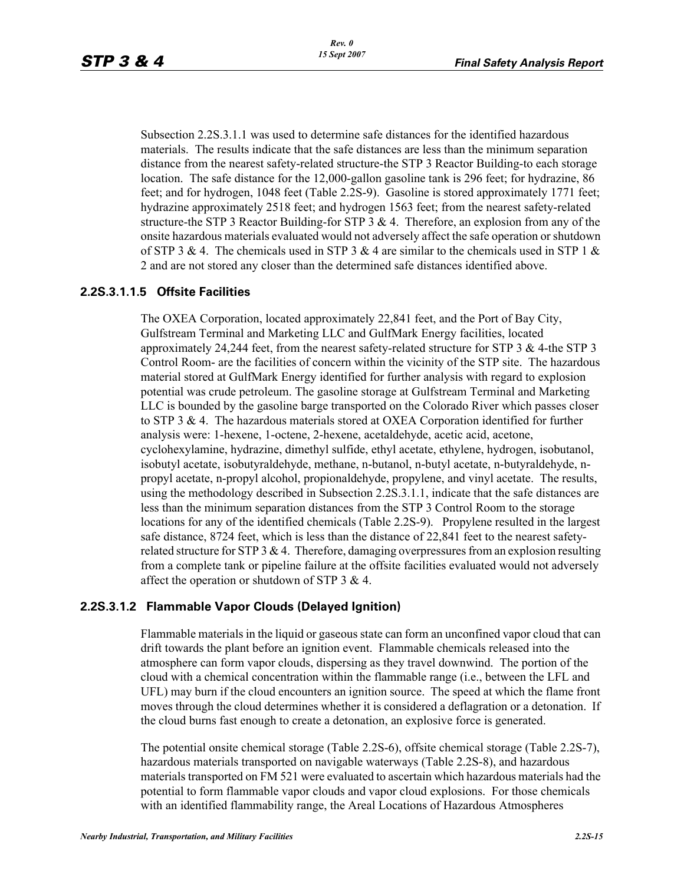Subsection 2.2S.3.1.1 was used to determine safe distances for the identified hazardous materials. The results indicate that the safe distances are less than the minimum separation distance from the nearest safety-related structure-the STP 3 Reactor Building-to each storage location. The safe distance for the 12,000-gallon gasoline tank is 296 feet; for hydrazine, 86 feet; and for hydrogen, 1048 feet (Table 2.2S-9). Gasoline is stored approximately 1771 feet; hydrazine approximately 2518 feet; and hydrogen 1563 feet; from the nearest safety-related structure-the STP 3 Reactor Building-for STP 3  $\&$  4. Therefore, an explosion from any of the onsite hazardous materials evaluated would not adversely affect the safe operation or shutdown of STP 3 & 4. The chemicals used in STP 3 & 4 are similar to the chemicals used in STP 1 & 2 and are not stored any closer than the determined safe distances identified above.

#### **2.2S.3.1.1.5 Offsite Facilities**

The OXEA Corporation, located approximately 22,841 feet, and the Port of Bay City, Gulfstream Terminal and Marketing LLC and GulfMark Energy facilities, located approximately 24,244 feet, from the nearest safety-related structure for STP 3 & 4-the STP 3 Control Room- are the facilities of concern within the vicinity of the STP site. The hazardous material stored at GulfMark Energy identified for further analysis with regard to explosion potential was crude petroleum. The gasoline storage at Gulfstream Terminal and Marketing LLC is bounded by the gasoline barge transported on the Colorado River which passes closer to STP 3 & 4. The hazardous materials stored at OXEA Corporation identified for further analysis were: 1-hexene, 1-octene, 2-hexene, acetaldehyde, acetic acid, acetone, cyclohexylamine, hydrazine, dimethyl sulfide, ethyl acetate, ethylene, hydrogen, isobutanol, isobutyl acetate, isobutyraldehyde, methane, n-butanol, n-butyl acetate, n-butyraldehyde, npropyl acetate, n-propyl alcohol, propionaldehyde, propylene, and vinyl acetate. The results, using the methodology described in Subsection 2.2S.3.1.1, indicate that the safe distances are less than the minimum separation distances from the STP 3 Control Room to the storage locations for any of the identified chemicals (Table 2.2S-9). Propylene resulted in the largest safe distance, 8724 feet, which is less than the distance of 22,841 feet to the nearest safetyrelated structure for STP  $3 \& 4$ . Therefore, damaging overpressures from an explosion resulting from a complete tank or pipeline failure at the offsite facilities evaluated would not adversely affect the operation or shutdown of STP 3 & 4.

#### **2.2S.3.1.2 Flammable Vapor Clouds (Delayed Ignition)**

Flammable materials in the liquid or gaseous state can form an unconfined vapor cloud that can drift towards the plant before an ignition event. Flammable chemicals released into the atmosphere can form vapor clouds, dispersing as they travel downwind. The portion of the cloud with a chemical concentration within the flammable range (i.e., between the LFL and UFL) may burn if the cloud encounters an ignition source. The speed at which the flame front moves through the cloud determines whether it is considered a deflagration or a detonation. If the cloud burns fast enough to create a detonation, an explosive force is generated.

The potential onsite chemical storage (Table 2.2S-6), offsite chemical storage (Table 2.2S-7), hazardous materials transported on navigable waterways (Table 2.2S-8), and hazardous materials transported on FM 521 were evaluated to ascertain which hazardous materials had the potential to form flammable vapor clouds and vapor cloud explosions. For those chemicals with an identified flammability range, the Areal Locations of Hazardous Atmospheres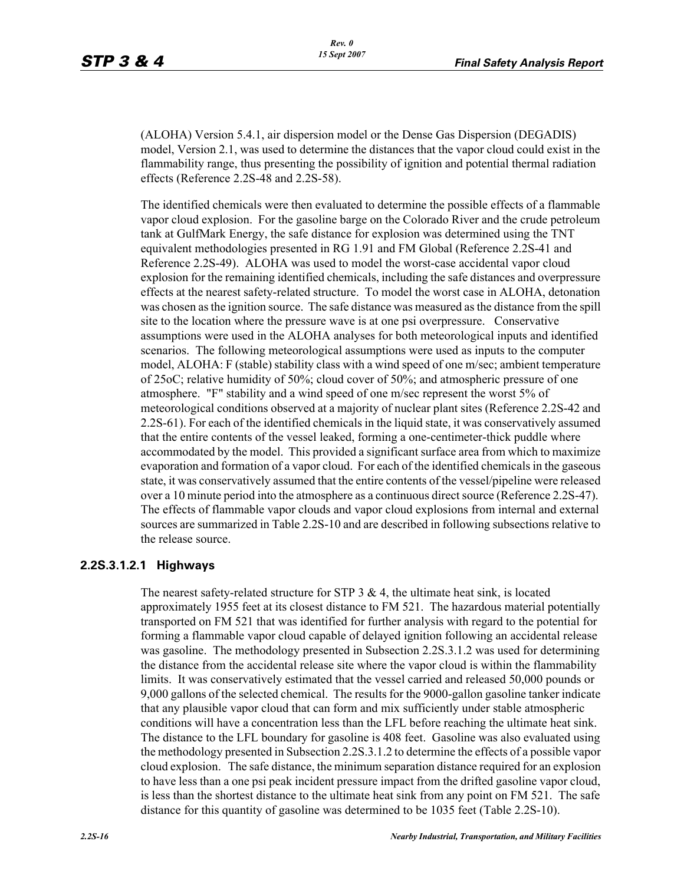(ALOHA) Version 5.4.1, air dispersion model or the Dense Gas Dispersion (DEGADIS) model, Version 2.1, was used to determine the distances that the vapor cloud could exist in the flammability range, thus presenting the possibility of ignition and potential thermal radiation effects (Reference 2.2S-48 and 2.2S-58).

The identified chemicals were then evaluated to determine the possible effects of a flammable vapor cloud explosion. For the gasoline barge on the Colorado River and the crude petroleum tank at GulfMark Energy, the safe distance for explosion was determined using the TNT equivalent methodologies presented in RG 1.91 and FM Global (Reference 2.2S-41 and Reference 2.2S-49). ALOHA was used to model the worst-case accidental vapor cloud explosion for the remaining identified chemicals, including the safe distances and overpressure effects at the nearest safety-related structure. To model the worst case in ALOHA, detonation was chosen as the ignition source. The safe distance was measured as the distance from the spill site to the location where the pressure wave is at one psi overpressure. Conservative assumptions were used in the ALOHA analyses for both meteorological inputs and identified scenarios. The following meteorological assumptions were used as inputs to the computer model, ALOHA: F (stable) stability class with a wind speed of one m/sec; ambient temperature of 25oC; relative humidity of 50%; cloud cover of 50%; and atmospheric pressure of one atmosphere. "F" stability and a wind speed of one m/sec represent the worst 5% of meteorological conditions observed at a majority of nuclear plant sites (Reference 2.2S-42 and 2.2S-61). For each of the identified chemicals in the liquid state, it was conservatively assumed that the entire contents of the vessel leaked, forming a one-centimeter-thick puddle where accommodated by the model. This provided a significant surface area from which to maximize evaporation and formation of a vapor cloud. For each of the identified chemicals in the gaseous state, it was conservatively assumed that the entire contents of the vessel/pipeline were released over a 10 minute period into the atmosphere as a continuous direct source (Reference 2.2S-47). The effects of flammable vapor clouds and vapor cloud explosions from internal and external sources are summarized in Table 2.2S-10 and are described in following subsections relative to the release source.

#### **2.2S.3.1.2.1 Highways**

The nearest safety-related structure for STP  $3 \& 4$ , the ultimate heat sink, is located approximately 1955 feet at its closest distance to FM 521. The hazardous material potentially transported on FM 521 that was identified for further analysis with regard to the potential for forming a flammable vapor cloud capable of delayed ignition following an accidental release was gasoline. The methodology presented in Subsection 2.2S.3.1.2 was used for determining the distance from the accidental release site where the vapor cloud is within the flammability limits. It was conservatively estimated that the vessel carried and released 50,000 pounds or 9,000 gallons of the selected chemical. The results for the 9000-gallon gasoline tanker indicate that any plausible vapor cloud that can form and mix sufficiently under stable atmospheric conditions will have a concentration less than the LFL before reaching the ultimate heat sink. The distance to the LFL boundary for gasoline is 408 feet. Gasoline was also evaluated using the methodology presented in Subsection 2.2S.3.1.2 to determine the effects of a possible vapor cloud explosion. The safe distance, the minimum separation distance required for an explosion to have less than a one psi peak incident pressure impact from the drifted gasoline vapor cloud, is less than the shortest distance to the ultimate heat sink from any point on FM 521. The safe distance for this quantity of gasoline was determined to be 1035 feet (Table 2.2S-10).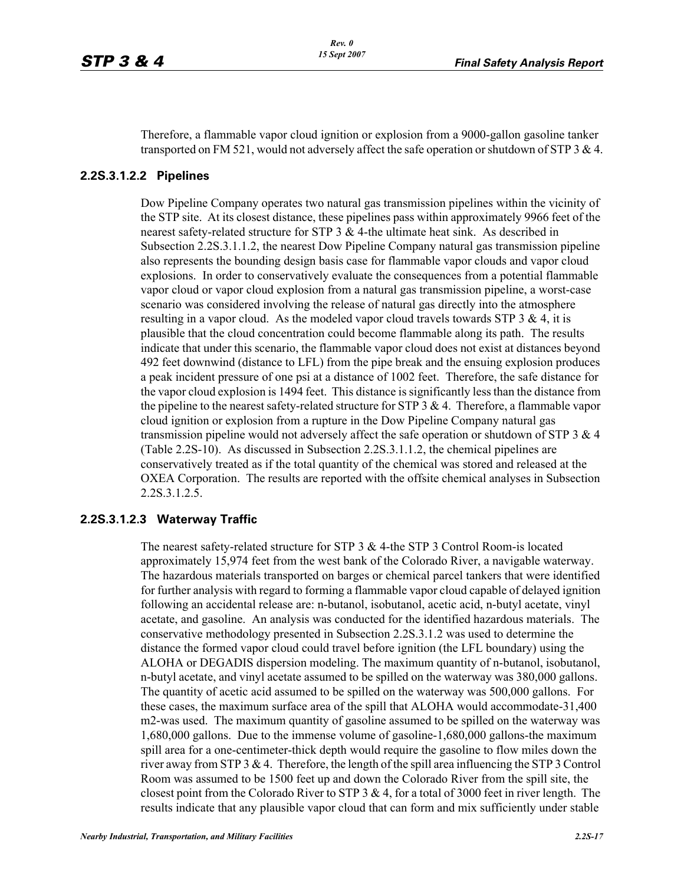Therefore, a flammable vapor cloud ignition or explosion from a 9000-gallon gasoline tanker transported on FM 521, would not adversely affect the safe operation or shutdown of STP 3 & 4.

#### **2.2S.3.1.2.2 Pipelines**

Dow Pipeline Company operates two natural gas transmission pipelines within the vicinity of the STP site. At its closest distance, these pipelines pass within approximately 9966 feet of the nearest safety-related structure for STP  $3 \& 4$ -the ultimate heat sink. As described in Subsection 2.2S.3.1.1.2, the nearest Dow Pipeline Company natural gas transmission pipeline also represents the bounding design basis case for flammable vapor clouds and vapor cloud explosions. In order to conservatively evaluate the consequences from a potential flammable vapor cloud or vapor cloud explosion from a natural gas transmission pipeline, a worst-case scenario was considered involving the release of natural gas directly into the atmosphere resulting in a vapor cloud. As the modeled vapor cloud travels towards STP  $3 \& 4$ , it is plausible that the cloud concentration could become flammable along its path. The results indicate that under this scenario, the flammable vapor cloud does not exist at distances beyond 492 feet downwind (distance to LFL) from the pipe break and the ensuing explosion produces a peak incident pressure of one psi at a distance of 1002 feet. Therefore, the safe distance for the vapor cloud explosion is 1494 feet. This distance is significantly less than the distance from the pipeline to the nearest safety-related structure for STP  $3 \& 4$ . Therefore, a flammable vapor cloud ignition or explosion from a rupture in the Dow Pipeline Company natural gas transmission pipeline would not adversely affect the safe operation or shutdown of STP 3  $\&$  4 (Table 2.2S-10). As discussed in Subsection 2.2S.3.1.1.2, the chemical pipelines are conservatively treated as if the total quantity of the chemical was stored and released at the OXEA Corporation. The results are reported with the offsite chemical analyses in Subsection 2.2S.3.1.2.5.

#### **2.2S.3.1.2.3 Waterway Traffic**

The nearest safety-related structure for STP 3 & 4-the STP 3 Control Room-is located approximately 15,974 feet from the west bank of the Colorado River, a navigable waterway. The hazardous materials transported on barges or chemical parcel tankers that were identified for further analysis with regard to forming a flammable vapor cloud capable of delayed ignition following an accidental release are: n-butanol, isobutanol, acetic acid, n-butyl acetate, vinyl acetate, and gasoline. An analysis was conducted for the identified hazardous materials. The conservative methodology presented in Subsection 2.2S.3.1.2 was used to determine the distance the formed vapor cloud could travel before ignition (the LFL boundary) using the ALOHA or DEGADIS dispersion modeling. The maximum quantity of n-butanol, isobutanol, n-butyl acetate, and vinyl acetate assumed to be spilled on the waterway was 380,000 gallons. The quantity of acetic acid assumed to be spilled on the waterway was 500,000 gallons. For these cases, the maximum surface area of the spill that ALOHA would accommodate-31,400 m2-was used. The maximum quantity of gasoline assumed to be spilled on the waterway was 1,680,000 gallons. Due to the immense volume of gasoline-1,680,000 gallons-the maximum spill area for a one-centimeter-thick depth would require the gasoline to flow miles down the river away from STP 3 & 4. Therefore, the length of the spill area influencing the STP 3 Control Room was assumed to be 1500 feet up and down the Colorado River from the spill site, the closest point from the Colorado River to STP 3  $\&$  4, for a total of 3000 feet in river length. The results indicate that any plausible vapor cloud that can form and mix sufficiently under stable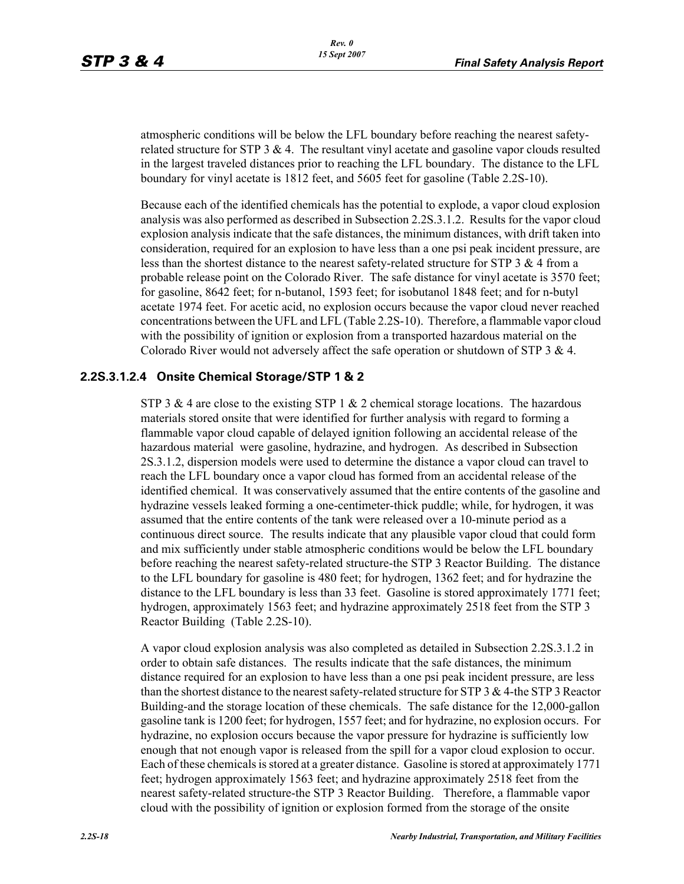atmospheric conditions will be below the LFL boundary before reaching the nearest safetyrelated structure for STP  $3 \& 4$ . The resultant vinyl acetate and gasoline vapor clouds resulted in the largest traveled distances prior to reaching the LFL boundary. The distance to the LFL boundary for vinyl acetate is 1812 feet, and 5605 feet for gasoline (Table 2.2S-10).

Because each of the identified chemicals has the potential to explode, a vapor cloud explosion analysis was also performed as described in Subsection 2.2S.3.1.2. Results for the vapor cloud explosion analysis indicate that the safe distances, the minimum distances, with drift taken into consideration, required for an explosion to have less than a one psi peak incident pressure, are less than the shortest distance to the nearest safety-related structure for STP 3 & 4 from a probable release point on the Colorado River. The safe distance for vinyl acetate is 3570 feet; for gasoline, 8642 feet; for n-butanol, 1593 feet; for isobutanol 1848 feet; and for n-butyl acetate 1974 feet. For acetic acid, no explosion occurs because the vapor cloud never reached concentrations between the UFL and LFL (Table 2.2S-10). Therefore, a flammable vapor cloud with the possibility of ignition or explosion from a transported hazardous material on the Colorado River would not adversely affect the safe operation or shutdown of STP 3 & 4.

#### **2.2S.3.1.2.4 Onsite Chemical Storage/STP 1 & 2**

STP 3 & 4 are close to the existing STP 1 & 2 chemical storage locations. The hazardous materials stored onsite that were identified for further analysis with regard to forming a flammable vapor cloud capable of delayed ignition following an accidental release of the hazardous material were gasoline, hydrazine, and hydrogen. As described in Subsection 2S.3.1.2, dispersion models were used to determine the distance a vapor cloud can travel to reach the LFL boundary once a vapor cloud has formed from an accidental release of the identified chemical. It was conservatively assumed that the entire contents of the gasoline and hydrazine vessels leaked forming a one-centimeter-thick puddle; while, for hydrogen, it was assumed that the entire contents of the tank were released over a 10-minute period as a continuous direct source. The results indicate that any plausible vapor cloud that could form and mix sufficiently under stable atmospheric conditions would be below the LFL boundary before reaching the nearest safety-related structure-the STP 3 Reactor Building. The distance to the LFL boundary for gasoline is 480 feet; for hydrogen, 1362 feet; and for hydrazine the distance to the LFL boundary is less than 33 feet. Gasoline is stored approximately 1771 feet; hydrogen, approximately 1563 feet; and hydrazine approximately 2518 feet from the STP 3 Reactor Building (Table 2.2S-10).

A vapor cloud explosion analysis was also completed as detailed in Subsection 2.2S.3.1.2 in order to obtain safe distances. The results indicate that the safe distances, the minimum distance required for an explosion to have less than a one psi peak incident pressure, are less than the shortest distance to the nearest safety-related structure for STP 3 & 4-the STP 3 Reactor Building-and the storage location of these chemicals. The safe distance for the 12,000-gallon gasoline tank is 1200 feet; for hydrogen, 1557 feet; and for hydrazine, no explosion occurs. For hydrazine, no explosion occurs because the vapor pressure for hydrazine is sufficiently low enough that not enough vapor is released from the spill for a vapor cloud explosion to occur. Each of these chemicals is stored at a greater distance. Gasoline is stored at approximately 1771 feet; hydrogen approximately 1563 feet; and hydrazine approximately 2518 feet from the nearest safety-related structure-the STP 3 Reactor Building. Therefore, a flammable vapor cloud with the possibility of ignition or explosion formed from the storage of the onsite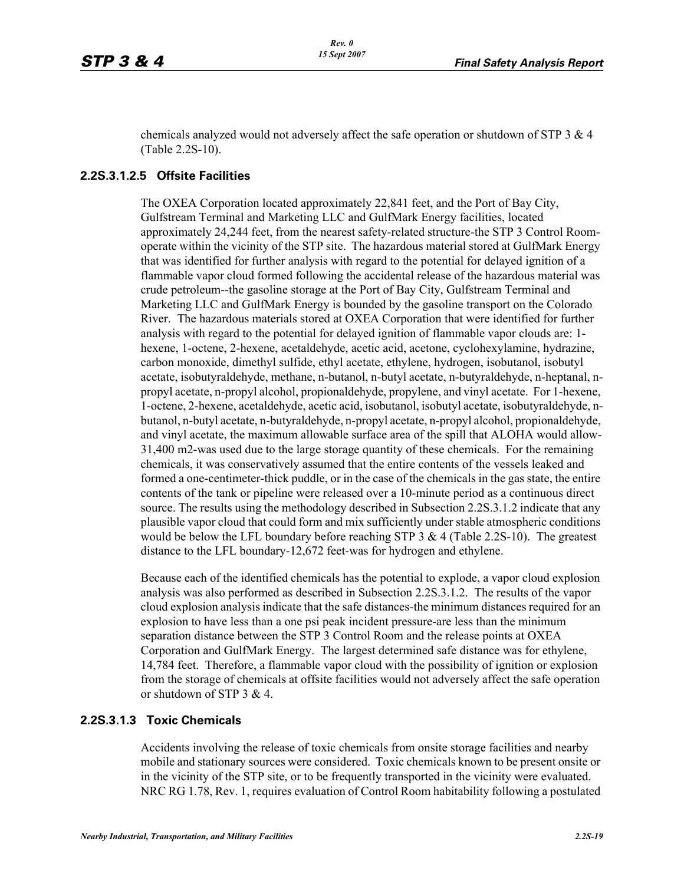chemicals analyzed would not adversely affect the safe operation or shutdown of STP 3 & 4 (Table 2.2S-10).

#### **2.2S.3.1.2.5 Offsite Facilities**

The OXEA Corporation located approximately 22,841 feet, and the Port of Bay City, Gulfstream Terminal and Marketing LLC and GulfMark Energy facilities, located approximately 24,244 feet, from the nearest safety-related structure-the STP 3 Control Roomoperate within the vicinity of the STP site. The hazardous material stored at GulfMark Energy that was identified for further analysis with regard to the potential for delayed ignition of a flammable vapor cloud formed following the accidental release of the hazardous material was crude petroleum--the gasoline storage at the Port of Bay City, Gulfstream Terminal and Marketing LLC and GulfMark Energy is bounded by the gasoline transport on the Colorado River. The hazardous materials stored at OXEA Corporation that were identified for further analysis with regard to the potential for delayed ignition of flammable vapor clouds are: 1 hexene, 1-octene, 2-hexene, acetaldehyde, acetic acid, acetone, cyclohexylamine, hydrazine, carbon monoxide, dimethyl sulfide, ethyl acetate, ethylene, hydrogen, isobutanol, isobutyl acetate, isobutyraldehyde, methane, n-butanol, n-butyl acetate, n-butyraldehyde, n-heptanal, npropyl acetate, n-propyl alcohol, propionaldehyde, propylene, and vinyl acetate. For 1-hexene, 1-octene, 2-hexene, acetaldehyde, acetic acid, isobutanol, isobutyl acetate, isobutyraldehyde, nbutanol, n-butyl acetate, n-butyraldehyde, n-propyl acetate, n-propyl alcohol, propionaldehyde, and vinyl acetate, the maximum allowable surface area of the spill that ALOHA would allow-31,400 m2-was used due to the large storage quantity of these chemicals. For the remaining chemicals, it was conservatively assumed that the entire contents of the vessels leaked and formed a one-centimeter-thick puddle, or in the case of the chemicals in the gas state, the entire contents of the tank or pipeline were released over a 10-minute period as a continuous direct source. The results using the methodology described in Subsection 2.2S.3.1.2 indicate that any plausible vapor cloud that could form and mix sufficiently under stable atmospheric conditions would be below the LFL boundary before reaching STP 3  $\&$  4 (Table 2.2S-10). The greatest distance to the LFL boundary-12,672 feet-was for hydrogen and ethylene.

Because each of the identified chemicals has the potential to explode, a vapor cloud explosion analysis was also performed as described in Subsection 2.2S.3.1.2. The results of the vapor cloud explosion analysis indicate that the safe distances-the minimum distances required for an explosion to have less than a one psi peak incident pressure-are less than the minimum separation distance between the STP 3 Control Room and the release points at OXEA Corporation and GulfMark Energy. The largest determined safe distance was for ethylene, 14,784 feet. Therefore, a flammable vapor cloud with the possibility of ignition or explosion from the storage of chemicals at offsite facilities would not adversely affect the safe operation or shutdown of STP 3 & 4.

#### **2.2S.3.1.3 Toxic Chemicals**

Accidents involving the release of toxic chemicals from onsite storage facilities and nearby mobile and stationary sources were considered. Toxic chemicals known to be present onsite or in the vicinity of the STP site, or to be frequently transported in the vicinity were evaluated. NRC RG 1.78, Rev. 1, requires evaluation of Control Room habitability following a postulated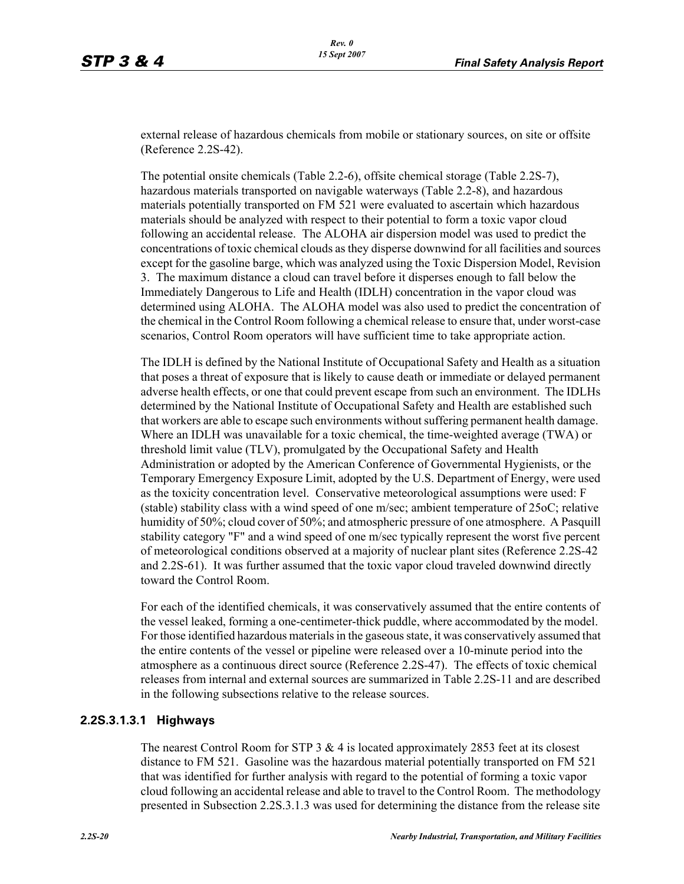external release of hazardous chemicals from mobile or stationary sources, on site or offsite (Reference 2.2S-42).

The potential onsite chemicals (Table 2.2-6), offsite chemical storage (Table 2.2S-7), hazardous materials transported on navigable waterways (Table 2.2-8), and hazardous materials potentially transported on FM 521 were evaluated to ascertain which hazardous materials should be analyzed with respect to their potential to form a toxic vapor cloud following an accidental release. The ALOHA air dispersion model was used to predict the concentrations of toxic chemical clouds as they disperse downwind for all facilities and sources except for the gasoline barge, which was analyzed using the Toxic Dispersion Model, Revision 3. The maximum distance a cloud can travel before it disperses enough to fall below the Immediately Dangerous to Life and Health (IDLH) concentration in the vapor cloud was determined using ALOHA. The ALOHA model was also used to predict the concentration of the chemical in the Control Room following a chemical release to ensure that, under worst-case scenarios, Control Room operators will have sufficient time to take appropriate action.

The IDLH is defined by the National Institute of Occupational Safety and Health as a situation that poses a threat of exposure that is likely to cause death or immediate or delayed permanent adverse health effects, or one that could prevent escape from such an environment. The IDLHs determined by the National Institute of Occupational Safety and Health are established such that workers are able to escape such environments without suffering permanent health damage. Where an IDLH was unavailable for a toxic chemical, the time-weighted average (TWA) or threshold limit value (TLV), promulgated by the Occupational Safety and Health Administration or adopted by the American Conference of Governmental Hygienists, or the Temporary Emergency Exposure Limit, adopted by the U.S. Department of Energy, were used as the toxicity concentration level. Conservative meteorological assumptions were used: F (stable) stability class with a wind speed of one m/sec; ambient temperature of 25oC; relative humidity of 50%; cloud cover of 50%; and atmospheric pressure of one atmosphere. A Pasquill stability category "F" and a wind speed of one m/sec typically represent the worst five percent of meteorological conditions observed at a majority of nuclear plant sites (Reference 2.2S-42 and 2.2S-61). It was further assumed that the toxic vapor cloud traveled downwind directly toward the Control Room.

For each of the identified chemicals, it was conservatively assumed that the entire contents of the vessel leaked, forming a one-centimeter-thick puddle, where accommodated by the model. For those identified hazardous materials in the gaseous state, it was conservatively assumed that the entire contents of the vessel or pipeline were released over a 10-minute period into the atmosphere as a continuous direct source (Reference 2.2S-47). The effects of toxic chemical releases from internal and external sources are summarized in Table 2.2S-11 and are described in the following subsections relative to the release sources.

#### **2.2S.3.1.3.1 Highways**

The nearest Control Room for STP  $3 \& 4$  is located approximately 2853 feet at its closest distance to FM 521. Gasoline was the hazardous material potentially transported on FM 521 that was identified for further analysis with regard to the potential of forming a toxic vapor cloud following an accidental release and able to travel to the Control Room. The methodology presented in Subsection 2.2S.3.1.3 was used for determining the distance from the release site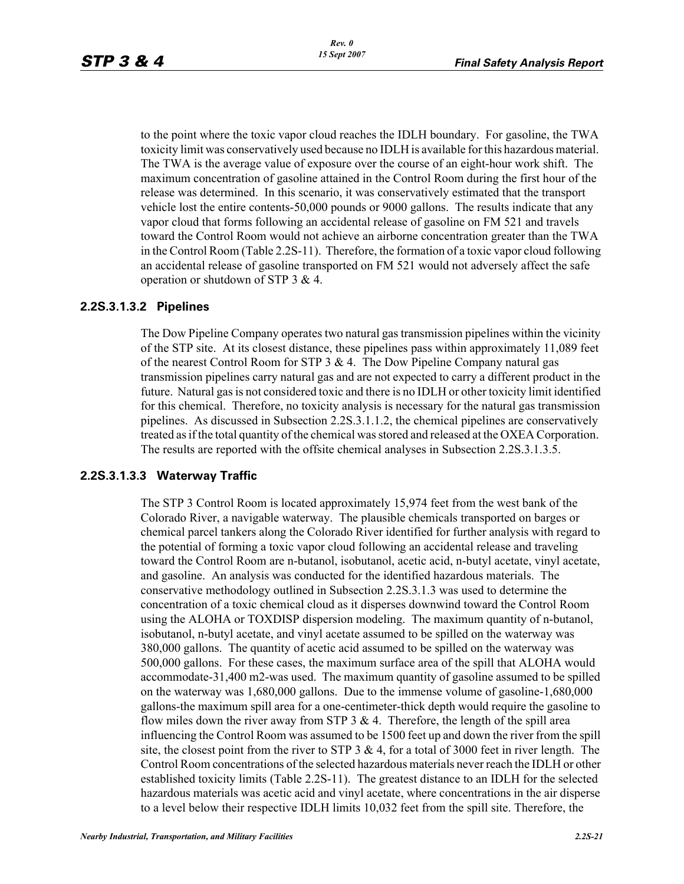to the point where the toxic vapor cloud reaches the IDLH boundary. For gasoline, the TWA toxicity limit was conservatively used because no IDLH is available for this hazardous material. The TWA is the average value of exposure over the course of an eight-hour work shift. The maximum concentration of gasoline attained in the Control Room during the first hour of the release was determined. In this scenario, it was conservatively estimated that the transport vehicle lost the entire contents-50,000 pounds or 9000 gallons. The results indicate that any vapor cloud that forms following an accidental release of gasoline on FM 521 and travels toward the Control Room would not achieve an airborne concentration greater than the TWA in the Control Room (Table 2.2S-11). Therefore, the formation of a toxic vapor cloud following an accidental release of gasoline transported on FM 521 would not adversely affect the safe operation or shutdown of STP 3 & 4.

#### **2.2S.3.1.3.2 Pipelines**

The Dow Pipeline Company operates two natural gas transmission pipelines within the vicinity of the STP site. At its closest distance, these pipelines pass within approximately 11,089 feet of the nearest Control Room for STP 3 & 4. The Dow Pipeline Company natural gas transmission pipelines carry natural gas and are not expected to carry a different product in the future. Natural gas is not considered toxic and there is no IDLH or other toxicity limit identified for this chemical. Therefore, no toxicity analysis is necessary for the natural gas transmission pipelines. As discussed in Subsection 2.2S.3.1.1.2, the chemical pipelines are conservatively treated as if the total quantity of the chemical was stored and released at the OXEA Corporation. The results are reported with the offsite chemical analyses in Subsection 2.2S.3.1.3.5.

#### **2.2S.3.1.3.3 Waterway Traffic**

The STP 3 Control Room is located approximately 15,974 feet from the west bank of the Colorado River, a navigable waterway. The plausible chemicals transported on barges or chemical parcel tankers along the Colorado River identified for further analysis with regard to the potential of forming a toxic vapor cloud following an accidental release and traveling toward the Control Room are n-butanol, isobutanol, acetic acid, n-butyl acetate, vinyl acetate, and gasoline. An analysis was conducted for the identified hazardous materials. The conservative methodology outlined in Subsection 2.2S.3.1.3 was used to determine the concentration of a toxic chemical cloud as it disperses downwind toward the Control Room using the ALOHA or TOXDISP dispersion modeling. The maximum quantity of n-butanol, isobutanol, n-butyl acetate, and vinyl acetate assumed to be spilled on the waterway was 380,000 gallons. The quantity of acetic acid assumed to be spilled on the waterway was 500,000 gallons. For these cases, the maximum surface area of the spill that ALOHA would accommodate-31,400 m2-was used. The maximum quantity of gasoline assumed to be spilled on the waterway was 1,680,000 gallons. Due to the immense volume of gasoline-1,680,000 gallons-the maximum spill area for a one-centimeter-thick depth would require the gasoline to flow miles down the river away from STP 3  $\&$  4. Therefore, the length of the spill area influencing the Control Room was assumed to be 1500 feet up and down the river from the spill site, the closest point from the river to STP  $3 \& 4$ , for a total of 3000 feet in river length. The Control Room concentrations of the selected hazardous materials never reach the IDLH or other established toxicity limits (Table 2.2S-11). The greatest distance to an IDLH for the selected hazardous materials was acetic acid and vinyl acetate, where concentrations in the air disperse to a level below their respective IDLH limits 10,032 feet from the spill site. Therefore, the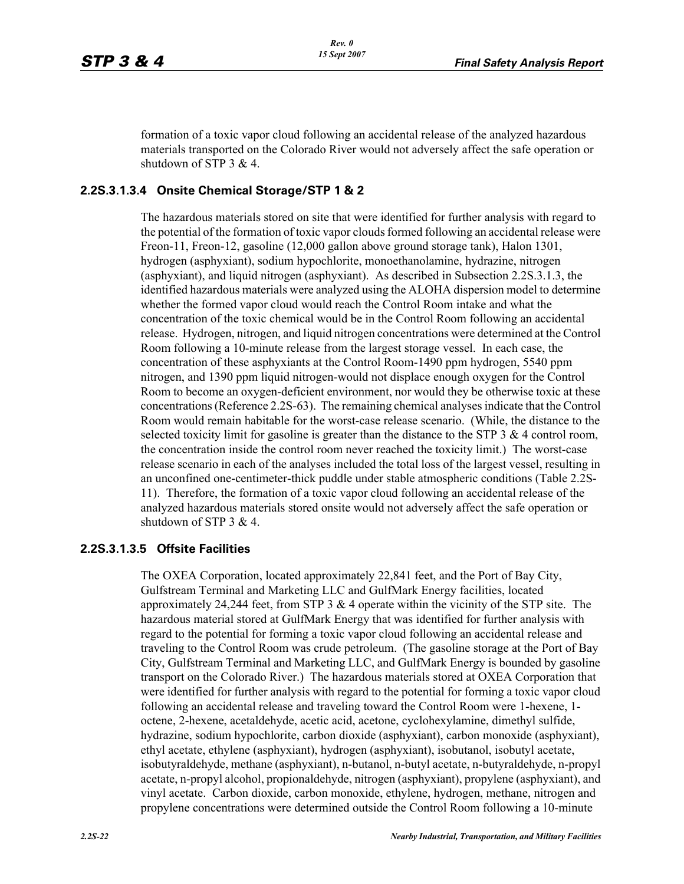formation of a toxic vapor cloud following an accidental release of the analyzed hazardous materials transported on the Colorado River would not adversely affect the safe operation or shutdown of STP 3 & 4.

#### **2.2S.3.1.3.4 Onsite Chemical Storage/STP 1 & 2**

The hazardous materials stored on site that were identified for further analysis with regard to the potential of the formation of toxic vapor clouds formed following an accidental release were Freon-11, Freon-12, gasoline (12,000 gallon above ground storage tank), Halon 1301, hydrogen (asphyxiant), sodium hypochlorite, monoethanolamine, hydrazine, nitrogen (asphyxiant), and liquid nitrogen (asphyxiant). As described in Subsection 2.2S.3.1.3, the identified hazardous materials were analyzed using the ALOHA dispersion model to determine whether the formed vapor cloud would reach the Control Room intake and what the concentration of the toxic chemical would be in the Control Room following an accidental release. Hydrogen, nitrogen, and liquid nitrogen concentrations were determined at the Control Room following a 10-minute release from the largest storage vessel. In each case, the concentration of these asphyxiants at the Control Room-1490 ppm hydrogen, 5540 ppm nitrogen, and 1390 ppm liquid nitrogen-would not displace enough oxygen for the Control Room to become an oxygen-deficient environment, nor would they be otherwise toxic at these concentrations (Reference 2.2S-63). The remaining chemical analyses indicate that the Control Room would remain habitable for the worst-case release scenario. (While, the distance to the selected toxicity limit for gasoline is greater than the distance to the STP  $3 \& 4$  control room, the concentration inside the control room never reached the toxicity limit.) The worst-case release scenario in each of the analyses included the total loss of the largest vessel, resulting in an unconfined one-centimeter-thick puddle under stable atmospheric conditions (Table 2.2S-11). Therefore, the formation of a toxic vapor cloud following an accidental release of the analyzed hazardous materials stored onsite would not adversely affect the safe operation or shutdown of STP 3 & 4.

#### **2.2S.3.1.3.5 Offsite Facilities**

The OXEA Corporation, located approximately 22,841 feet, and the Port of Bay City, Gulfstream Terminal and Marketing LLC and GulfMark Energy facilities, located approximately 24,244 feet, from STP 3  $\&$  4 operate within the vicinity of the STP site. The hazardous material stored at GulfMark Energy that was identified for further analysis with regard to the potential for forming a toxic vapor cloud following an accidental release and traveling to the Control Room was crude petroleum. (The gasoline storage at the Port of Bay City, Gulfstream Terminal and Marketing LLC, and GulfMark Energy is bounded by gasoline transport on the Colorado River.) The hazardous materials stored at OXEA Corporation that were identified for further analysis with regard to the potential for forming a toxic vapor cloud following an accidental release and traveling toward the Control Room were 1-hexene, 1 octene, 2-hexene, acetaldehyde, acetic acid, acetone, cyclohexylamine, dimethyl sulfide, hydrazine, sodium hypochlorite, carbon dioxide (asphyxiant), carbon monoxide (asphyxiant), ethyl acetate, ethylene (asphyxiant), hydrogen (asphyxiant), isobutanol, isobutyl acetate, isobutyraldehyde, methane (asphyxiant), n-butanol, n-butyl acetate, n-butyraldehyde, n-propyl acetate, n-propyl alcohol, propionaldehyde, nitrogen (asphyxiant), propylene (asphyxiant), and vinyl acetate. Carbon dioxide, carbon monoxide, ethylene, hydrogen, methane, nitrogen and propylene concentrations were determined outside the Control Room following a 10-minute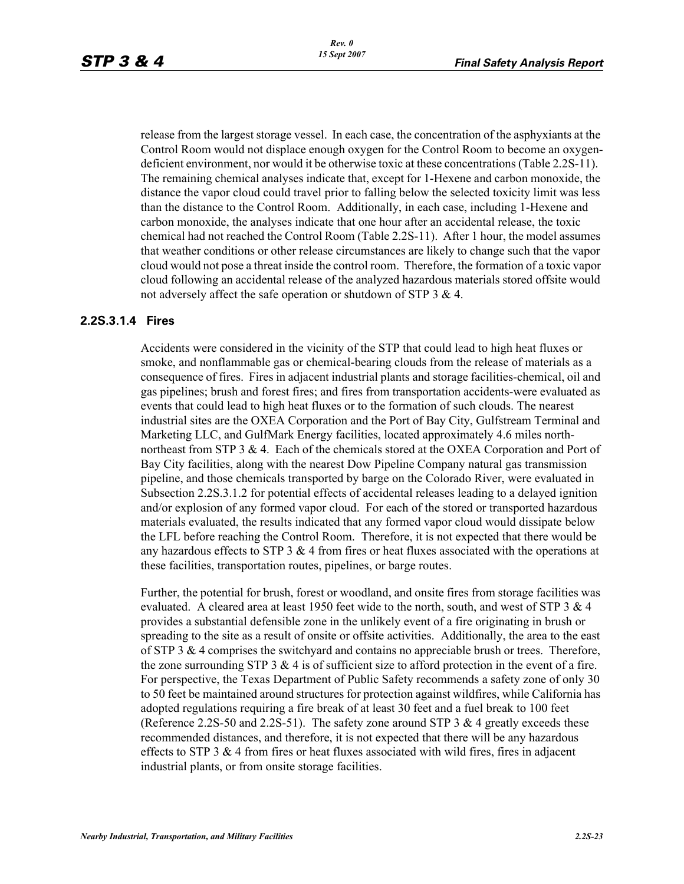release from the largest storage vessel. In each case, the concentration of the asphyxiants at the Control Room would not displace enough oxygen for the Control Room to become an oxygendeficient environment, nor would it be otherwise toxic at these concentrations (Table 2.2S-11). The remaining chemical analyses indicate that, except for 1-Hexene and carbon monoxide, the distance the vapor cloud could travel prior to falling below the selected toxicity limit was less than the distance to the Control Room. Additionally, in each case, including 1-Hexene and carbon monoxide, the analyses indicate that one hour after an accidental release, the toxic chemical had not reached the Control Room (Table 2.2S-11). After 1 hour, the model assumes that weather conditions or other release circumstances are likely to change such that the vapor cloud would not pose a threat inside the control room. Therefore, the formation of a toxic vapor cloud following an accidental release of the analyzed hazardous materials stored offsite would not adversely affect the safe operation or shutdown of STP 3 & 4.

#### **2.2S.3.1.4 Fires**

Accidents were considered in the vicinity of the STP that could lead to high heat fluxes or smoke, and nonflammable gas or chemical-bearing clouds from the release of materials as a consequence of fires. Fires in adjacent industrial plants and storage facilities-chemical, oil and gas pipelines; brush and forest fires; and fires from transportation accidents-were evaluated as events that could lead to high heat fluxes or to the formation of such clouds. The nearest industrial sites are the OXEA Corporation and the Port of Bay City, Gulfstream Terminal and Marketing LLC, and GulfMark Energy facilities, located approximately 4.6 miles northnortheast from STP 3 & 4. Each of the chemicals stored at the OXEA Corporation and Port of Bay City facilities, along with the nearest Dow Pipeline Company natural gas transmission pipeline, and those chemicals transported by barge on the Colorado River, were evaluated in Subsection 2.2S.3.1.2 for potential effects of accidental releases leading to a delayed ignition and/or explosion of any formed vapor cloud. For each of the stored or transported hazardous materials evaluated, the results indicated that any formed vapor cloud would dissipate below the LFL before reaching the Control Room. Therefore, it is not expected that there would be any hazardous effects to STP  $3 \& 4$  from fires or heat fluxes associated with the operations at these facilities, transportation routes, pipelines, or barge routes.

Further, the potential for brush, forest or woodland, and onsite fires from storage facilities was evaluated. A cleared area at least 1950 feet wide to the north, south, and west of STP  $3 \& 4$ provides a substantial defensible zone in the unlikely event of a fire originating in brush or spreading to the site as a result of onsite or offsite activities. Additionally, the area to the east of STP 3  $\&$  4 comprises the switchyard and contains no appreciable brush or trees. Therefore, the zone surrounding STP  $3 \& 4$  is of sufficient size to afford protection in the event of a fire. For perspective, the Texas Department of Public Safety recommends a safety zone of only 30 to 50 feet be maintained around structures for protection against wildfires, while California has adopted regulations requiring a fire break of at least 30 feet and a fuel break to 100 feet (Reference 2.2S-50 and 2.2S-51). The safety zone around STP 3  $\&$  4 greatly exceeds these recommended distances, and therefore, it is not expected that there will be any hazardous effects to STP 3  $\&$  4 from fires or heat fluxes associated with wild fires, fires in adjacent industrial plants, or from onsite storage facilities.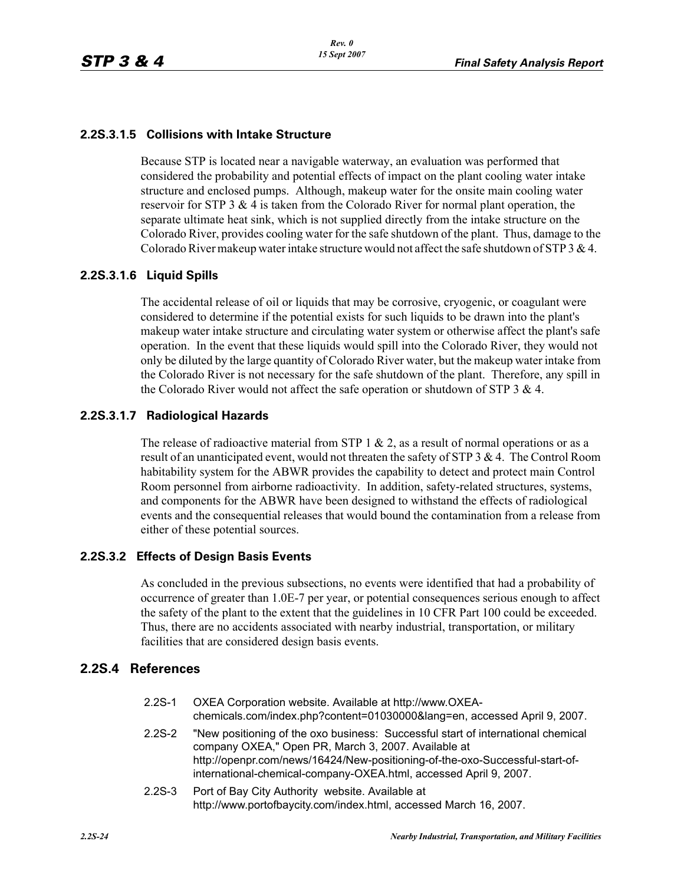#### **2.2S.3.1.5 Collisions with Intake Structure**

Because STP is located near a navigable waterway, an evaluation was performed that considered the probability and potential effects of impact on the plant cooling water intake structure and enclosed pumps. Although, makeup water for the onsite main cooling water reservoir for STP 3 & 4 is taken from the Colorado River for normal plant operation, the separate ultimate heat sink, which is not supplied directly from the intake structure on the Colorado River, provides cooling water for the safe shutdown of the plant. Thus, damage to the Colorado River makeup water intake structure would not affect the safe shutdown of STP  $3 \& 4$ .

#### **2.2S.3.1.6 Liquid Spills**

The accidental release of oil or liquids that may be corrosive, cryogenic, or coagulant were considered to determine if the potential exists for such liquids to be drawn into the plant's makeup water intake structure and circulating water system or otherwise affect the plant's safe operation. In the event that these liquids would spill into the Colorado River, they would not only be diluted by the large quantity of Colorado River water, but the makeup water intake from the Colorado River is not necessary for the safe shutdown of the plant. Therefore, any spill in the Colorado River would not affect the safe operation or shutdown of STP 3  $\&$  4.

#### **2.2S.3.1.7 Radiological Hazards**

The release of radioactive material from STP 1  $\&$  2, as a result of normal operations or as a result of an unanticipated event, would not threaten the safety of STP 3 & 4. The Control Room habitability system for the ABWR provides the capability to detect and protect main Control Room personnel from airborne radioactivity. In addition, safety-related structures, systems, and components for the ABWR have been designed to withstand the effects of radiological events and the consequential releases that would bound the contamination from a release from either of these potential sources.

#### **2.2S.3.2 Effects of Design Basis Events**

As concluded in the previous subsections, no events were identified that had a probability of occurrence of greater than 1.0E-7 per year, or potential consequences serious enough to affect the safety of the plant to the extent that the guidelines in 10 CFR Part 100 could be exceeded. Thus, there are no accidents associated with nearby industrial, transportation, or military facilities that are considered design basis events.

#### **2.2S.4 References**

| $2.2S-1$ | OXEA Corporation website. Available at http://www.OXEA-<br>chemicals.com/index.php?content=01030000⟨=en, accessed April 9, 2007.                                                                                                                                                             |
|----------|----------------------------------------------------------------------------------------------------------------------------------------------------------------------------------------------------------------------------------------------------------------------------------------------|
| $2.2S-2$ | "New positioning of the oxo business: Successful start of international chemical<br>company OXEA," Open PR, March 3, 2007. Available at<br>http://openpr.com/news/16424/New-positioning-of-the-oxo-Successful-start-of-<br>international-chemical-company-OXEA.html, accessed April 9, 2007. |

2.2S-3 Port of Bay City Authority website. Available at http://www.portofbaycity.com/index.html, accessed March 16, 2007.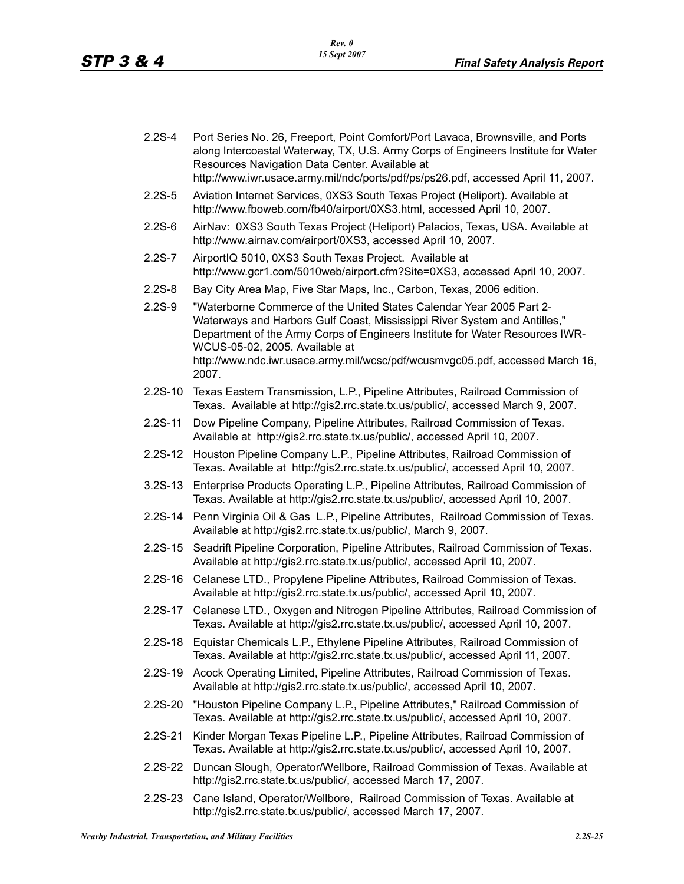- 2.2S-4 Port Series No. 26, Freeport, Point Comfort/Port Lavaca, Brownsville, and Ports along Intercoastal Waterway, TX, U.S. Army Corps of Engineers Institute for Water Resources Navigation Data Center. Available at http://www.iwr.usace.army.mil/ndc/ports/pdf/ps/ps26.pdf, accessed April 11, 2007.
- 2.2S-5 Aviation Internet Services, 0XS3 South Texas Project (Heliport). Available at http://www.fboweb.com/fb40/airport/0XS3.html, accessed April 10, 2007.
- 2.2S-6 AirNav: 0XS3 South Texas Project (Heliport) Palacios, Texas, USA. Available at http://www.airnav.com/airport/0XS3, accessed April 10, 2007.
- 2.2S-7 AirportIQ 5010, 0XS3 South Texas Project. Available at http://www.gcr1.com/5010web/airport.cfm?Site=0XS3, accessed April 10, 2007.
- 2.2S-8 Bay City Area Map, Five Star Maps, Inc., Carbon, Texas, 2006 edition.
- 2.2S-9 "Waterborne Commerce of the United States Calendar Year 2005 Part 2- Waterways and Harbors Gulf Coast, Mississippi River System and Antilles," Department of the Army Corps of Engineers Institute for Water Resources IWR-WCUS-05-02, 2005. Available at http://www.ndc.iwr.usace.army.mil/wcsc/pdf/wcusmvgc05.pdf, accessed March 16, 2007.
- 2.2S-10 Texas Eastern Transmission, L.P., Pipeline Attributes, Railroad Commission of Texas. Available at http://gis2.rrc.state.tx.us/public/, accessed March 9, 2007.
- 2.2S-11 Dow Pipeline Company, Pipeline Attributes, Railroad Commission of Texas. Available at http://gis2.rrc.state.tx.us/public/, accessed April 10, 2007.
- 2.2S-12 Houston Pipeline Company L.P., Pipeline Attributes, Railroad Commission of Texas. Available at http://gis2.rrc.state.tx.us/public/, accessed April 10, 2007.
- 3.2S-13 Enterprise Products Operating L.P., Pipeline Attributes, Railroad Commission of Texas. Available at http://gis2.rrc.state.tx.us/public/, accessed April 10, 2007.
- 2.2S-14 Penn Virginia Oil & Gas L.P., Pipeline Attributes, Railroad Commission of Texas. Available at http://gis2.rrc.state.tx.us/public/, March 9, 2007.
- 2.2S-15 Seadrift Pipeline Corporation, Pipeline Attributes, Railroad Commission of Texas. Available at http://gis2.rrc.state.tx.us/public/, accessed April 10, 2007.
- 2.2S-16 Celanese LTD., Propylene Pipeline Attributes, Railroad Commission of Texas. Available at http://gis2.rrc.state.tx.us/public/, accessed April 10, 2007.
- 2.2S-17 Celanese LTD., Oxygen and Nitrogen Pipeline Attributes, Railroad Commission of Texas. Available at http://gis2.rrc.state.tx.us/public/, accessed April 10, 2007.
- 2.2S-18 Equistar Chemicals L.P., Ethylene Pipeline Attributes, Railroad Commission of Texas. Available at http://gis2.rrc.state.tx.us/public/, accessed April 11, 2007.
- 2.2S-19 Acock Operating Limited, Pipeline Attributes, Railroad Commission of Texas. Available at http://gis2.rrc.state.tx.us/public/, accessed April 10, 2007.
- 2.2S-20 "Houston Pipeline Company L.P., Pipeline Attributes," Railroad Commission of Texas. Available at http://gis2.rrc.state.tx.us/public/, accessed April 10, 2007.
- 2.2S-21 Kinder Morgan Texas Pipeline L.P., Pipeline Attributes, Railroad Commission of Texas. Available at http://gis2.rrc.state.tx.us/public/, accessed April 10, 2007.
- 2.2S-22 Duncan Slough, Operator/Wellbore, Railroad Commission of Texas. Available at http://gis2.rrc.state.tx.us/public/, accessed March 17, 2007.
- 2.2S-23 Cane Island, Operator/Wellbore, Railroad Commission of Texas. Available at http://gis2.rrc.state.tx.us/public/, accessed March 17, 2007.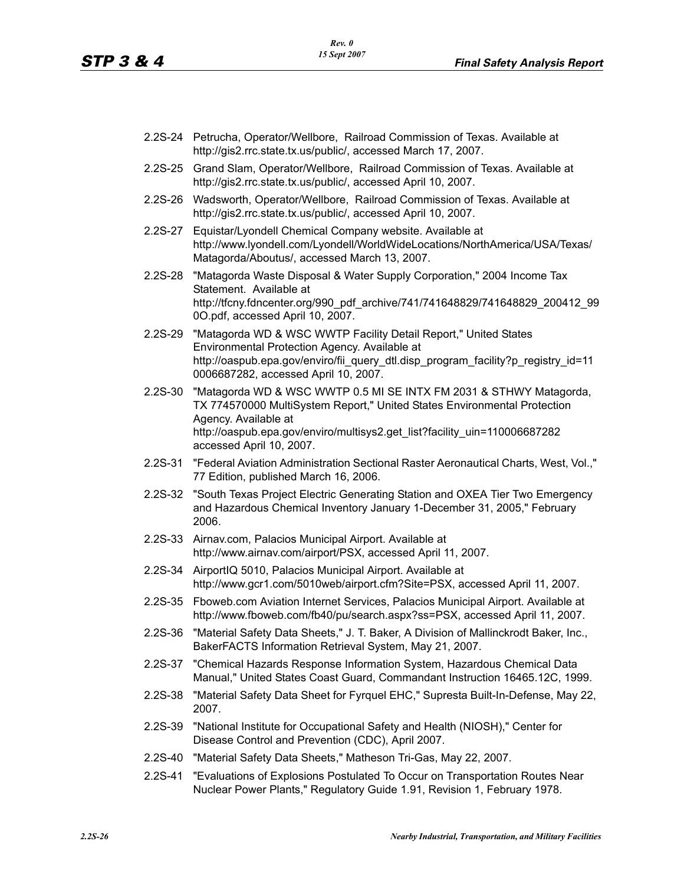- 2.2S-24 Petrucha, Operator/Wellbore, Railroad Commission of Texas. Available at http://gis2.rrc.state.tx.us/public/, accessed March 17, 2007.
- 2.2S-25 Grand Slam, Operator/Wellbore, Railroad Commission of Texas. Available at http://gis2.rrc.state.tx.us/public/, accessed April 10, 2007.
- 2.2S-26 Wadsworth, Operator/Wellbore, Railroad Commission of Texas. Available at http://gis2.rrc.state.tx.us/public/, accessed April 10, 2007.
- 2.2S-27 Equistar/Lyondell Chemical Company website. Available at http://www.lyondell.com/Lyondell/WorldWideLocations/NorthAmerica/USA/Texas/ Matagorda/Aboutus/, accessed March 13, 2007.
- 2.2S-28 "Matagorda Waste Disposal & Water Supply Corporation," 2004 Income Tax Statement. Available at http://tfcny.fdncenter.org/990\_pdf\_archive/741/741648829/741648829\_200412\_99 0O.pdf, accessed April 10, 2007.
- 2.2S-29 "Matagorda WD & WSC WWTP Facility Detail Report," United States Environmental Protection Agency. Available at http://oaspub.epa.gov/enviro/fii\_query\_dtl.disp\_program\_facility?p\_registry\_id=11 0006687282, accessed April 10, 2007.
- 2.2S-30 "Matagorda WD & WSC WWTP 0.5 MI SE INTX FM 2031 & STHWY Matagorda, TX 774570000 MultiSystem Report," United States Environmental Protection Agency. Available at http://oaspub.epa.gov/enviro/multisys2.get\_list?facility\_uin=110006687282 accessed April 10, 2007.
- 2.2S-31 "Federal Aviation Administration Sectional Raster Aeronautical Charts, West, Vol.," 77 Edition, published March 16, 2006.
- 2.2S-32 "South Texas Project Electric Generating Station and OXEA Tier Two Emergency and Hazardous Chemical Inventory January 1-December 31, 2005," February 2006.
- 2.2S-33 Airnav.com, Palacios Municipal Airport. Available at http://www.airnav.com/airport/PSX, accessed April 11, 2007.
- 2.2S-34 AirportIQ 5010, Palacios Municipal Airport. Available at http://www.gcr1.com/5010web/airport.cfm?Site=PSX, accessed April 11, 2007.
- 2.2S-35 Fboweb.com Aviation Internet Services, Palacios Municipal Airport. Available at http://www.fboweb.com/fb40/pu/search.aspx?ss=PSX, accessed April 11, 2007.
- 2.2S-36 "Material Safety Data Sheets," J. T. Baker, A Division of Mallinckrodt Baker, Inc., BakerFACTS Information Retrieval System, May 21, 2007.
- 2.2S-37 "Chemical Hazards Response Information System, Hazardous Chemical Data Manual," United States Coast Guard, Commandant Instruction 16465.12C, 1999.
- 2.2S-38 "Material Safety Data Sheet for Fyrquel EHC," Supresta Built-In-Defense, May 22, 2007.
- 2.2S-39 "National Institute for Occupational Safety and Health (NIOSH)," Center for Disease Control and Prevention (CDC), April 2007.
- 2.2S-40 "Material Safety Data Sheets," Matheson Tri-Gas, May 22, 2007.
- 2.2S-41 "Evaluations of Explosions Postulated To Occur on Transportation Routes Near Nuclear Power Plants," Regulatory Guide 1.91, Revision 1, February 1978.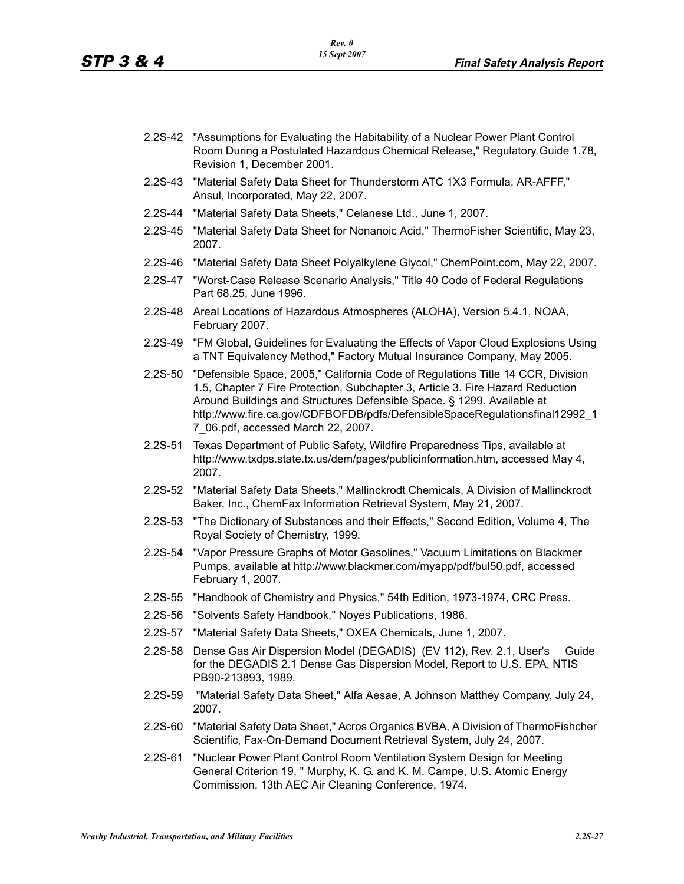- 2.2S-42 "Assumptions for Evaluating the Habitability of a Nuclear Power Plant Control Room During a Postulated Hazardous Chemical Release," Regulatory Guide 1.78, Revision 1, December 2001.
- 2.2S-43 "Material Safety Data Sheet for Thunderstorm ATC 1X3 Formula, AR-AFFF," Ansul, Incorporated, May 22, 2007.
- 2.2S-44 "Material Safety Data Sheets," Celanese Ltd., June 1, 2007.
- 2.2S-45 "Material Safety Data Sheet for Nonanoic Acid," ThermoFisher Scientific, May 23, 2007.
- 2.2S-46 "Material Safety Data Sheet Polyalkylene Glycol," ChemPoint.com, May 22, 2007.
- 2.2S-47 "Worst-Case Release Scenario Analysis," Title 40 Code of Federal Regulations Part 68.25, June 1996.
- 2.2S-48 Areal Locations of Hazardous Atmospheres (ALOHA), Version 5.4.1, NOAA, February 2007.
- 2.2S-49 "FM Global, Guidelines for Evaluating the Effects of Vapor Cloud Explosions Using a TNT Equivalency Method," Factory Mutual Insurance Company, May 2005.
- 2.2S-50 "Defensible Space, 2005," California Code of Regulations Title 14 CCR, Division 1.5, Chapter 7 Fire Protection, Subchapter 3, Article 3. Fire Hazard Reduction Around Buildings and Structures Defensible Space. § 1299. Available at http://www.fire.ca.gov/CDFBOFDB/pdfs/DefensibleSpaceRegulationsfinal12992\_1 7\_06.pdf, accessed March 22, 2007.
- 2.2S-51 Texas Department of Public Safety, Wildfire Preparedness Tips, available at http://www.txdps.state.tx.us/dem/pages/publicinformation.htm, accessed May 4, 2007.
- 2.2S-52 "Material Safety Data Sheets," Mallinckrodt Chemicals, A Division of Mallinckrodt Baker, Inc., ChemFax Information Retrieval System, May 21, 2007.
- 2.2S-53 "The Dictionary of Substances and their Effects," Second Edition, Volume 4, The Royal Society of Chemistry, 1999.
- 2.2S-54 "Vapor Pressure Graphs of Motor Gasolines," Vacuum Limitations on Blackmer Pumps, available at http://www.blackmer.com/myapp/pdf/bul50.pdf, accessed February 1, 2007.
- 2.2S-55 "Handbook of Chemistry and Physics," 54th Edition, 1973-1974, CRC Press.
- 2.2S-56 "Solvents Safety Handbook," Noyes Publications, 1986.
- 2.2S-57 "Material Safety Data Sheets," OXEA Chemicals, June 1, 2007.
- 2.2S-58 Dense Gas Air Dispersion Model (DEGADIS) (EV 112), Rev. 2.1, User's Guide for the DEGADIS 2.1 Dense Gas Dispersion Model, Report to U.S. EPA, NTIS PB90-213893, 1989.
- 2.2S-59 "Material Safety Data Sheet," Alfa Aesae, A Johnson Matthey Company, July 24, 2007.
- 2.2S-60 "Material Safety Data Sheet," Acros Organics BVBA, A Division of ThermoFishcher Scientific, Fax-On-Demand Document Retrieval System, July 24, 2007.
- 2.2S-61 "Nuclear Power Plant Control Room Ventilation System Design for Meeting General Criterion 19, " Murphy, K. G. and K. M. Campe, U.S. Atomic Energy Commission, 13th AEC Air Cleaning Conference, 1974.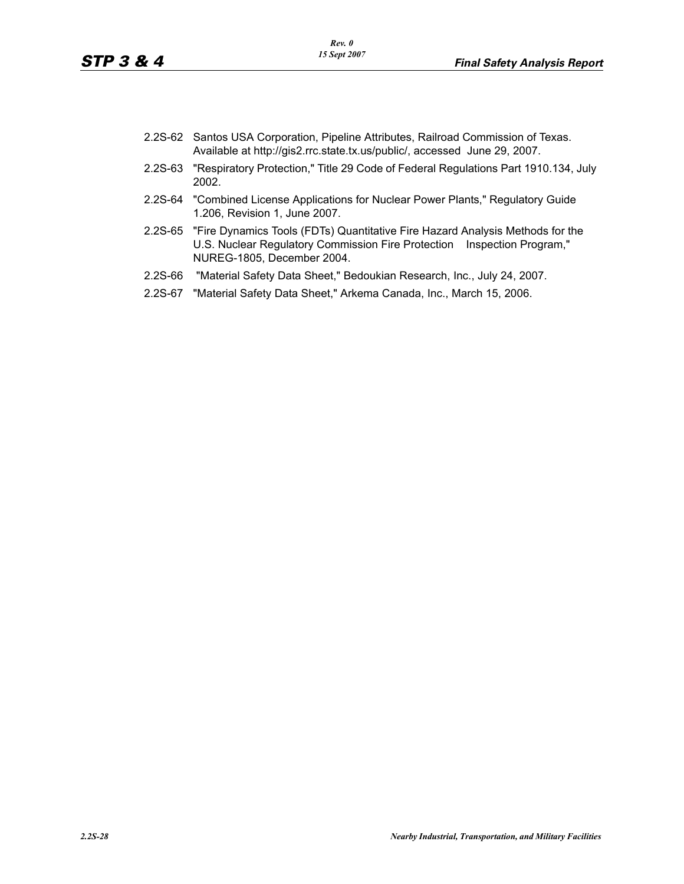- 2.2S-62 Santos USA Corporation, Pipeline Attributes, Railroad Commission of Texas. Available at http://gis2.rrc.state.tx.us/public/, accessed June 29, 2007.
- 2.2S-63 "Respiratory Protection," Title 29 Code of Federal Regulations Part 1910.134, July 2002.
- 2.2S-64 "Combined License Applications for Nuclear Power Plants," Regulatory Guide 1.206, Revision 1, June 2007.
- 2.2S-65 "Fire Dynamics Tools (FDTs) Quantitative Fire Hazard Analysis Methods for the U.S. Nuclear Regulatory Commission Fire Protection Inspection Program," NUREG-1805, December 2004.
- 2.2S-66 "Material Safety Data Sheet," Bedoukian Research, Inc., July 24, 2007.
- 2.2S-67 "Material Safety Data Sheet," Arkema Canada, Inc., March 15, 2006.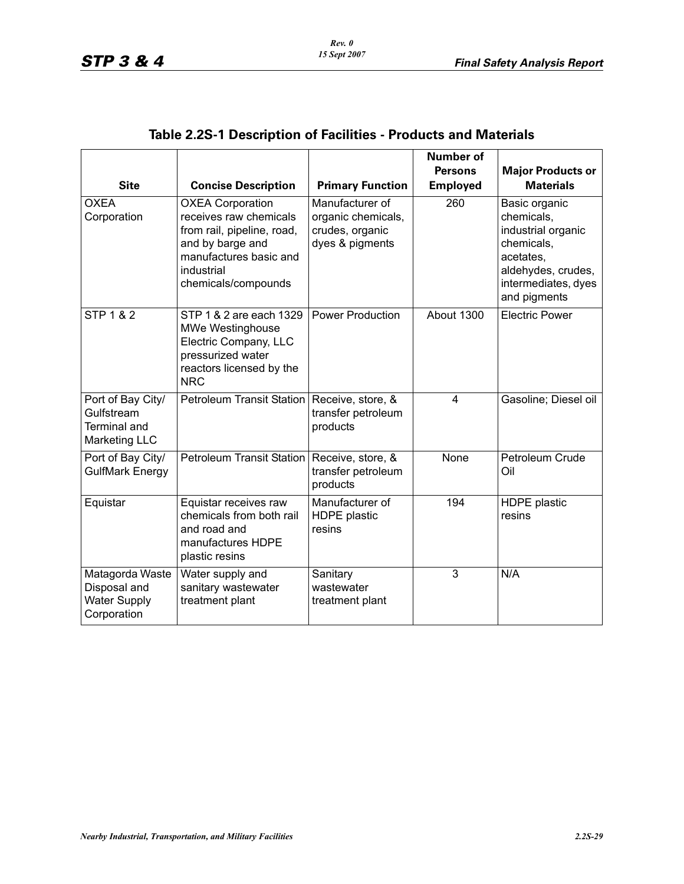|                                                                                |                                                                                                                                                                    |                                                                             | <b>Number of</b> |                                                                                                                                           |
|--------------------------------------------------------------------------------|--------------------------------------------------------------------------------------------------------------------------------------------------------------------|-----------------------------------------------------------------------------|------------------|-------------------------------------------------------------------------------------------------------------------------------------------|
|                                                                                |                                                                                                                                                                    |                                                                             | <b>Persons</b>   | <b>Major Products or</b>                                                                                                                  |
| <b>Site</b>                                                                    | <b>Concise Description</b>                                                                                                                                         | <b>Primary Function</b>                                                     | <b>Employed</b>  | <b>Materials</b>                                                                                                                          |
| <b>OXEA</b><br>Corporation                                                     | <b>OXEA Corporation</b><br>receives raw chemicals<br>from rail, pipeline, road,<br>and by barge and<br>manufactures basic and<br>industrial<br>chemicals/compounds | Manufacturer of<br>organic chemicals,<br>crudes, organic<br>dyes & pigments | 260              | Basic organic<br>chemicals,<br>industrial organic<br>chemicals,<br>acetates.<br>aldehydes, crudes,<br>intermediates, dyes<br>and pigments |
| STP $1 & 2$                                                                    | STP 1 & 2 are each 1329<br><b>MWe Westinghouse</b><br>Electric Company, LLC<br>pressurized water<br>reactors licensed by the<br><b>NRC</b>                         | <b>Power Production</b>                                                     | About 1300       | <b>Electric Power</b>                                                                                                                     |
| Port of Bay City/<br>Gulfstream<br><b>Terminal and</b><br><b>Marketing LLC</b> | <b>Petroleum Transit Station</b>                                                                                                                                   | Receive, store, &<br>transfer petroleum<br>products                         | 4                | Gasoline; Diesel oil                                                                                                                      |
| Port of Bay City/<br><b>GulfMark Energy</b>                                    | <b>Petroleum Transit Station</b>                                                                                                                                   | Receive, store, &<br>transfer petroleum<br>products                         | None             | Petroleum Crude<br>Oil                                                                                                                    |
| Equistar                                                                       | Equistar receives raw<br>chemicals from both rail<br>and road and<br>manufactures HDPE<br>plastic resins                                                           | Manufacturer of<br><b>HDPE</b> plastic<br>resins                            | 194              | <b>HDPE</b> plastic<br>resins                                                                                                             |
| Matagorda Waste<br>Disposal and<br><b>Water Supply</b><br>Corporation          | Water supply and<br>sanitary wastewater<br>treatment plant                                                                                                         | Sanitary<br>wastewater<br>treatment plant                                   | 3                | N/A                                                                                                                                       |

# **Table 2.2S-1 Description of Facilities - Products and Materials**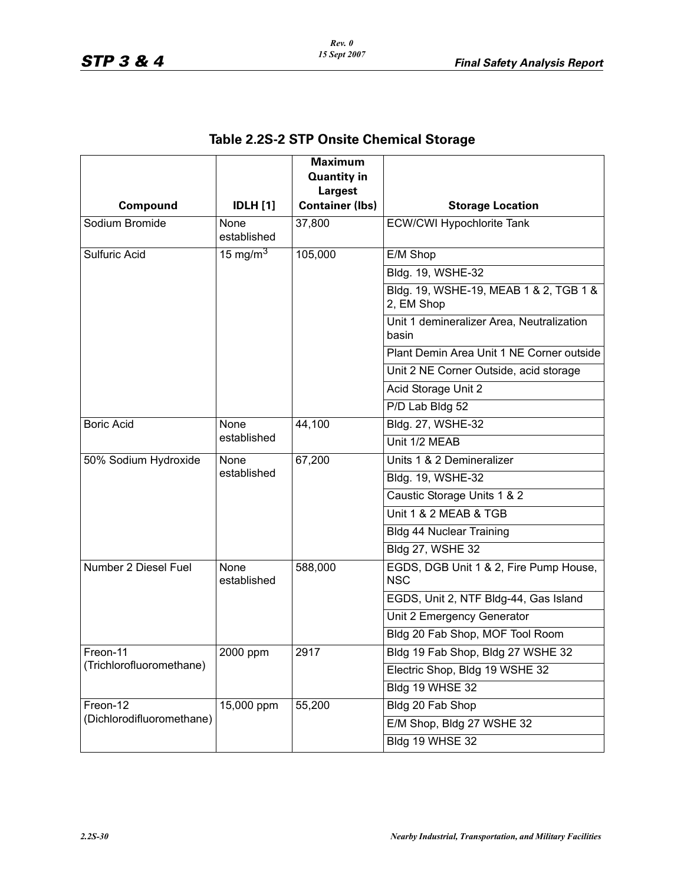|                           |                     | <b>Maximum</b><br><b>Quantity in</b> |                                                      |
|---------------------------|---------------------|--------------------------------------|------------------------------------------------------|
|                           |                     | <b>Largest</b>                       |                                                      |
| Compound                  | <b>IDLH</b> [1]     | <b>Container (lbs)</b>               | <b>Storage Location</b>                              |
| Sodium Bromide            | None                | 37,800                               | <b>ECW/CWI Hypochlorite Tank</b>                     |
|                           | established         |                                      |                                                      |
| Sulfuric Acid             | 15 mg/m $^3$        | 105,000                              | E/M Shop                                             |
|                           |                     |                                      | Bldg. 19, WSHE-32                                    |
|                           |                     |                                      | Bldg. 19, WSHE-19, MEAB 1 & 2, TGB 1 &<br>2, EM Shop |
|                           |                     |                                      | Unit 1 demineralizer Area, Neutralization<br>basin   |
|                           |                     |                                      | Plant Demin Area Unit 1 NE Corner outside            |
|                           |                     |                                      | Unit 2 NE Corner Outside, acid storage               |
|                           |                     |                                      | Acid Storage Unit 2                                  |
|                           |                     |                                      | P/D Lab Bldg 52                                      |
| <b>Boric Acid</b>         | None                | 44,100                               | Bldg. 27, WSHE-32                                    |
|                           | established         |                                      | Unit 1/2 MEAB                                        |
| 50% Sodium Hydroxide      | None                | 67,200                               | Units 1 & 2 Demineralizer                            |
|                           | established         |                                      | Bldg. 19, WSHE-32                                    |
|                           |                     |                                      | Caustic Storage Units 1 & 2                          |
|                           |                     |                                      | Unit 1 & 2 MEAB & TGB                                |
|                           |                     |                                      | <b>Bldg 44 Nuclear Training</b>                      |
|                           |                     |                                      | <b>Bldg 27, WSHE 32</b>                              |
| Number 2 Diesel Fuel      | None<br>established | 588,000                              | EGDS, DGB Unit 1 & 2, Fire Pump House,<br><b>NSC</b> |
|                           |                     |                                      | EGDS, Unit 2, NTF Bldg-44, Gas Island                |
|                           |                     |                                      | Unit 2 Emergency Generator                           |
|                           |                     |                                      | Bldg 20 Fab Shop, MOF Tool Room                      |
| Freon-11                  | 2000 ppm            | 2917                                 | Bldg 19 Fab Shop, Bldg 27 WSHE 32                    |
| (Trichlorofluoromethane)  |                     |                                      | Electric Shop, Bldg 19 WSHE 32                       |
|                           |                     |                                      | Bldg 19 WHSE 32                                      |
| Freon-12                  | 15,000 ppm          | 55,200                               | Bldg 20 Fab Shop                                     |
| (Dichlorodifluoromethane) |                     |                                      | E/M Shop, Bldg 27 WSHE 32                            |
|                           |                     |                                      | Bldg 19 WHSE 32                                      |

# **Table 2.2S-2 STP Onsite Chemical Storage**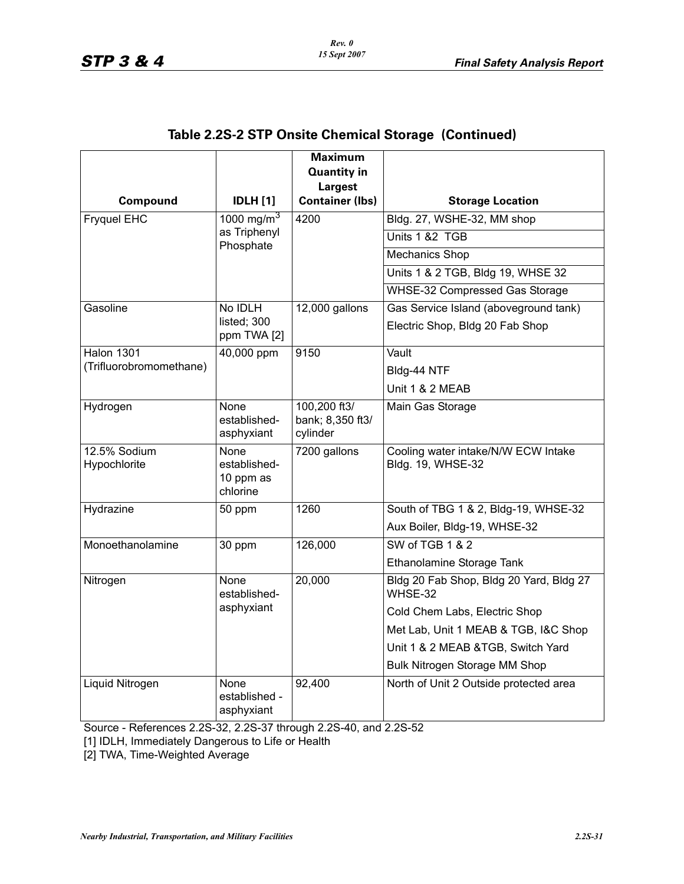|                              |                                               | <b>Maximum</b><br><b>Quantity in</b>         |                                                          |
|------------------------------|-----------------------------------------------|----------------------------------------------|----------------------------------------------------------|
|                              |                                               | <b>Largest</b>                               |                                                          |
| Compound                     | <b>IDLH</b> [1]                               | <b>Container (lbs)</b>                       | <b>Storage Location</b>                                  |
| <b>Fryquel EHC</b>           | 1000 mg/m <sup>3</sup>                        | 4200                                         | Bldg. 27, WSHE-32, MM shop                               |
|                              | as Triphenyl<br>Phosphate                     |                                              | Units 1 &2 TGB                                           |
|                              |                                               |                                              | <b>Mechanics Shop</b>                                    |
|                              |                                               |                                              | Units 1 & 2 TGB, Bldg 19, WHSE 32                        |
|                              |                                               |                                              | WHSE-32 Compressed Gas Storage                           |
| Gasoline                     | No IDLH                                       | 12,000 gallons                               | Gas Service Island (aboveground tank)                    |
|                              | listed; 300<br>ppm TWA [2]                    |                                              | Electric Shop, Bldg 20 Fab Shop                          |
| <b>Halon 1301</b>            | 40,000 ppm                                    | 9150                                         | Vault                                                    |
| (Trifluorobromomethane)      |                                               |                                              | Bldg-44 NTF                                              |
|                              |                                               |                                              | Unit 1 & 2 MEAB                                          |
| Hydrogen                     | None<br>established-<br>asphyxiant            | 100,200 ft3/<br>bank; 8,350 ft3/<br>cylinder | Main Gas Storage                                         |
| 12.5% Sodium<br>Hypochlorite | None<br>established-<br>10 ppm as<br>chlorine | 7200 gallons                                 | Cooling water intake/N/W ECW Intake<br>Bldg. 19, WHSE-32 |
| Hydrazine                    | 50 ppm                                        | 1260                                         | South of TBG 1 & 2, Bldg-19, WHSE-32                     |
|                              |                                               |                                              | Aux Boiler, Bldg-19, WHSE-32                             |
| Monoethanolamine             | 30 ppm                                        | 126,000                                      | SW of TGB 1 & 2                                          |
|                              |                                               |                                              | Ethanolamine Storage Tank                                |
| Nitrogen                     | <b>None</b><br>established-                   | 20,000                                       | Bldg 20 Fab Shop, Bldg 20 Yard, Bldg 27<br>WHSE-32       |
|                              | asphyxiant                                    |                                              | Cold Chem Labs, Electric Shop                            |
|                              |                                               |                                              | Met Lab, Unit 1 MEAB & TGB, I&C Shop                     |
|                              |                                               |                                              | Unit 1 & 2 MEAB &TGB, Switch Yard                        |
|                              |                                               |                                              | Bulk Nitrogen Storage MM Shop                            |
| Liquid Nitrogen              | None<br>established -<br>asphyxiant           | 92,400                                       | North of Unit 2 Outside protected area                   |

### **Table 2.2S-2 STP Onsite Chemical Storage (Continued)**

Source - References 2.2S-32, 2.2S-37 through 2.2S-40, and 2.2S-52

[1] IDLH, Immediately Dangerous to Life or Health

[2] TWA, Time-Weighted Average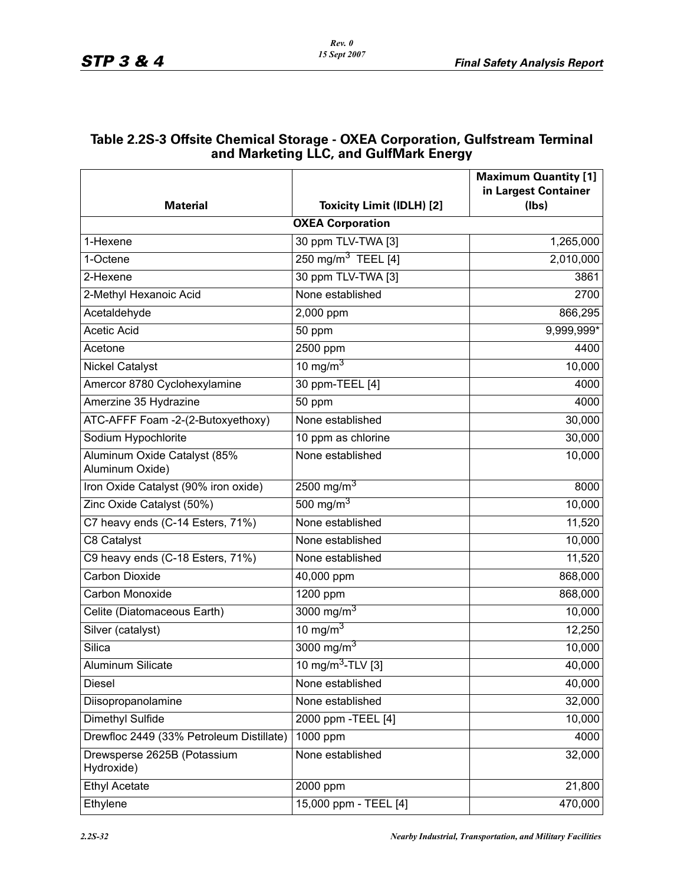| Table 2.2S-3 Offsite Chemical Storage - OXEA Corporation, Gulfstream Terminal |
|-------------------------------------------------------------------------------|
| and Marketing LLC, and GulfMark Energy                                        |

|                                                 |                                  | <b>Maximum Quantity [1]</b>   |  |  |
|-------------------------------------------------|----------------------------------|-------------------------------|--|--|
| <b>Material</b>                                 | <b>Toxicity Limit (IDLH) [2]</b> | in Largest Container<br>(lbs) |  |  |
| <b>OXEA Corporation</b>                         |                                  |                               |  |  |
| 1-Hexene                                        | 30 ppm TLV-TWA [3]               | 1,265,000                     |  |  |
| 1-Octene                                        | 250 mg/m <sup>3</sup> TEEL [4]   | 2,010,000                     |  |  |
| 2-Hexene                                        | 30 ppm TLV-TWA [3]               | 3861                          |  |  |
| 2-Methyl Hexanoic Acid                          | None established                 | 2700                          |  |  |
| Acetaldehyde                                    | $2,000$ ppm                      | 866,295                       |  |  |
| <b>Acetic Acid</b>                              | 50 ppm                           | 9,999,999*                    |  |  |
| Acetone                                         | 2500 ppm                         | 4400                          |  |  |
| <b>Nickel Catalyst</b>                          | 10 mg/m $3$                      | 10,000                        |  |  |
| Amercor 8780 Cyclohexylamine                    | 30 ppm-TEEL [4]                  | 4000                          |  |  |
| Amerzine 35 Hydrazine                           | 50 ppm                           | 4000                          |  |  |
| ATC-AFFF Foam -2-(2-Butoxyethoxy)               | None established                 | 30,000                        |  |  |
| Sodium Hypochlorite                             | 10 ppm as chlorine               | 30,000                        |  |  |
| Aluminum Oxide Catalyst (85%<br>Aluminum Oxide) | None established                 | 10,000                        |  |  |
| Iron Oxide Catalyst (90% iron oxide)            | 2500 mg/m <sup>3</sup>           | 8000                          |  |  |
| Zinc Oxide Catalyst (50%)                       | 500 mg/m $3$                     | 10,000                        |  |  |
| C7 heavy ends (C-14 Esters, 71%)                | None established                 | 11,520                        |  |  |
| C8 Catalyst                                     | None established                 | 10,000                        |  |  |
| C9 heavy ends (C-18 Esters, 71%)                | None established                 | 11,520                        |  |  |
| <b>Carbon Dioxide</b>                           | 40,000 ppm                       | 868,000                       |  |  |
| Carbon Monoxide                                 | 1200 ppm                         | 868,000                       |  |  |
| Celite (Diatomaceous Earth)                     | 3000 mg/m <sup>3</sup>           | 10,000                        |  |  |
| Silver (catalyst)                               | 10 mg/m $3$                      | 12,250                        |  |  |
| Silica                                          | 3000 mg/m <sup>3</sup>           | 10,000                        |  |  |
| <b>Aluminum Silicate</b>                        | 10 mg/m <sup>3</sup> -TLV [3]    | 40,000                        |  |  |
| Diesel                                          | None established                 | 40,000                        |  |  |
| Diisopropanolamine                              | None established                 | 32,000                        |  |  |
| Dimethyl Sulfide                                | 2000 ppm - TEEL [4]              | 10,000                        |  |  |
| Drewfloc 2449 (33% Petroleum Distillate)        | $1000$ ppm                       | 4000                          |  |  |
| Drewsperse 2625B (Potassium<br>Hydroxide)       | None established                 | 32,000                        |  |  |
| <b>Ethyl Acetate</b>                            | 2000 ppm                         | 21,800                        |  |  |
| Ethylene                                        | 15,000 ppm - TEEL [4]            | 470,000                       |  |  |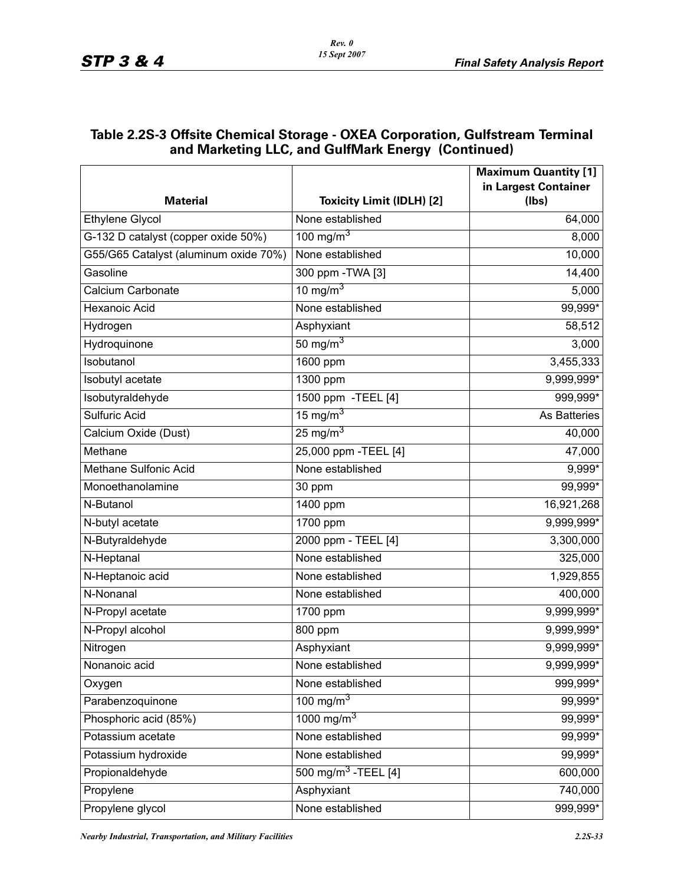#### **Table 2.2S-3 Offsite Chemical Storage - OXEA Corporation, Gulfstream Terminal and Marketing LLC, and GulfMark Energy (Continued)**

|                                       |                                  | <b>Maximum Quantity [1]</b> |
|---------------------------------------|----------------------------------|-----------------------------|
|                                       |                                  | in Largest Container        |
| <b>Material</b>                       | <b>Toxicity Limit (IDLH) [2]</b> | (Ibs)                       |
| <b>Ethylene Glycol</b>                | None established                 | 64,000                      |
| G-132 D catalyst (copper oxide 50%)   | 100 mg/m $3$                     | 8,000                       |
| G55/G65 Catalyst (aluminum oxide 70%) | None established                 | 10,000                      |
| Gasoline                              | 300 ppm - TWA [3]                | 14,400                      |
| Calcium Carbonate                     | 10 mg/m <sup>3</sup>             | 5,000                       |
| <b>Hexanoic Acid</b>                  | None established                 | 99,999*                     |
| Hydrogen                              | Asphyxiant                       | 58,512                      |
| Hydroquinone                          | 50 mg/m $3$                      | 3,000                       |
| Isobutanol                            | 1600 ppm                         | 3,455,333                   |
| Isobutyl acetate                      | 1300 ppm                         | 9,999,999*                  |
| Isobutyraldehyde                      | 1500 ppm - TEEL [4]              | 999,999*                    |
| <b>Sulfuric Acid</b>                  | 15 mg/m $3$                      | As Batteries                |
| Calcium Oxide (Dust)                  | $25 \text{ mg/m}^3$              | 40,000                      |
| Methane                               | 25,000 ppm - TEEL [4]            | 47,000                      |
| Methane Sulfonic Acid                 | None established                 | 9,999*                      |
| Monoethanolamine                      | 30 ppm                           | 99,999*                     |
| N-Butanol                             | 1400 ppm                         | 16,921,268                  |
| N-butyl acetate                       | 1700 ppm                         | 9,999,999*                  |
| N-Butyraldehyde                       | 2000 ppm - TEEL [4]              | 3,300,000                   |
| N-Heptanal                            | None established                 | 325,000                     |
| N-Heptanoic acid                      | None established                 | 1,929,855                   |
| N-Nonanal                             | None established                 | 400,000                     |
| N-Propyl acetate                      | 1700 ppm                         | 9,999,999*                  |
| N-Propyl alcohol                      | 800 ppm                          | 9,999,999*                  |
| Nitrogen                              | Asphyxiant                       | $9,999,999$ *               |
| Nonanoic acid                         | None established                 | 9,999,999*                  |
| Oxygen                                | None established                 | 999,999*                    |
| Parabenzoquinone                      | 100 mg/m $3$                     | $99,999*$                   |
| Phosphoric acid (85%)                 | 1000 mg/m <sup>3</sup>           | 99,999*                     |
| Potassium acetate                     | None established                 | 99,999*                     |
| Potassium hydroxide                   | None established                 | 99,999*                     |
| Propionaldehyde                       | 500 mg/m <sup>3</sup> -TEEL [4]  | 600,000                     |
| Propylene                             | Asphyxiant                       | 740,000                     |
| Propylene glycol                      | None established                 | 999,999*                    |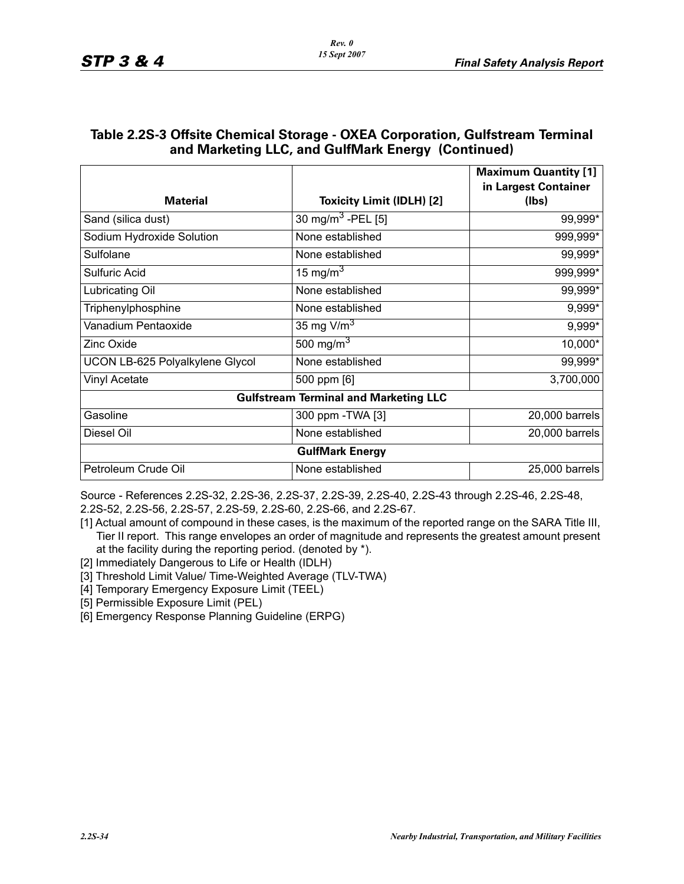| <b>Material</b>                 | <b>Toxicity Limit (IDLH) [2]</b>             | <b>Maximum Quantity [1]</b><br>in Largest Container<br>(Ibs) |
|---------------------------------|----------------------------------------------|--------------------------------------------------------------|
|                                 |                                              |                                                              |
| Sand (silica dust)              | 30 mg/m <sup>3</sup> -PEL [5]                | 99,999*                                                      |
| Sodium Hydroxide Solution       | None established                             | 999,999*                                                     |
| Sulfolane                       | None established                             | 99,999*                                                      |
| <b>Sulfuric Acid</b>            | 15 mg/m <sup>3</sup>                         | 999,999*                                                     |
| Lubricating Oil                 | None established                             | 99,999*                                                      |
| Triphenylphosphine              | None established                             | 9,999*                                                       |
| Vanadium Pentaoxide             | 35 mg $V/m3$                                 | 9,999*                                                       |
| <b>Zinc Oxide</b>               | 500 mg/m $3$                                 | 10,000*                                                      |
| UCON LB-625 Polyalkylene Glycol | None established                             | 99,999*                                                      |
| Vinyl Acetate                   | 500 ppm [6]                                  | 3,700,000                                                    |
|                                 | <b>Gulfstream Terminal and Marketing LLC</b> |                                                              |
| Gasoline                        | 300 ppm - TWA [3]                            | 20,000 barrels                                               |
| Diesel Oil                      | None established                             | 20,000 barrels                                               |
|                                 | <b>GulfMark Energy</b>                       |                                                              |
| Petroleum Crude Oil             | None established                             | 25,000 barrels                                               |

#### **Table 2.2S-3 Offsite Chemical Storage - OXEA Corporation, Gulfstream Terminal and Marketing LLC, and GulfMark Energy (Continued)**

Source - References 2.2S-32, 2.2S-36, 2.2S-37, 2.2S-39, 2.2S-40, 2.2S-43 through 2.2S-46, 2.2S-48, 2.2S-52, 2.2S-56, 2.2S-57, 2.2S-59, 2.2S-60, 2.2S-66, and 2.2S-67.

- [1] Actual amount of compound in these cases, is the maximum of the reported range on the SARA Title III, Tier II report. This range envelopes an order of magnitude and represents the greatest amount present at the facility during the reporting period. (denoted by \*).
- [2] Immediately Dangerous to Life or Health (IDLH)
- [3] Threshold Limit Value/ Time-Weighted Average (TLV-TWA)
- [4] Temporary Emergency Exposure Limit (TEEL)
- [5] Permissible Exposure Limit (PEL)
- [6] Emergency Response Planning Guideline (ERPG)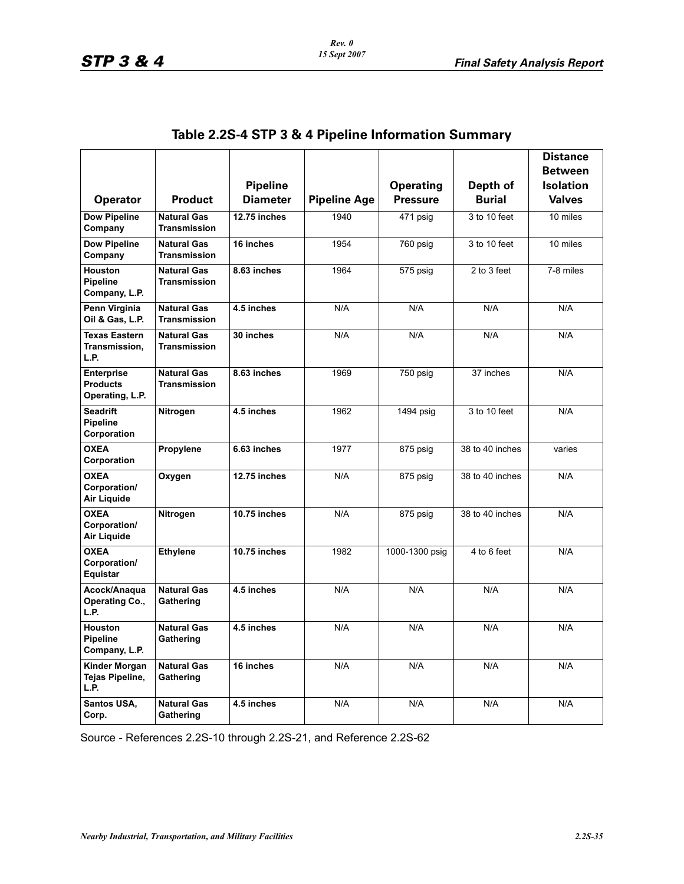|                                                         |                                           |                 |                     |                  |                 | <b>Distance</b>  |
|---------------------------------------------------------|-------------------------------------------|-----------------|---------------------|------------------|-----------------|------------------|
|                                                         |                                           |                 |                     |                  |                 | <b>Between</b>   |
|                                                         |                                           | <b>Pipeline</b> |                     | <b>Operating</b> | Depth of        | <b>Isolation</b> |
| <b>Operator</b>                                         | <b>Product</b>                            | <b>Diameter</b> | <b>Pipeline Age</b> | <b>Pressure</b>  | <b>Burial</b>   | <b>Valves</b>    |
| <b>Dow Pipeline</b><br>Company                          | <b>Natural Gas</b><br>Transmission        | 12.75 inches    | 1940                | 471 psig         | 3 to 10 feet    | 10 miles         |
| <b>Dow Pipeline</b><br>Company                          | <b>Natural Gas</b><br><b>Transmission</b> | 16 inches       | 1954                | 760 psig         | 3 to 10 feet    | 10 miles         |
| <b>Houston</b><br><b>Pipeline</b><br>Company, L.P.      | <b>Natural Gas</b><br>Transmission        | 8.63 inches     | 1964                | 575 psig         | 2 to 3 feet     | 7-8 miles        |
| Penn Virginia<br>Oil & Gas, L.P.                        | <b>Natural Gas</b><br><b>Transmission</b> | 4.5 inches      | N/A                 | N/A              | N/A             | N/A              |
| Texas Eastern<br>Transmission,<br>L.P.                  | <b>Natural Gas</b><br><b>Transmission</b> | 30 inches       | N/A                 | N/A              | N/A             | N/A              |
| <b>Enterprise</b><br><b>Products</b><br>Operating, L.P. | <b>Natural Gas</b><br><b>Transmission</b> | 8.63 inches     | 1969                | 750 psig         | 37 inches       | N/A              |
| <b>Seadrift</b><br><b>Pipeline</b><br>Corporation       | Nitrogen                                  | 4.5 inches      | 1962                | 1494 psig        | 3 to 10 feet    | N/A              |
| <b>OXEA</b><br>Corporation                              | Propylene                                 | 6.63 inches     | 1977                | 875 psig         | 38 to 40 inches | varies           |
| <b>OXEA</b><br>Corporation/<br>Air Liquide              | Oxygen                                    | 12.75 inches    | N/A                 | 875 psig         | 38 to 40 inches | N/A              |
| <b>OXEA</b><br>Corporation/<br>Air Liquide              | Nitrogen                                  | 10.75 inches    | N/A                 | 875 psig         | 38 to 40 inches | N/A              |
| <b>OXEA</b><br>Corporation/<br>Equistar                 | <b>Ethylene</b>                           | 10.75 inches    | 1982                | 1000-1300 psig   | 4 to 6 feet     | N/A              |
| Acock/Anaqua<br>Operating Co.,<br>L.P.                  | <b>Natural Gas</b><br>Gathering           | 4.5 inches      | N/A                 | N/A              | N/A             | N/A              |
| Houston<br><b>Pipeline</b><br>Company, L.P.             | <b>Natural Gas</b><br>Gathering           | 4.5 inches      | N/A                 | N/A              | N/A             | N/A              |
| <b>Kinder Morgan</b><br>Tejas Pipeline,<br>L.P.         | <b>Natural Gas</b><br>Gathering           | 16 inches       | N/A                 | N/A              | N/A             | N/A              |
| Santos USA,<br>Corp.                                    | <b>Natural Gas</b><br>Gathering           | 4.5 inches      | N/A                 | N/A              | N/A             | N/A              |

## **Table 2.2S-4 STP 3 & 4 Pipeline Information Summary**

Source - References 2.2S-10 through 2.2S-21, and Reference 2.2S-62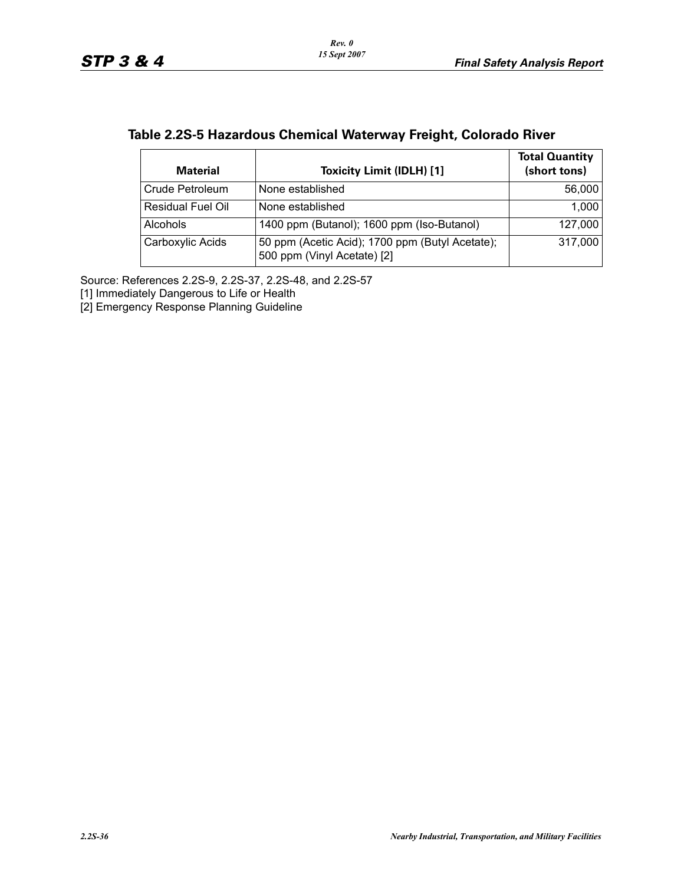| Table 2.2S-5 Hazardous Chemical Waterway Freight, Colorado River |  |  |  |
|------------------------------------------------------------------|--|--|--|
|------------------------------------------------------------------|--|--|--|

| <b>Material</b>          | <b>Toxicity Limit (IDLH) [1]</b>                                               | <b>Total Quantity</b><br>(short tons) |
|--------------------------|--------------------------------------------------------------------------------|---------------------------------------|
| Crude Petroleum          | None established                                                               | 56,000                                |
| <b>Residual Fuel Oil</b> | None established                                                               | 1,000                                 |
| <b>Alcohols</b>          | 1400 ppm (Butanol); 1600 ppm (Iso-Butanol)                                     | 127,000                               |
| Carboxylic Acids         | 50 ppm (Acetic Acid); 1700 ppm (Butyl Acetate);<br>500 ppm (Vinyl Acetate) [2] | 317,000                               |

Source: References 2.2S-9, 2.2S-37, 2.2S-48, and 2.2S-57

[1] Immediately Dangerous to Life or Health

[2] Emergency Response Planning Guideline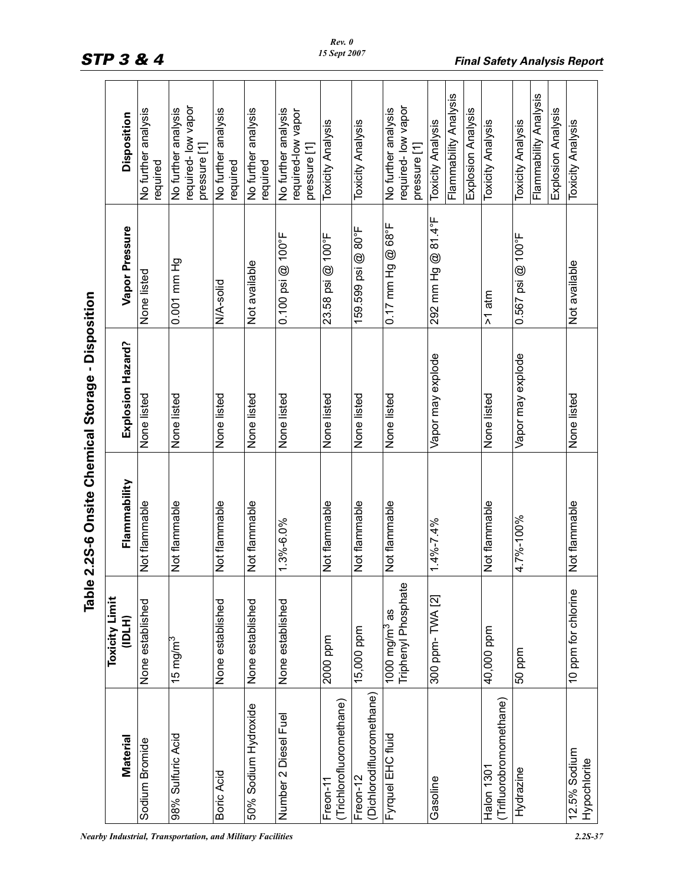|                                       | lqel                                     | e 2.2S-6 Onsite Chemical Storage - Disposition |                   |                       |                                                                         |
|---------------------------------------|------------------------------------------|------------------------------------------------|-------------------|-----------------------|-------------------------------------------------------------------------|
| Material                              | <b>Toxicity Limit</b><br>(H)口            | Flammability                                   | Explosion Hazard? | Vapor Pressure        | Disposition                                                             |
| Sodium Bromide                        | None established                         | Not flammable                                  | None listed       | None listed           | analysis<br>No further<br>required                                      |
| 98% Sulfuric Acid                     | 15 mg/m $^3$                             | Not flammable                                  | None listed       | 0.001 mm Hg           | required-low vapor<br>No further analysis<br>pressure [1]               |
| Boric Acid                            | None established                         | Not flammable                                  | None listed       | N/A-solid             | No further analysis<br>required                                         |
| 50% Sodium Hydroxide                  | None established                         | Not flammable                                  | None listed       | Not available         | No further analysis<br>required                                         |
| Number 2 Diesel Fuel                  | None established                         | 1.3%-6.0%                                      | None listed       | $0.100$ psi $@$ 100°F | No further analysis<br>required-low vapor<br>pressure [1]               |
| (Trichlorofluoromethane)<br>Freon-11  | 2000 ppm                                 | Not flammable                                  | None listed       | 23.58 psi @ 100°F     | Toxicity Analysis                                                       |
| Dichlorodifluoromethane)<br>Freon-12  | 15,000 ppm                               | Not flammable                                  | None listed       | 159.599 psi @ 80°F    | <b>Toxicity Analysis</b>                                                |
| Fyrquel EHC fluid                     | Triphenyl Phosphate<br>1000 mg/m $^3$ as | Not flammable                                  | None listed       | $0.17$ mm Hg @ 68°F   | required-low vapor<br>No further analysis<br>pressure [1]               |
| Gasoline                              | 300 ppm-TWA [2]                          | $1.4\% - 7.4\%$                                | Vapor may explode | 292 mm Hg @ 81.4°F    | Flammability Analysis<br>Explosion Analysis<br><b>Toxicity Analysis</b> |
| (Trifluorobromomethane)<br>Halon 1301 | 40,000 ppm                               | Not flammable                                  | None listed       | $>1$ atm              | <b>Toxicity Analysis</b>                                                |
| Hydrazine                             | 50 ppm                                   | 4.7%-100%                                      | Vapor may explode | $0.567$ psi @ 100°F   | Flammability Analysis<br>Explosion Analysis<br><b>Toxicity Analysis</b> |
| 12.5% Sodium<br>Hypochlorite          | 10 ppm for chlorine                      | Not flammable                                  | None listed       | Not available         | <b>Toxicity Analysis</b>                                                |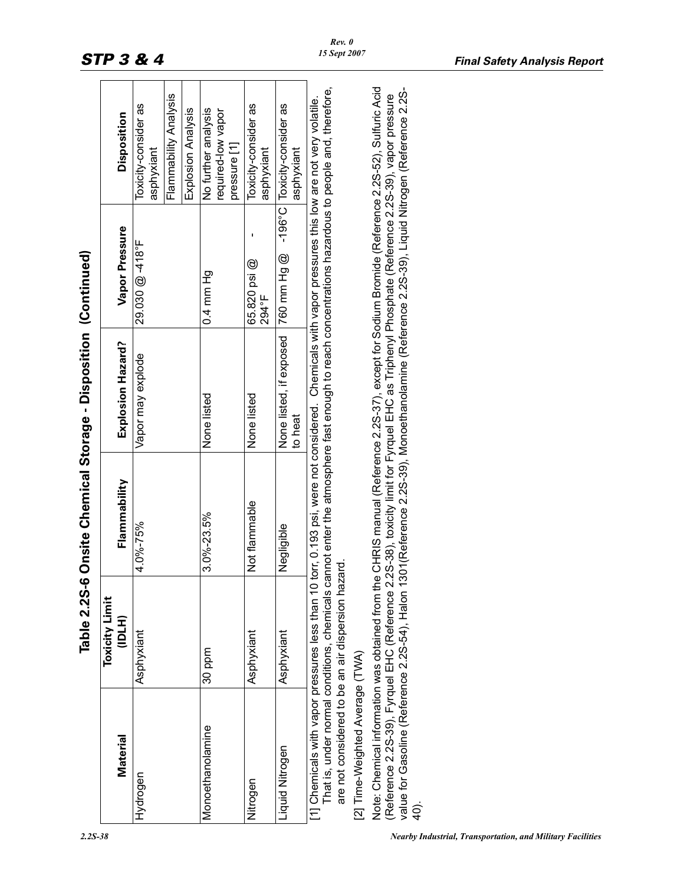|                                                                                                                                                                                                                                                                                                                                                                                                                                                              | Table 2.2S-6                    |               | Onsite Chemical Storage - Disposition (Continued)                                                                                                                                                                                                       |                       |                                                             |
|--------------------------------------------------------------------------------------------------------------------------------------------------------------------------------------------------------------------------------------------------------------------------------------------------------------------------------------------------------------------------------------------------------------------------------------------------------------|---------------------------------|---------------|---------------------------------------------------------------------------------------------------------------------------------------------------------------------------------------------------------------------------------------------------------|-----------------------|-------------------------------------------------------------|
| Material                                                                                                                                                                                                                                                                                                                                                                                                                                                     | <b>Toxicity Limit</b><br>(IDLH) | Flammability  | Explosion Hazard?                                                                                                                                                                                                                                       | Vapor Pressure        | Disposition                                                 |
| Hydrogen                                                                                                                                                                                                                                                                                                                                                                                                                                                     | Asphyxiant                      | 4.0%-75%      | Vapor may explode                                                                                                                                                                                                                                       | 29.030 @ -418°F       | Flammability Analysis<br>Toxicity-consider as<br>asphyxiant |
|                                                                                                                                                                                                                                                                                                                                                                                                                                                              |                                 |               |                                                                                                                                                                                                                                                         |                       | Explosion Analysis                                          |
| Monoethanolamine                                                                                                                                                                                                                                                                                                                                                                                                                                             | 30 ppm                          | 3.0%-23.5%    | None listed                                                                                                                                                                                                                                             | $0.4$ mm Hg           | No further analysis<br>required-low vapor<br>pressure [1]   |
| Nitrogen                                                                                                                                                                                                                                                                                                                                                                                                                                                     | Asphyxiant                      | Not flammable | None listed                                                                                                                                                                                                                                             | 65.820 psi @<br>794°F | Toxicity-consider as<br>asphyxiant                          |
| Liquid Nitrogen                                                                                                                                                                                                                                                                                                                                                                                                                                              | Asphyxiant                      | Negligible    | None listed, if exposed<br>to heat                                                                                                                                                                                                                      | 760 mm Hg @           | -196°C Toxicity-consider as<br>asphyxiant                   |
| are not considered to be an air dispersion hazard.<br>[1] Chemicals with vapor pressures less than 10                                                                                                                                                                                                                                                                                                                                                        |                                 |               | That is, under normal conditions, chemicals cannot enter the atmosphere fast enough to reach concentrations hazardous to people and, therefore,<br>torr, 0.193 psi, were not considered. Chemicals with vapor pressures this low are not very volatile. |                       |                                                             |
| [2] Time-Weighted Average (TWA)                                                                                                                                                                                                                                                                                                                                                                                                                              |                                 |               |                                                                                                                                                                                                                                                         |                       |                                                             |
| Note: Chemical information was obtained from the CHRIS manual (Reference 2.2S-37), except for Sodium Bromide (Reference 2.2S-52), Sulfuric Acid<br>value for Gasoline (Reference 2.25-54), Halon 1301 (Reference 2.25-39), Monoethanolamine (Reference 2.25-39), Liquid Nitrogen (Reference 2.25-<br>(Reference 2.2S-39), Fyrquel EHC (Reference 2.2S-38), toxicity limit for Fyrquel EHC as Triphenyl Phosphate (Reference 2.2S-39), vapor pressure<br>40). |                                 |               |                                                                                                                                                                                                                                                         |                       |                                                             |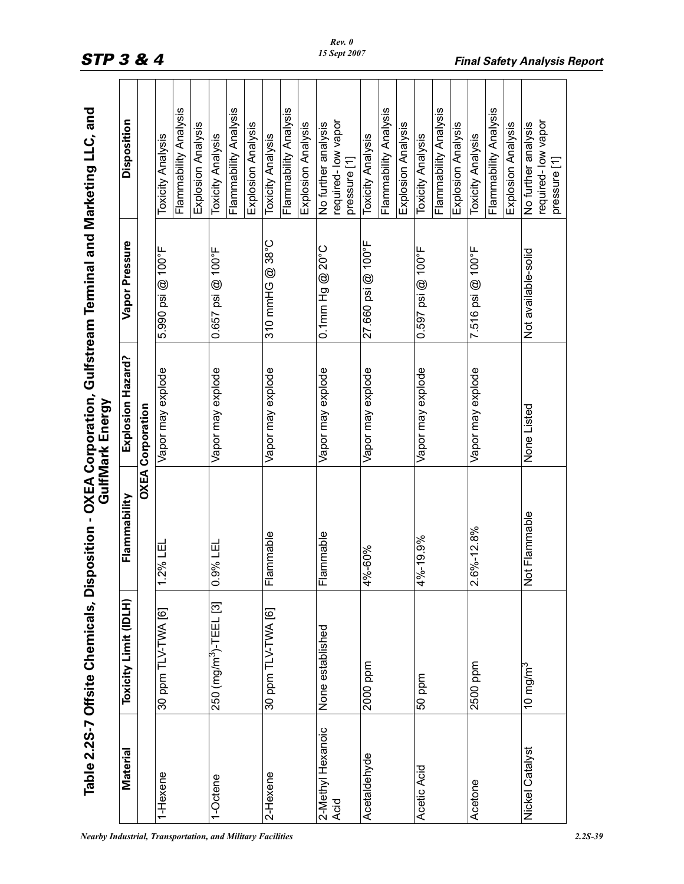| $\frac{c}{1}$<br>i<br>,<br>י<br>יינוי<br>ic leainma |                                                                                                        |
|-----------------------------------------------------|--------------------------------------------------------------------------------------------------------|
| $rac{1}{2}$<br>Ī                                    |                                                                                                        |
| しょうこうしょう<br>しいこく いいこう<br>こくじいし                      | ֧֧֢֢֧֢֧֦֧֧֧֧֦֧֧֦֧֧֦֧֧֧֚֚֚֚֚֚֚֚֚֚֚֚֚֚֚֝֝֓֓֝֓֓֓֓֓<br>֧֧֧֧֧֧֧֧֧֧֧֧֧֧֧֧֧֧֧֧֧֧֧֧֧֧֧֚֝֩֩֟֬<br>֧֧֝֩<br>.<br>ט |
|                                                     |                                                                                                        |
| ¢                                                   |                                                                                                        |
| こくりくく                                               |                                                                                                        |
| ٦                                                   |                                                                                                        |

|                           | Table 2.2S-7 Offsite Chemicals, Dis |                                           | position - OXEA Corporation, Gulfstream Terminal and Marketing LLC, and<br>GulfMark Energy |                     |                                                           |
|---------------------------|-------------------------------------|-------------------------------------------|--------------------------------------------------------------------------------------------|---------------------|-----------------------------------------------------------|
| <b>Material</b>           | Toxicity Limit (IDLH)               | Flammability                              | Explosion Hazard?                                                                          | Vapor Pressure      | Disposition                                               |
|                           |                                     |                                           | <b>OXEA Corporation</b>                                                                    |                     |                                                           |
| 1-Hexene                  | 30 ppm TLV-TWA [6]                  | 2% LEL                                    | Vapor may explode                                                                          | 5.990 psi @ 100°F   | <b>Toxicity Analysis</b>                                  |
|                           |                                     |                                           |                                                                                            |                     | Flammability Analysis                                     |
|                           |                                     |                                           |                                                                                            |                     | Explosion Analysis                                        |
| 1-Octene                  | 250 (mg/m <sup>3</sup> )-TEEL [3]   | 9% LEL<br>ö                               | Vapor may explode                                                                          | 0.657 psi @ 100°F   | <b>Toxicity Analysis</b>                                  |
|                           |                                     |                                           |                                                                                            |                     | Flammability Analysis                                     |
|                           |                                     |                                           |                                                                                            |                     | Explosion Analysis                                        |
| 2-Hexene                  | 30 ppm TLV-TWA [6]                  | lammable<br>正                             | Vapor may explode                                                                          | 310 mmHG @ 38°C     | <b>Toxicity Analysis</b>                                  |
|                           |                                     |                                           |                                                                                            |                     | Flammability Analysis                                     |
|                           |                                     |                                           |                                                                                            |                     | Explosion Analysis                                        |
| 2-Methyl Hexanoic<br>Acid | None established                    | ammable<br>匸                              | Vapor may explode                                                                          | $0.1$ mm Hg @ 20°C  | No further analysis                                       |
|                           |                                     |                                           |                                                                                            |                     | required-low vapor<br>pressure [1]                        |
|                           |                                     |                                           |                                                                                            |                     |                                                           |
| Acetaldehyde              | 2000 ppm                            | %-60%<br>$\tilde{\mathcal{A}}$            | Vapor may explode                                                                          | 27.660 psi @ 100°F  | Toxicity Analysis                                         |
|                           |                                     |                                           |                                                                                            |                     | Flammability Analysis                                     |
|                           |                                     |                                           |                                                                                            |                     | Explosion Analysis                                        |
| Acetic Acid               | 50 ppm                              | 4%-19.9%                                  | Vapor may explode                                                                          | 0.597 psi @ 100°F   | <b>Toxicity Analysis</b>                                  |
|                           |                                     |                                           |                                                                                            |                     | Flammability Analysis                                     |
|                           |                                     |                                           |                                                                                            |                     | Explosion Analysis                                        |
| Acetone                   | 2500 ppm                            | $6\% - 12.8\%$<br>$\overline{\mathsf{N}}$ | Vapor may explode                                                                          | 7.516 psi @ 100°F   | <b>Toxicity Analysis</b>                                  |
|                           |                                     |                                           |                                                                                            |                     | Flammability Analysis                                     |
|                           |                                     |                                           |                                                                                            |                     | Explosion Analysis                                        |
| Nickel Catalyst           | 10 mg/m $^3$                        | Not Flammable                             | None Listed                                                                                | Not available-solid | required-low vapor<br>No further analysis<br>pressure [1] |
|                           |                                     |                                           |                                                                                            |                     |                                                           |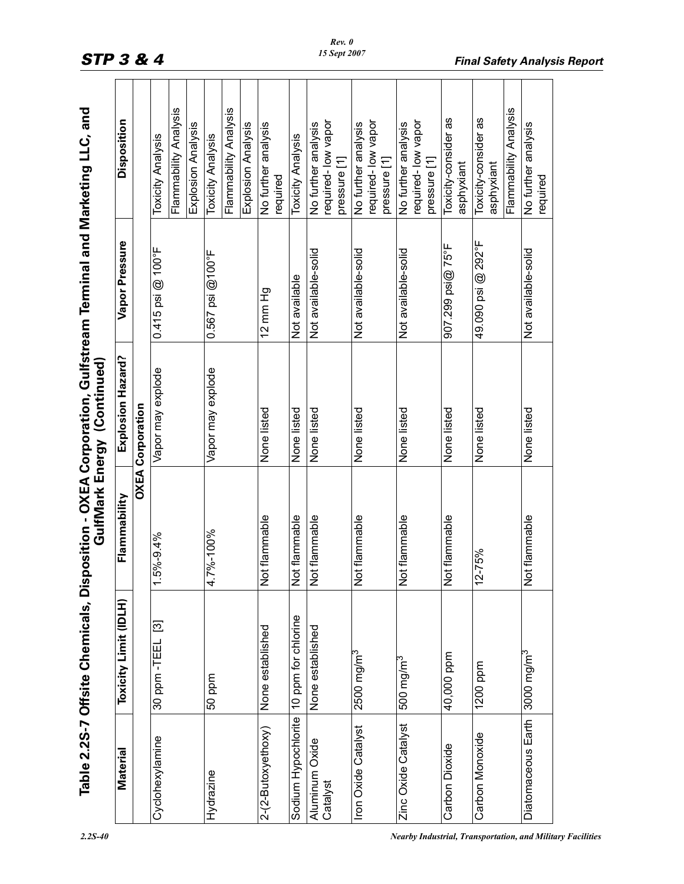|                                             |                       |                     | GulfMark Energy (Continued) | Table 2.2S-7 Offsite Chemicals, Disposition - OXEA Corporation, Gulfstream Terminal and Marketing LLC, and |                                           |
|---------------------------------------------|-----------------------|---------------------|-----------------------------|------------------------------------------------------------------------------------------------------------|-------------------------------------------|
| Material                                    | Toxicity Limit (IDLH) | Flammability        | Explosion Hazard?           | Vapor Pressure                                                                                             | Disposition                               |
|                                             |                       |                     | <b>OXEA Corporation</b>     |                                                                                                            |                                           |
| Cyclohexylamine                             | 30 ppm - TEEL [3]     | $-5\% - 9.4\%$      | Vapor may explode           | $0.415$ psi $@$ 100°F                                                                                      | <b>Toxicity Analysis</b>                  |
|                                             |                       |                     |                             |                                                                                                            | Flammability Analysis                     |
|                                             |                       |                     |                             |                                                                                                            | Explosion Analysis                        |
| Hydrazine                                   | 50 ppm                | $.7\% - 100\%$<br>4 | Vapor may explode           | $0.567$ psi $@100^{\circ}$ F                                                                               | <b>Toxicity Analysis</b>                  |
|                                             |                       |                     |                             |                                                                                                            | Flammability Analysis                     |
|                                             |                       |                     |                             |                                                                                                            | Explosion Analysis                        |
| 2-(2-Butoxyethoxy)                          | None established      | Not flammable       | None listed                 | $12$ mm $Hg$                                                                                               | No further analysis<br>required           |
| Sodium Hypochlorite                         | 10 ppm for chlorine   | Not flammable       | None listed                 | Not available                                                                                              | <b>Toxicity Analysis</b>                  |
|                                             |                       |                     |                             |                                                                                                            |                                           |
| Aluminum Oxide<br>Catalyst                  | None established      | Not flammable       | None listed                 | Not available-solid                                                                                        | required-low vapor<br>No further analysis |
|                                             |                       |                     |                             |                                                                                                            | pressure [1]                              |
| Iron Oxide Catalyst                         | $2500$ mg/m $3$       | Not flammable       | None listed                 | Not available-solid                                                                                        | No further analysis                       |
|                                             |                       |                     |                             |                                                                                                            | required-low vapor                        |
|                                             |                       |                     |                             |                                                                                                            | pressure [1]                              |
| Zinc Oxide Catalyst                         | 500 mg/m <sup>3</sup> | Not flammable       | None listed                 | Not available-solid                                                                                        | No further analysis                       |
|                                             |                       |                     |                             |                                                                                                            | required-low vapor                        |
|                                             |                       |                     |                             |                                                                                                            | pressure [1]                              |
| Carbon Dioxide                              | 40,000 ppm            | Not flammable       | None listed                 | 907.299 psi@ 75°F                                                                                          | Toxicity-consider as                      |
|                                             |                       |                     |                             |                                                                                                            | asphyxiant                                |
| Carbon Monoxide                             | 1200 ppm              | $12 - 75%$          | None listed                 | 49.090 psi @ 292°F                                                                                         | Toxicity-consider as                      |
|                                             |                       |                     |                             |                                                                                                            | asphyxiant                                |
|                                             |                       |                     |                             |                                                                                                            | Flammability Analysis                     |
| Diatomaceous Earth   3000 mg/m <sup>3</sup> |                       | Not flammable       | None listed                 | Not available-solid                                                                                        | No further analysis<br>required           |

# STP 3 & 4 **Final Safety Analysis Report**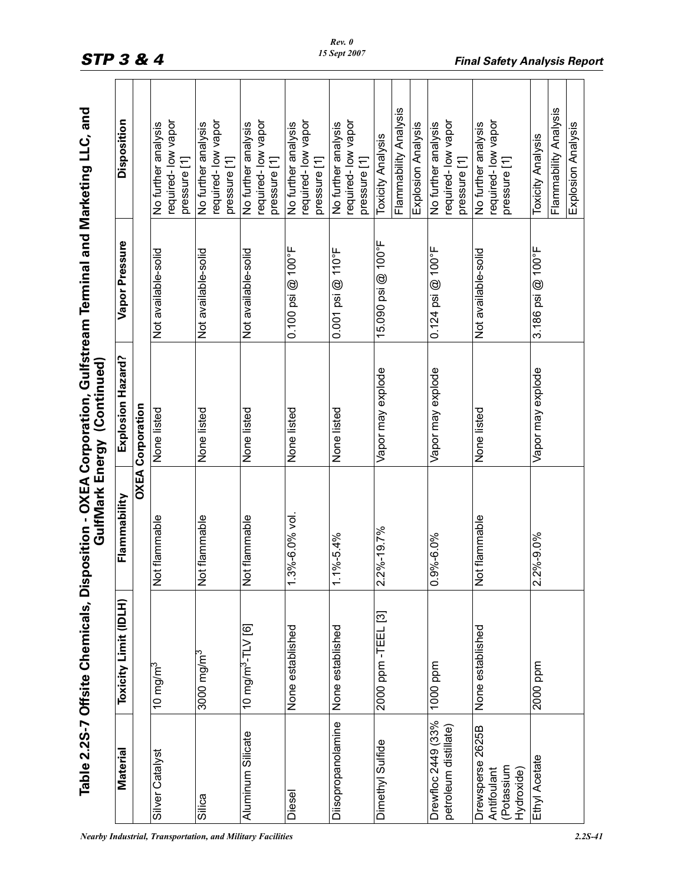| Material                                                    | Toxicity Limit (IDLH)         | Flammability               | Explosion Hazard?       | Vapor Pressure                | Disposition                                                             |
|-------------------------------------------------------------|-------------------------------|----------------------------|-------------------------|-------------------------------|-------------------------------------------------------------------------|
|                                                             |                               |                            | <b>OXEA Corporation</b> |                               |                                                                         |
| Silver Catalyst                                             | 10 mg/m $^3$                  | flammable<br>ă             | None listed             | Not available-solid           | required-low vapor<br>No further analysis<br>pressure [1]               |
| Silica                                                      | 3000 mg/m <sup>3</sup>        | flammable<br>ă             | None listed             | Not available-solid           | required-low vapor<br>No further analysis<br>pressure [1]               |
| Aluminum Silicate                                           | 10 mg/m <sup>3</sup> -TLV [6] | flammable<br>ă             | None listed             | Not available-solid           | required-low vapor<br>No further analysis<br>pressure [1]               |
| Diesel                                                      | None established              | 1.3%-6.0% vol.             | None listed             | $0.100$ psi $@$ 100°F         | required-low vapor<br>No further analysis<br>pressure [1]               |
| Diisopropanolamine                                          | None established              | $% -5.4%$<br>$\frac{1}{1}$ | None listed             | $0.001$ psi $@$ 110°F         | required-low vapor<br>No further analysis<br>pressure [1]               |
| Dimethyl Sulfide                                            | 2000 ppm - TEEL [3]           | 2.2%-19.7%                 | Vapor may explode       | 15.090 psi @ 100°F            | Flammability Analysis<br>Explosion Analysis<br><b>Toxicity Analysis</b> |
| Drewfloc 2449 (33%<br>petroleum distillate)                 | 1000 ppm                      | $0.9\% - 6.0\%$            | Vapor may explode       | $0.124$ psi @ $100^{\circ}$ F | required-low vapor<br>No further analysis<br>pressure [1]               |
| Drewsperse 2625B<br>(Potassium<br>Hydroxide)<br>Antifoulant | None established              | Not flammable              | None listed             | Not available-solid           | required-low vapor<br>No further analysis<br>pressure [1]               |
| Ethyl Acetate                                               | 2000 ppm                      | 2.2%-9.0%                  | Vapor may explode       | 3.186 psi @ 100°F             | Flammability Analysis<br>Explosion Analysis<br><b>Toxicity Analysis</b> |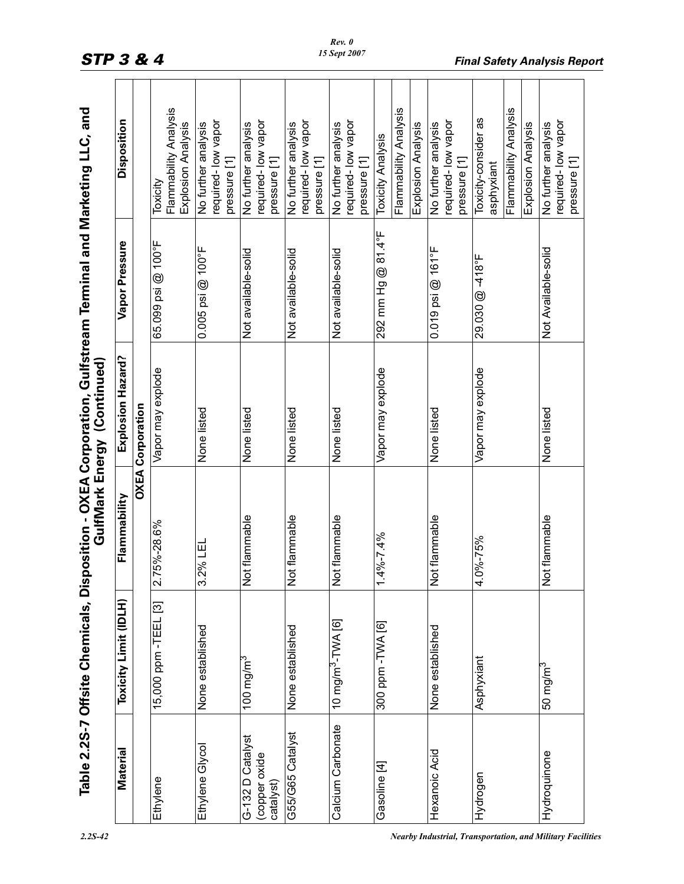| $\mathbf$                                                                                           |             |
|-----------------------------------------------------------------------------------------------------|-------------|
| $\frac{1}{1}$<br>i<br>$\begin{array}{c} \n\end{array}$<br><u>י</u>                                  |             |
|                                                                                                     |             |
| ا<br>ا<br>י<br>י<br>.<br>.<br>.<br>しょく マレこく<br>ノムミ<br>I.<br>۔<br>آ<br>l<br>ī<br>آ<br>・・・・さく しょう しょう | Ī<br>.<br>( |
|                                                                                                     |             |

|                                                | Toxicity Limit (IDLH)         | Flammability               | Explosion Hazard?       | Vapor Pressure                | Disposition                                                                       |
|------------------------------------------------|-------------------------------|----------------------------|-------------------------|-------------------------------|-----------------------------------------------------------------------------------|
|                                                |                               |                            | <b>OXEA Corporation</b> |                               |                                                                                   |
| Ethylene                                       | 15,000 ppm - TEEL [3]         | 5%-28.6%<br>2.7            | Vapor may explode       | 65.099 psi @ 100°F            | Flammability Analysis<br>Explosion Analysis<br>Toxicity                           |
| Ethylene Glycol                                | None established              | 3.2% LEL                   | None listed             | $0.005$ psi @ $100^{\circ}$ F | required-low vapor<br>No further analysis<br>pressure [1]                         |
| G-132 D Catalyst<br>(copper oxide<br>catalyst) | 100 mg/m $^3$                 | flammable<br>$\frac{5}{2}$ | None listed             | Not available-solid           | required-low vapor<br>No further analysis<br>pressure [1]                         |
| G55/G65 Catalyst                               | None established              | flammable<br><b>S</b>      | None listed             | Not available-solid           | required-low vapor<br>No further analysis<br>pressure [1]                         |
| Calcium Carbonate                              | 10 mg/m <sup>3</sup> -TWA [6] | flammable<br>$\frac{5}{2}$ | None listed             | Not available-solid           | required-low vapor<br>No further analysis<br>pressure [1]                         |
| Gasoline [4]                                   | 300 ppm - TVVA [6]            | $1.4\% - 7.4\%$            | Vapor may explode       | 292 mm Hg @ 81.4°F            | Flammability Analysis<br>Explosion Analysis<br><b>Toxicity Analysis</b>           |
| Hexanoic Acid                                  | None established              | flammable<br>$\frac{5}{2}$ | None listed             | $0.019$ psi @ $161^{\circ}$ F | required-low vapor<br>No further analysis<br>pressure [1]                         |
| Hydrogen                                       | Asphyxiant                    | 4.0%-75%                   | Vapor may explode       | 29.030 @ -418°F               | Flammability Analysis<br>Toxicity-consider as<br>Explosion Analysis<br>asphyxiant |
| Hydroquinone                                   | 50 mg/m <sup>3</sup>          | flammable<br>$\frac{1}{2}$ | None listed             | Not Available-solid           | required-low vapor<br>No further analysis<br>pressure [1]                         |

*2.2S-42 Nearby Industrial, Transportation, and Military Facilities*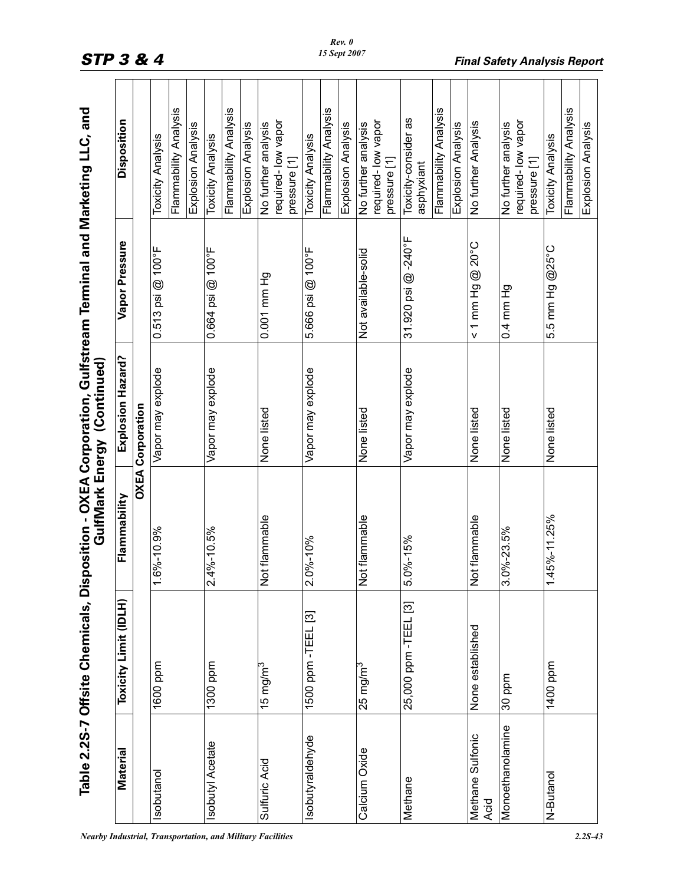|                          | Table 2.2S-7 Offsite Chemicals, Dis |                                     | GulfMark Energy (Continued) | position - OXEA Corporation, Gulfstream Terminal and Marketing LLC, and |                                    |
|--------------------------|-------------------------------------|-------------------------------------|-----------------------------|-------------------------------------------------------------------------|------------------------------------|
| Material                 | Toxicity Limit (IDLH)               | Flammability                        | Explosion Hazard?           | Vapor Pressure                                                          | Disposition                        |
|                          |                                     |                                     | <b>OXEA Corporation</b>     |                                                                         |                                    |
| sobutanol                | 1600 ppm                            | 6%-10.9%<br>᠇                       | Vapor may explode           | $0.513$ psi @ $100^{\circ}$ F                                           | <b>Toxicity Analysis</b>           |
|                          |                                     |                                     |                             |                                                                         | Flammability Analysis              |
|                          |                                     |                                     |                             |                                                                         | Explosion Analysis                 |
| Isobutyl Acetate         | 1300 ppm                            | 4%-10.5%<br>$\overline{\mathsf{N}}$ | Vapor may explode           | 0.664 psi @ 100°F                                                       | Toxicity Analysis                  |
|                          |                                     |                                     |                             |                                                                         | Flammability Analysis              |
|                          |                                     |                                     |                             |                                                                         | Explosion Analysis                 |
| Sulfuric Acid            | 15 mg/m $^3$                        | Not flammable                       | None listed                 | 0.001 mm Hg                                                             | No further analysis                |
|                          |                                     |                                     |                             |                                                                         | required-low vapor                 |
|                          |                                     |                                     |                             |                                                                         | pressure [1]                       |
| sobutyraldehyde          | නු<br>1500 ppm - TEEL               | 0%-10%<br>$\overline{\mathsf{N}}$   | Vapor may explode           | 5.666 psi @ 100°F                                                       | <b>Toxicity Analysis</b>           |
|                          |                                     |                                     |                             |                                                                         | Flammability Analysis              |
|                          |                                     |                                     |                             |                                                                         | Explosion Analysis                 |
| Calcium Oxide            | 25 mg/m <sup>3</sup>                | Not flammable                       | None listed                 | Not available-solid                                                     | No further analysis                |
|                          |                                     |                                     |                             |                                                                         | required-low vapor                 |
|                          |                                     |                                     |                             |                                                                         | pressure [1]                       |
| Methane                  | 25,000 ppm -TEEL [3]                | $0% - 15%$<br>ιó                    | Vapor may explode           | 31.920 psi @-240°F                                                      | Toxicity-consider as               |
|                          |                                     |                                     |                             |                                                                         | asphyxiant                         |
|                          |                                     |                                     |                             |                                                                         | Flammability Analysis              |
|                          |                                     |                                     |                             |                                                                         | Explosion Analysis                 |
| Methane Sulfonic<br>Acid | None established                    | Not flammable                       | None listed                 | $< 1$ mm Hg $\textcircled{20°C}$                                        | No further Analysis                |
| Monoethanolamine         | 30 ppm                              | 0%-23.5%<br>က                       | None listed                 | 0.4 mm Hg                                                               | No further analysis                |
|                          |                                     |                                     |                             |                                                                         | required-low vapor<br>pressure [1] |
|                          |                                     |                                     |                             |                                                                         |                                    |
| N-Butanol                | $\frac{1400}{400}$ ppm              | 45%-11.25%<br>$\overline{ }$        | None listed                 | 5.5 mm Hg @25°C                                                         | <b>Toxicity Analysis</b>           |
|                          |                                     |                                     |                             |                                                                         | Flammability Analysis              |
|                          |                                     |                                     |                             |                                                                         | Explosion Analysis                 |

*Nearby Industrial, Transportation, and Military Facilities 2.2S-43*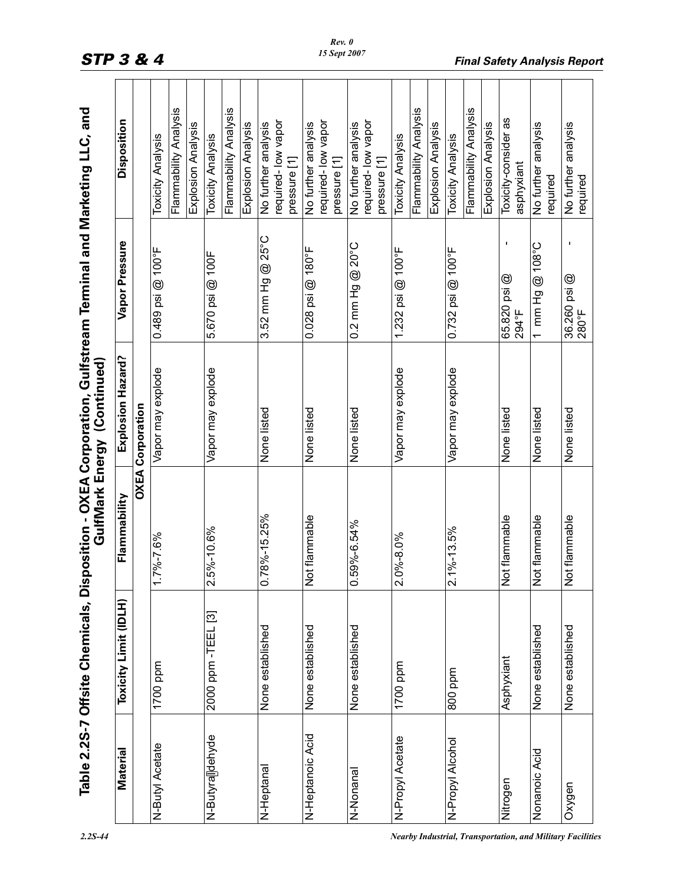|                  |                       |                                    | Table 2.2S-7 Offsite Chemicals, Disposition - OXEA Corporation, Gulfstream Terminal and Marketing LLC, and<br>GulfMark Energy (Continued) |                               |                                    |
|------------------|-----------------------|------------------------------------|-------------------------------------------------------------------------------------------------------------------------------------------|-------------------------------|------------------------------------|
| Material         | Toxicity Limit (IDLH) | Flammability                       | Explosion Hazard?                                                                                                                         | Vapor Pressure                | Disposition                        |
|                  |                       |                                    | <b>OXEA Corporation</b>                                                                                                                   |                               |                                    |
| N-Butyl Acetate  | 1700 ppm              | 7%-7.6%<br>↽                       | Vapor may explode                                                                                                                         | $0.489$ psi @ 100°F           | <b>Toxicity Analysis</b>           |
|                  |                       |                                    |                                                                                                                                           |                               | Flammability Analysis              |
|                  |                       |                                    |                                                                                                                                           |                               | Explosion Analysis                 |
| N-Butyralldehyde | 2000 ppm - TEEL [3]   | 5%-10.6%<br>$\overline{N}$         | Vapor may explode                                                                                                                         | 5.670 psi @ 100F              | <b>Toxicity Analysis</b>           |
|                  |                       |                                    |                                                                                                                                           |                               | Flammability Analysis              |
|                  |                       |                                    |                                                                                                                                           |                               | Explosion Analysis                 |
| N-Heptanal       | None established      | 78%-15.25%<br>$\circ$              | None listed                                                                                                                               | 3.52 mm Hg @ 25°C             | No further analysis                |
|                  |                       |                                    |                                                                                                                                           |                               | required-low vapor                 |
|                  |                       |                                    |                                                                                                                                           |                               | pressure [1]                       |
| N-Heptanoic Acid | None established      | lot flammable<br>z                 | None listed                                                                                                                               | $0.028$ psi @ 180°F           | No further analysis                |
|                  |                       |                                    |                                                                                                                                           |                               | required-low vapor                 |
|                  |                       |                                    |                                                                                                                                           |                               | pressure [1]                       |
| N-Nonanal        | None established      | 59%-6.54%<br>$\circ$               | None listed                                                                                                                               | 0.2 mm Hg @ 20°C              | No further analysis                |
|                  |                       |                                    |                                                                                                                                           |                               | required-low vapor                 |
|                  |                       |                                    |                                                                                                                                           |                               | pressure [1]                       |
| N-Propyl Acetate | 1700 ppm              | 0%-8.0%<br>$\overline{\mathsf{N}}$ | Vapor may explode                                                                                                                         | 1.232 psi $@$ 100°F           | <b>Toxicity Analysis</b>           |
|                  |                       |                                    |                                                                                                                                           |                               | Flammability Analysis              |
|                  |                       |                                    |                                                                                                                                           |                               | Explosion Analysis                 |
| N-Propyl Alcohol | mdd 008               | $2.1\% - 13.5\%$                   | Vapor may explode                                                                                                                         | $0.732$ psi @ $100^{\circ}$ F | <b>Toxicity Analysis</b>           |
|                  |                       |                                    |                                                                                                                                           |                               | Flammability Analysis              |
|                  |                       |                                    |                                                                                                                                           |                               | Explosion Analysis                 |
| Nitrogen         | Asphyxiant            | ot flammable<br>z                  | None listed                                                                                                                               | J.<br>65.820 psi @<br>294°F   | Toxicity-consider as<br>asphyxiant |
| Nonanoic Acid    | None established      | ot flammable<br>z                  | None listed                                                                                                                               | 1 mm Hg @ 108°C               | No further analysis<br>required    |
| Oxygen           | None established      | Not flammable                      | None listed                                                                                                                               | 36.260 psi @<br>280°F         | No further analysis<br>required    |

STP 3 & 4 **Final Safety Analysis Report**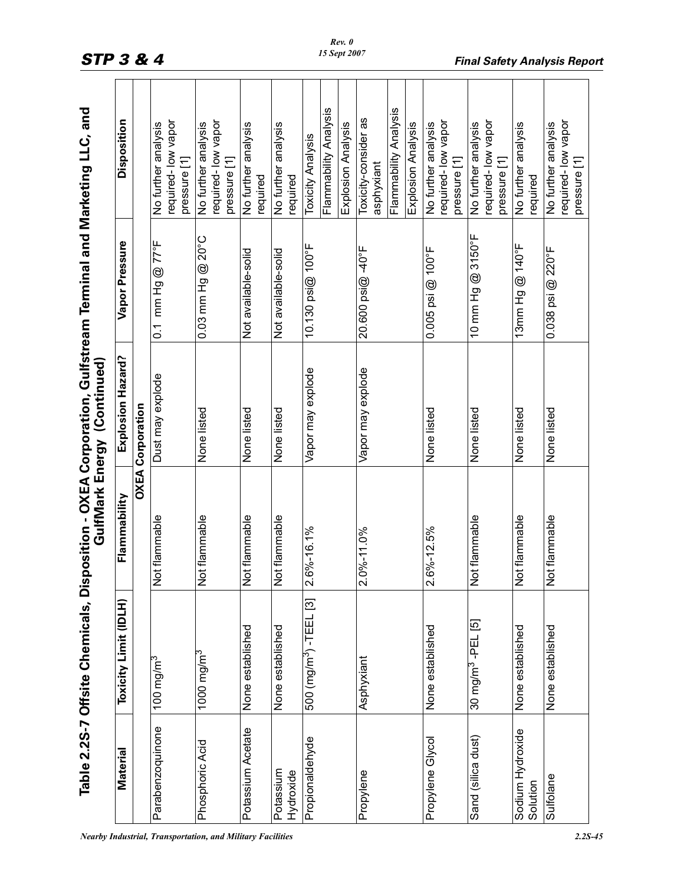|                                                                                                             | Oisposition         |                         |
|-------------------------------------------------------------------------------------------------------------|---------------------|-------------------------|
|                                                                                                             | Vapor Pressure      |                         |
| , Disposition - OXEA Corporation, Gulfstream Terminal and Marketing LLC, and<br>GulfMark Energy (Continued) | Explosion Hazard?   | <b>OXEA Corporation</b> |
|                                                                                                             | Flammability        |                         |
| Table 2.2S-7 Offsite Chemicals                                                                              | oxicity Limit (IDLI |                         |
|                                                                                                             |                     |                         |

|                              | Table 2.2S-7 Offsite Chemicals, Dis |                                           | position - OXEA Corporation, Gulfstream Terminal and Marketing LLC, and<br>GulfMark Energy (Continued) |                                |                                                           |
|------------------------------|-------------------------------------|-------------------------------------------|--------------------------------------------------------------------------------------------------------|--------------------------------|-----------------------------------------------------------|
| <b>Material</b>              | Toxicity Limit (IDLH)               | Flammability                              | Explosion Hazard?                                                                                      | Vapor Pressure                 | Disposition                                               |
|                              |                                     |                                           | <b>OXEA Corporation</b>                                                                                |                                |                                                           |
| Parabenzoquinone             | 100 mg/m $^3$                       | Not flammable                             | Dust may explode                                                                                       | mm Hg @ 77°F<br>$\overline{0}$ | required-low vapor<br>No further analysis<br>pressure [1] |
| Phosphoric Acid              | 1000 mg/m $^3$                      | Not flammable                             | None listed                                                                                            | 0.03 mm Hg @ 20°C              | required-low vapor<br>No further analysis<br>pressure [1] |
| Potassium Acetate            | None established                    | Not flammable                             | None listed                                                                                            | Not available-solid            | No further analysis<br>required                           |
| Potassium<br>Hydroxide       | None established                    | Not flammable                             | None listed                                                                                            | Not available-solid            | No further analysis<br>required                           |
| Propionaldehyde              | 500 (mg/m <sup>3</sup> ) -TEEL [3]  | 2.6%-16.1%                                | Vapor may explode                                                                                      | 10.130 psi@ 100°F              | Flammability Analysis<br><b>Toxicity Analysis</b>         |
|                              |                                     |                                           |                                                                                                        |                                | Explosion Analysis                                        |
| Propylene                    | Asphyxiant                          | $2.0\% - 11.0\%$                          | Vapor may explode                                                                                      | 20.600 psi@-40°F               | Toxicity-consider as<br>asphyxiant                        |
|                              |                                     |                                           |                                                                                                        |                                | Flammability Analysis<br>Explosion Analysis               |
| Propylene Glycol             | None established                    | $6\% - 12.5\%$<br>$\overline{\mathbf{N}}$ | None listed                                                                                            | $0.005$ psi @ $100^{\circ}$ F  | required-low vapor<br>No further analysis<br>pressure [1] |
| Sand (silica dust)           | 30 mg/m <sup>3</sup> -PEL [5]       | Not flammable                             | None listed                                                                                            | 10 mm Hg @ 3150°F              | required-low vapor<br>No further analysis<br>pressure [1] |
| Sodium Hydroxide<br>Solution | None established                    | Not flammable                             | None listed                                                                                            | 13mm Hg @ 140°F                | No further analysis<br>required                           |
| Sulfolane                    | None established                    | Not flammable                             | None listed                                                                                            | 0.038 psi @ 220°F              | required-low vapor<br>No further analysis<br>pressure [1] |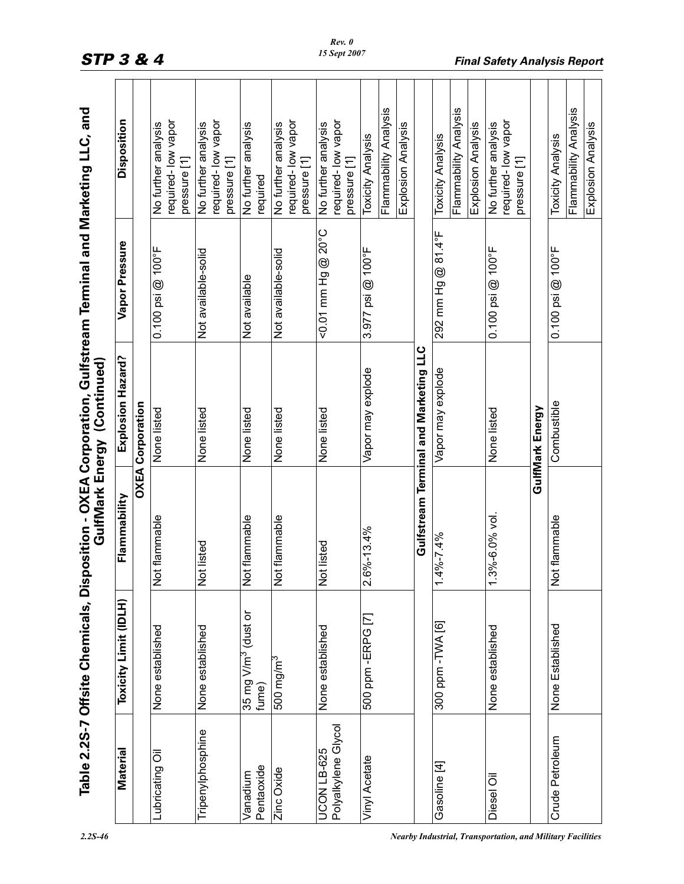|                                    | Table 2.2S-7 Offsite Chemicals, Disposition - OXEA Corporation, Gulfstream Terminal and Marketing LLC, and |                                      | GulfMark Energy (Continued)           |                                  |                                                                         |
|------------------------------------|------------------------------------------------------------------------------------------------------------|--------------------------------------|---------------------------------------|----------------------------------|-------------------------------------------------------------------------|
| Material                           | Toxicity Limit (IDLH)                                                                                      | Flammability                         | Explosion Hazard?                     | Vapor Pressure                   | Disposition                                                             |
|                                    |                                                                                                            |                                      | <b>OXEA Corporation</b>               |                                  |                                                                         |
| Lubricating Oil                    | None established                                                                                           | lot flammable<br>z                   | None listed                           | $0.100$ psi $@$ 100 $^{\circ}$ F | required-low vapor<br>No further analysis<br>pressure [1]               |
| Tripenylphosphine                  | None established                                                                                           | Not listed                           | None listed                           | Not available-solid              | required-low vapor<br>No further analysis<br>pressure [1]               |
| Pentaoxide<br>Vanadium             | 35 mg V/m <sup>3</sup> (dust or<br>fume)                                                                   | Not flammable                        | None listed                           | Not available                    | No further analysis<br>required                                         |
| Zinc Oxide                         | 500 mg/m <sup>3</sup>                                                                                      | Not flammable                        | None listed                           | Not available-solid              | required-low vapor<br>No further analysis<br>pressure [1]               |
| Polyalkylene Glycol<br>UCON LB-625 | None established                                                                                           | lot listed<br>z                      | None listed                           | <0.01 mm Hg @ 20°C               | required-low vapor<br>No further analysis<br>pressure [1]               |
| Vinyl Acetate                      | 500 ppm -ERPG [7]                                                                                          | $.6\% - 13.4\%$<br>$\mathbf{\Omega}$ | Vapor may explode                     | 3.977 psi @ 100°F                | Flammability Analysis<br>Explosion Analysis<br><b>Toxicity Analysis</b> |
|                                    |                                                                                                            |                                      | Gulfstream Terminal and Marketing LLC |                                  |                                                                         |
| Gasoline [4]                       | 300 ppm - TWA [6]                                                                                          | $-4% -7.4%$                          | Vapor may explode                     | 292 mm Hg @ 81.4°F               | Flammability Analysis<br>Explosion Analysis<br><b>Toxicity Analysis</b> |
| Diesel Oil                         | None established                                                                                           | $.3\% - 6.0\%$ vol.                  | None listed                           | $0.100$ psi $@$ 100°F            | required-low vapor<br>No further analysis<br>pressure [1]               |
|                                    |                                                                                                            |                                      | GulfMark Energy                       |                                  |                                                                         |
| Crude Petroleum                    | None Established                                                                                           | lot flammable<br>z                   | Combustible                           | $0.100$ psi @ $100$ °F           | Flammability Analysis<br>Explosion Analysis<br><b>Toxicity Analysis</b> |
|                                    |                                                                                                            |                                      |                                       |                                  |                                                                         |

# STP 3 & 4 **Final Safety Analysis Report**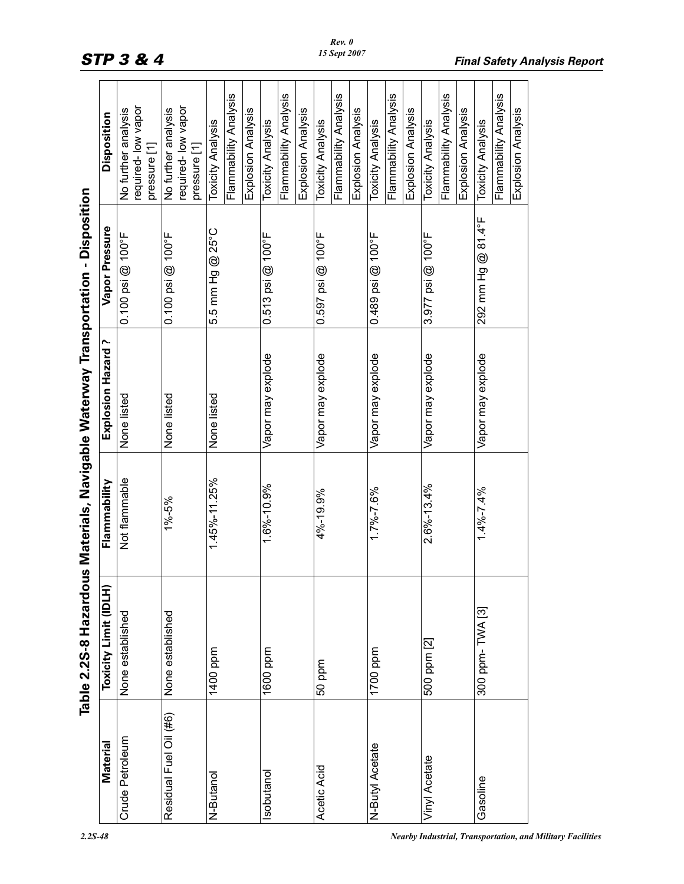| $\overline{\phantom{a}}$<br>I         |
|---------------------------------------|
|                                       |
|                                       |
|                                       |
|                                       |
|                                       |
|                                       |
|                                       |
| $\begin{array}{c} \hline \end{array}$ |
|                                       |
|                                       |
|                                       |
|                                       |
| j                                     |
|                                       |
|                                       |
|                                       |
|                                       |
| ו<br>ו                                |
|                                       |
|                                       |
|                                       |
|                                       |
| $\overline{1}$                        |
|                                       |
|                                       |
|                                       |
|                                       |
|                                       |
|                                       |
|                                       |
| $\mathbf{I}$                          |
| i                                     |
|                                       |
| j                                     |
| ŕ                                     |

|                        | Table 2.2S-8 Hazardo  |                  | us Materials, Navigable Waterway Transportation - Disposition |                        |                                                                         |
|------------------------|-----------------------|------------------|---------------------------------------------------------------|------------------------|-------------------------------------------------------------------------|
| Material               | Toxicity Limit (IDLH) | Flammability     | ∼<br>Explosion Hazard                                         | Vapor Pressure         | Disposition                                                             |
| <b>Crude Petroleum</b> | None established      | Not flammable    | None listed                                                   | $0.100$ psi @ $100$ °F | required-low vapor<br>No further analysis<br>pressure [1]               |
| Residual Fuel Oil (#6) | None established      | 1%-5%            | None listed                                                   | $0.100$ psi $@$ 100°F  | required-low vapor<br>No further analysis<br>pressure [1]               |
| N-Butanol              | 1400 ppm              | 1.45%-11.25%     | None listed                                                   | 5.5 mm Hg @ 25°C       | Flammability Analysis<br>Explosion Analysis<br><b>Toxicity Analysis</b> |
| sobutanol              | 1600 ppm              | 1.6%-10.9%       | Vapor may explode                                             | $0.513$ psi $@$ 100°F  | Flammability Analysis<br>Explosion Analysis<br><b>Toxicity Analysis</b> |
| Acetic Acid            | 50 ppm                | 4%-19.9%         | Vapor may explode                                             | $0.597$ psi @ 100°F    | Flammability Analysis<br>Explosion Analysis<br><b>Toxicity Analysis</b> |
| N-Butyl Acetate        | 1700 ppm              | $1.7\% - 7.6\%$  | Vapor may explode                                             | $0.489$ psi @ 100°F    | Flammability Analysis<br>Explosion Analysis<br><b>Toxicity Analysis</b> |
| Vinyl Acetate          | 500 ppm [2]           | $2.6\% - 13.4\%$ | Vapor may explode                                             | $3.977$ psi @ 100°F    | Flammability Analysis<br>Explosion Analysis<br><b>Toxicity Analysis</b> |
| Gasoline               | 300 ppm-TWA [3]       | $1.4\% - 7.4\%$  | Vapor may explode                                             | 292 mm Hg @ 81.4°F     | Flammability Analysis<br>Explosion Analysis<br><b>Toxicity Analysis</b> |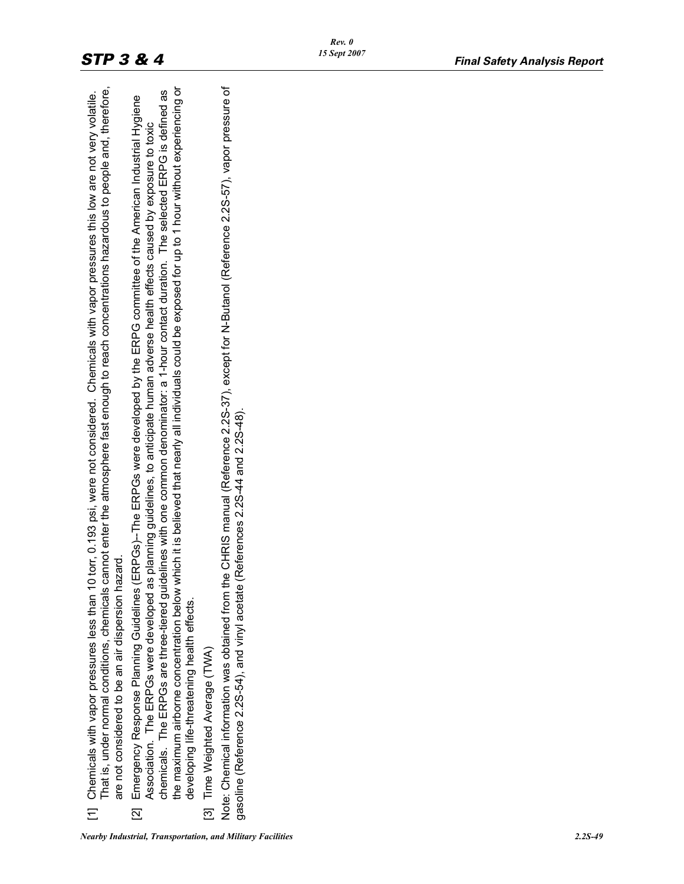| That is, under normal conditions, chemicals cannot enter the atmosphere fast enough to reach concentrations hazardous to people and, therefore,<br>[1] Chemicals with vapor pressures less than 10 torr, 0.193 psi, were not considered. Chemicals with vapor pressures this low are not very volatile.<br>are not considered to be an air dispersion hazard | the maximum airborne concentration below which it is believed that nearly all individuals could be exposed for up to 1 hour without experiencing or<br>Note: Chemical information was obtained from the CHRIS manual (Reference 2.2S-37), except for N-Butanol (Reference 2.2S-57), vapor pressure of<br>chemicals. The ERPGs are three-tiered guidelines with one common denominator: a 1-hour contact duration. The selected ERPG is defined as<br>[2] Emergency Response Planning Guidelines (ERPGs)--The ERPGs were developed by the ERPG committee of the American Industrial Hygiene<br>Association. The ERPGs were developed as planning guidelines, to anticipate human adverse health effects caused by exposure to toxic<br>gasoline (Reference 2.225-54), and vinyl acetate (References 2.25-44 and 2.25-48).<br>developing life-threatening health effects.<br>[3] Time Weighted Average (TWA) |  |
|--------------------------------------------------------------------------------------------------------------------------------------------------------------------------------------------------------------------------------------------------------------------------------------------------------------------------------------------------------------|------------------------------------------------------------------------------------------------------------------------------------------------------------------------------------------------------------------------------------------------------------------------------------------------------------------------------------------------------------------------------------------------------------------------------------------------------------------------------------------------------------------------------------------------------------------------------------------------------------------------------------------------------------------------------------------------------------------------------------------------------------------------------------------------------------------------------------------------------------------------------------------------------------|--|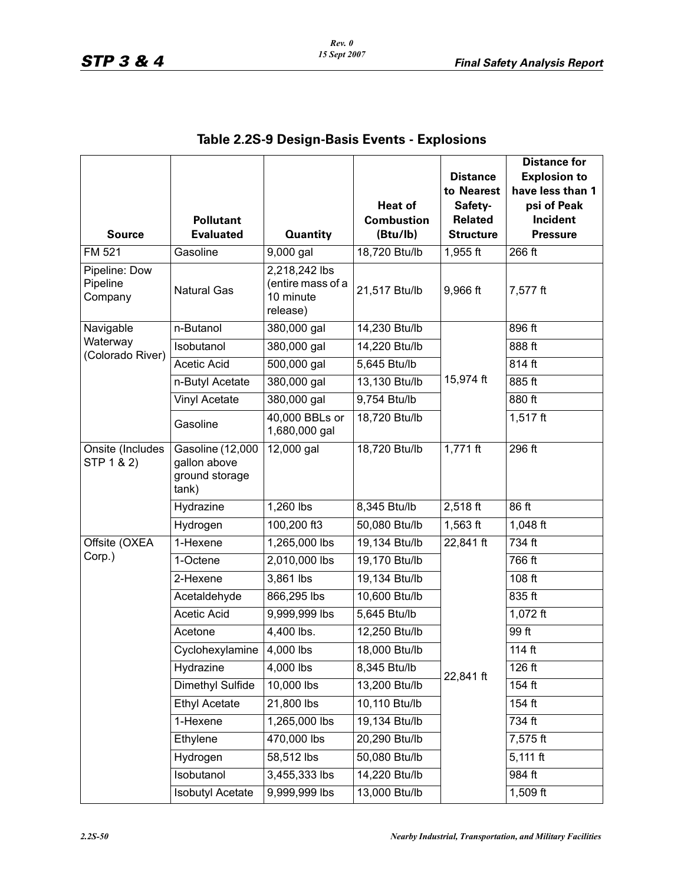| <b>Source</b>                        | <b>Pollutant</b><br><b>Evaluated</b>                        | <b>Quantity</b>                                             | <b>Heat of</b><br><b>Combustion</b><br>(Btu/lb) | <b>Distance</b><br>to Nearest<br>Safety-<br><b>Related</b><br><b>Structure</b> | <b>Distance for</b><br><b>Explosion to</b><br>have less than 1<br>psi of Peak<br>Incident<br><b>Pressure</b> |
|--------------------------------------|-------------------------------------------------------------|-------------------------------------------------------------|-------------------------------------------------|--------------------------------------------------------------------------------|--------------------------------------------------------------------------------------------------------------|
| <b>FM 521</b>                        | Gasoline                                                    | 9,000 gal                                                   | 18,720 Btu/lb                                   | 1,955 ft                                                                       | 266 ft                                                                                                       |
| Pipeline: Dow<br>Pipeline<br>Company | <b>Natural Gas</b>                                          | 2,218,242 lbs<br>(entire mass of a<br>10 minute<br>release) | 21,517 Btu/lb                                   | 9,966 ft                                                                       | 7,577 ft                                                                                                     |
| Navigable                            | n-Butanol                                                   | 380,000 gal                                                 | 14,230 Btu/lb                                   |                                                                                | 896 ft                                                                                                       |
| Waterway<br>(Colorado River)         | Isobutanol                                                  | 380,000 gal                                                 | 14,220 Btu/lb                                   |                                                                                | 888 ft                                                                                                       |
|                                      | <b>Acetic Acid</b>                                          | $\overline{500,000}$ gal                                    | 5,645 Btu/lb                                    |                                                                                | 814 ft                                                                                                       |
|                                      | n-Butyl Acetate                                             | 380,000 gal                                                 | 13,130 Btu/lb                                   | 15,974 ft                                                                      | 885 ft                                                                                                       |
|                                      | Vinyl Acetate                                               | 380,000 gal                                                 | 9,754 Btu/lb                                    |                                                                                | 880 ft                                                                                                       |
|                                      | Gasoline                                                    | 40,000 BBLs or<br>1,680,000 gal                             | 18,720 Btu/lb                                   |                                                                                | $1,517$ ft                                                                                                   |
| Onsite (Includes<br>STP 1 & 2)       | Gasoline (12,000<br>gallon above<br>ground storage<br>tank) | 12,000 gal                                                  | 18,720 Btu/lb                                   | 1,771 $ft$                                                                     | 296 ft                                                                                                       |
|                                      | Hydrazine                                                   | $1,260$ lbs                                                 | 8,345 Btu/lb                                    | 2,518 ft                                                                       | 86 ft                                                                                                        |
|                                      | Hydrogen                                                    | 100,200 ft3                                                 | 50,080 Btu/lb                                   | $1,563$ ft                                                                     | 1,048 ft                                                                                                     |
| Offsite (OXEA                        | 1-Hexene                                                    | 1,265,000 lbs                                               | 19,134 Btu/lb                                   | 22,841 ft                                                                      | 734 ft                                                                                                       |
| Corp.)                               | 1-Octene                                                    | 2,010,000 lbs                                               | 19,170 Btu/lb                                   |                                                                                | 766 ft                                                                                                       |
|                                      | 2-Hexene                                                    | 3,861 lbs                                                   | 19,134 Btu/lb                                   |                                                                                | 108 ft                                                                                                       |
|                                      | Acetaldehyde                                                | 866,295 lbs                                                 | 10,600 Btu/lb                                   |                                                                                | 835 ft                                                                                                       |
|                                      | <b>Acetic Acid</b>                                          | 9,999,999 lbs                                               | 5,645 Btu/lb                                    |                                                                                | 1,072 ft                                                                                                     |
|                                      | Acetone                                                     | 4,400 lbs.                                                  | 12,250 Btu/lb                                   |                                                                                | 99 ft                                                                                                        |
|                                      | Cyclohexylamine                                             | 4,000 lbs                                                   | 18,000 Btu/lb                                   |                                                                                | 114 $ft$                                                                                                     |
|                                      | Hydrazine                                                   | 4,000 lbs                                                   | 8,345 Btu/lb                                    | 22,841 ft                                                                      | $126$ ft                                                                                                     |
|                                      | Dimethyl Sulfide                                            | 10,000 lbs                                                  | 13,200 Btu/lb                                   |                                                                                | $154$ ft                                                                                                     |
|                                      | <b>Ethyl Acetate</b>                                        | 21,800 lbs                                                  | 10,110 Btu/lb                                   |                                                                                | 154 ft                                                                                                       |
|                                      | 1-Hexene                                                    | 1,265,000 lbs                                               | 19,134 Btu/lb                                   |                                                                                | 734 ft                                                                                                       |
|                                      | Ethylene                                                    | 470,000 lbs                                                 | 20,290 Btu/lb                                   |                                                                                | 7,575 ft                                                                                                     |
|                                      | Hydrogen                                                    | 58,512 lbs                                                  | 50,080 Btu/lb                                   |                                                                                | $5,111$ ft                                                                                                   |
|                                      | Isobutanol                                                  | 3,455,333 lbs                                               | 14,220 Btu/lb                                   |                                                                                | 984 ft                                                                                                       |
|                                      | <b>Isobutyl Acetate</b>                                     | 9,999,999 lbs                                               | 13,000 Btu/lb                                   |                                                                                | $1,509$ ft                                                                                                   |

## **Table 2.2S-9 Design-Basis Events - Explosions**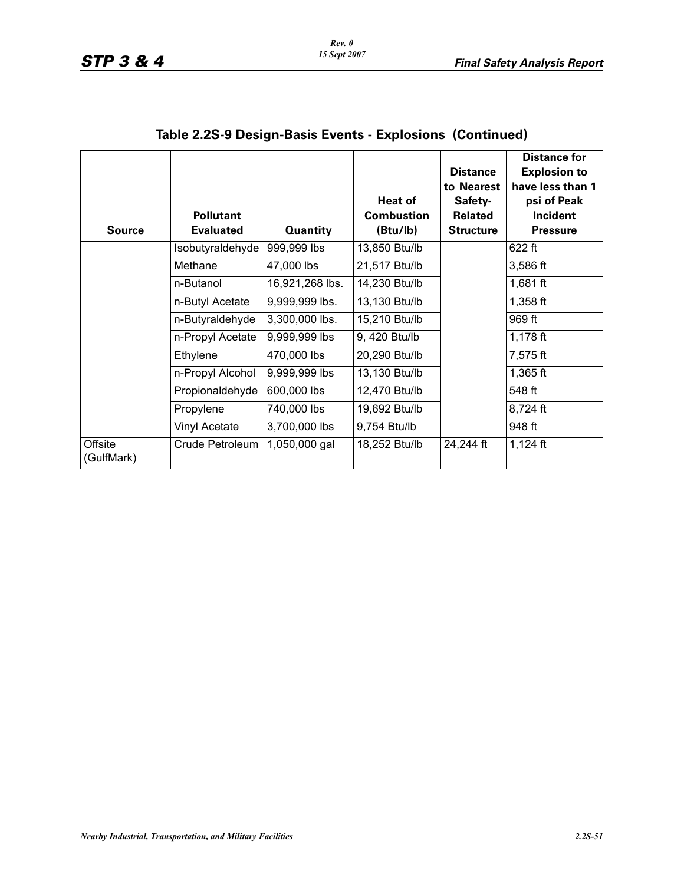| <b>Source</b>         | <b>Pollutant</b><br><b>Evaluated</b> | <b>Quantity</b> | <b>Heat of</b><br><b>Combustion</b><br>(Btu/lb) | <b>Distance</b><br>to Nearest<br>Safety-<br><b>Related</b><br><b>Structure</b> | <b>Distance for</b><br><b>Explosion to</b><br>have less than 1<br>psi of Peak<br>Incident<br><b>Pressure</b> |
|-----------------------|--------------------------------------|-----------------|-------------------------------------------------|--------------------------------------------------------------------------------|--------------------------------------------------------------------------------------------------------------|
|                       | Isobutyraldehyde                     | 999,999 lbs     | 13,850 Btu/lb                                   |                                                                                | $622$ ft                                                                                                     |
|                       | Methane                              | 47,000 lbs      | 21,517 Btu/lb                                   |                                                                                | 3,586 ft                                                                                                     |
|                       | n-Butanol                            | 16,921,268 lbs. | 14,230 Btu/lb                                   |                                                                                | 1,681 $ft$                                                                                                   |
|                       | n-Butyl Acetate                      | 9,999,999 lbs.  | 13,130 Btu/lb                                   |                                                                                | $1,358$ ft                                                                                                   |
|                       | n-Butyraldehyde                      | 3,300,000 lbs.  | 15,210 Btu/lb                                   |                                                                                | 969 ft                                                                                                       |
|                       | n-Propyl Acetate                     | 9,999,999 lbs   | 9, 420 Btu/lb                                   |                                                                                | $1,178$ ft                                                                                                   |
|                       | Ethylene                             | 470,000 lbs     | 20,290 Btu/lb                                   |                                                                                | 7,575 ft                                                                                                     |
|                       | n-Propyl Alcohol                     | 9,999,999 lbs   | 13,130 Btu/lb                                   |                                                                                | $1,365$ ft                                                                                                   |
|                       | Propionaldehyde                      | 600,000 lbs     | 12,470 Btu/lb                                   |                                                                                | 548 ft                                                                                                       |
|                       | Propylene                            | 740,000 lbs     | 19,692 Btu/lb                                   |                                                                                | 8,724 ft                                                                                                     |
|                       | Vinyl Acetate                        | 3,700,000 lbs   | 9,754 Btu/lb                                    |                                                                                | 948 ft                                                                                                       |
| Offsite<br>(GulfMark) | Crude Petroleum                      | 1,050,000 gal   | 18,252 Btu/lb                                   | 24,244 ft                                                                      | $1,124$ ft                                                                                                   |

# **Table 2.2S-9 Design-Basis Events - Explosions (Continued)**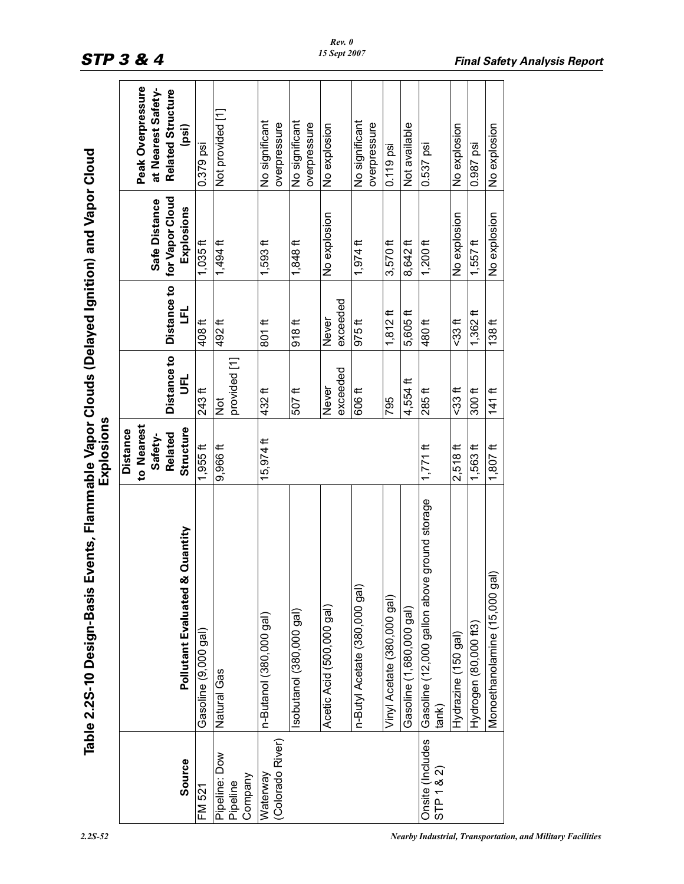| $\frac{1}{3}$<br><b>Choists こうしん</b><br>vie Var<br>- vente Flammer - | L |
|----------------------------------------------------------------------|---|
| hla 2 25-10 Dacinn-Racic Fuant<br>Ś                                  |   |

|                                      | Table 2.2S-10 Design-Basis Events, Flammable Vapor Clouds (Delayed Ignition) and Vapor Cloud | Explosions                                                       |                               |                   |                                                |                                                                              |  |
|--------------------------------------|----------------------------------------------------------------------------------------------|------------------------------------------------------------------|-------------------------------|-------------------|------------------------------------------------|------------------------------------------------------------------------------|--|
| Source                               | Quantity<br>Pollutant Evaluated &                                                            | to Nearest<br>Structure<br><b>Distance</b><br>Related<br>Safety- | Distance to<br>$\vec{5}$      | Distance to<br>립  | for Vapor Cloud<br>Safe Distance<br>Explosions | Peak Overpressure<br>at Nearest Safety-<br><b>Related Structure</b><br>(psi) |  |
| FM 521                               | Gasoline (9,000 gal)                                                                         | $1,955$ ft                                                       | $243$ ft                      | 408ft             | $1,035$ ft                                     | $0.379$ psi                                                                  |  |
| Pipeline: Dow<br>Company<br>Pipeline | Natural Gas                                                                                  | 9,966 ft                                                         | provided [1]<br>$\frac{5}{2}$ | 492 <sup>ft</sup> | $1,494$ ft                                     | Not provided [1]                                                             |  |
| (Colorado River)<br>Waterway         | n-Butanol (380,000 gal)                                                                      | $15,974$ ft                                                      | 432ft                         | $801$ ft          | $1,593$ ft                                     | No significant<br>overpressure                                               |  |
|                                      | sobutanol (380,000 gal)                                                                      |                                                                  | 507 <sup>ft</sup>             | 918 <sup>ft</sup> | $1,848$ ft                                     | No significant<br>overpressure                                               |  |
|                                      | Acetic Acid (500,000 gal)                                                                    |                                                                  | exceeded<br>Never             | exceeded<br>Never | No explosion                                   | No explosion                                                                 |  |
|                                      | n-Butyl Acetate (380,000 gal)                                                                |                                                                  | 606ft                         | 975 <sup>ft</sup> | $1,974$ ft                                     | No significant<br>overpressure                                               |  |
|                                      | Vinyl Acetate (380,000 gal)                                                                  |                                                                  | 795                           | $1,812$ ft        | $3,570$ ft                                     | $0.119$ psi                                                                  |  |
|                                      | Gasoline (1,680,000 gal)                                                                     |                                                                  | 4,554ft                       | 5,605ft           | 8,642 ft                                       | Not available                                                                |  |
| Onsite (Includes<br>STP 1 8 2        | ground storage<br>Gasoline (12,000 gallon above<br>tank)                                     | $1,771$ ft                                                       | 285ft                         | 480 ft            | $1,200$ ft                                     | 0.537 psi                                                                    |  |
|                                      | Hydrazine (150 gal)                                                                          | $2,518$ ft                                                       | <33 ft                        | -33 ft            | No explosion                                   | No explosion                                                                 |  |
|                                      | Hydrogen (80,000 ft3)                                                                        | $1,563$ ft                                                       | 300 <sup>ft</sup>             | $1,362$ ft        | $1,557$ ft                                     | 0.987 psi                                                                    |  |
|                                      | Monoethanolamine (15,000 gal                                                                 | $1,807$ ft                                                       | $141$ ft                      | 138 <sup>ft</sup> | No explosion                                   | No explosion                                                                 |  |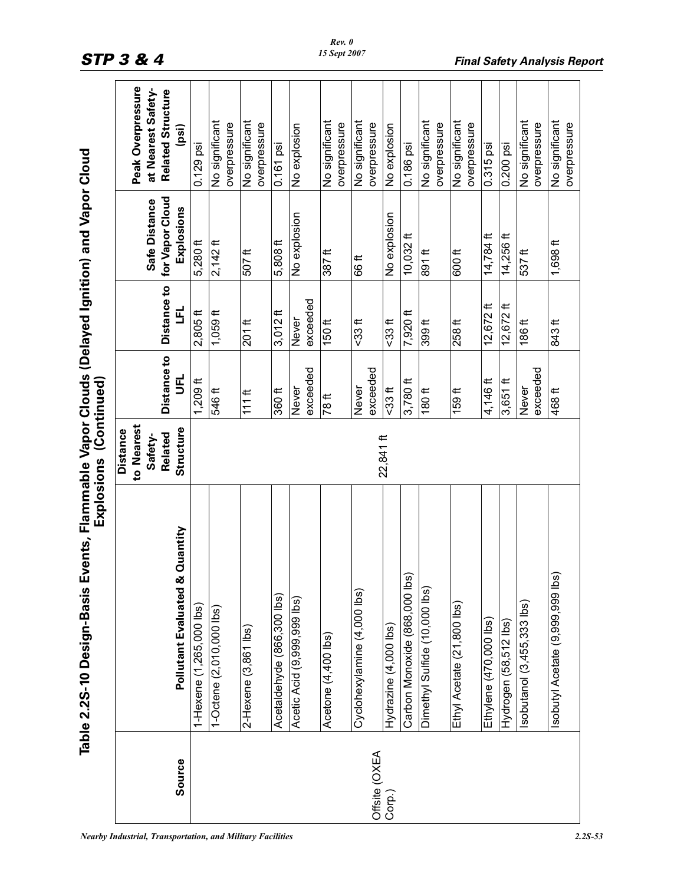|                         | in ain na li              |                   |
|-------------------------|---------------------------|-------------------|
|                         |                           |                   |
|                         | antion and Nanc           |                   |
|                         |                           |                   |
|                         | <b>こっこつこ</b><br>ĺ         |                   |
|                         |                           |                   |
|                         | .its, Flamm               | Fxplosions (Conti |
| <b>CALON</b><br>ם<br>הא | sis Event.<br>able 2.2S-1 |                   |
|                         |                           |                   |

|               |                                   | Explosions (Continued)                   |                               |                          |                               |                                         |
|---------------|-----------------------------------|------------------------------------------|-------------------------------|--------------------------|-------------------------------|-----------------------------------------|
|               |                                   | to Nearest<br><b>Distance</b><br>Safety- |                               |                          | Safe Distance                 | Peak Overpressure<br>at Nearest Safety- |
| Source        | Quantity<br>Pollutant Evaluated & | Structure<br><b>Related</b>              | <b>Distance to</b><br>มี<br>ว | Distance to<br><u>یا</u> | for Vapor Cloud<br>Explosions | <b>Related Structure</b><br>(psi)       |
|               | 1-Hexene (1,265,000 lbs)          |                                          | $1,209$ ft                    | $2,805$ ft               | 5,280 ft                      | $0.129$ psi                             |
|               | 1-Octene (2,010,000 lbs)          |                                          | 546 ft                        | $1,059$ ft               | $2,142$ ft                    | No significant<br>overpressure          |
|               | 2-Hexene (3,861 lbs)              |                                          | $111$ ft                      | $201$ ft                 | 507 <sup>ft</sup>             | No significant<br>overpressure          |
|               | Acetaldehyde (866,300 lbs)        |                                          | 360ft                         | $3,012$ ft               | 5,808 ft                      | $0.161$ psi                             |
|               | Acetic Acid (9,999,999 lbs)       |                                          | exceeded<br><b>Never</b>      | exceeded<br><b>Never</b> | No explosion                  | No explosion                            |
|               | Acetone (4,400 lbs)               |                                          | 78 ft                         | $150$ ft                 | 387 <sup>ft</sup>             | No significant<br>overpressure          |
| Offsite (OXEA | Cyclohexylamine (4,000 lbs)       |                                          | exceeded<br>Never             | $-33$ ft                 | 66 ft                         | No significant<br>overpressure          |
| Corp.)        | Hydrazine (4,000 lbs)             | 22,841 ft                                | $533$ ft                      | $-33$ ft                 | No explosion                  | No explosion                            |
|               | Carbon Monoxide (868,000 lbs)     |                                          | $3,780$ ft                    | 7,920 ft                 | 10,032 ft                     | 0.186 psi                               |
|               | Dimethyl Sulfide (10,000 lbs)     |                                          | 180ft                         | 399 <sup>ft</sup>        | 891ft                         | No significant<br>overpressure          |
|               | Ethyl Acetate (21,800 lbs)        |                                          | 159ft                         | $258 \text{ ft}$         | 600ft                         | No significant<br>overpressure          |
|               | Ethylene (470,000 lbs)            |                                          | 4,146 ft                      | $12,672$ ft              | 14,784 ft                     | 0.315 psi                               |
|               | Hydrogen (58,512 lbs)             |                                          | $3,651$ ft                    | $12,672$ ft              | $14,256$ ft                   | 0.200 psi                               |
|               | Isobutanol (3,455,333 lbs)        |                                          | exceeded<br>Never             | 186 ft                   | 537ft                         | No significant<br>overpressure          |
|               | Isobutyl Acetate (9,999,999 lbs)  |                                          | 468 ft                        | 843 ft                   | $1,698$ ft                    | No significant<br>overpressure          |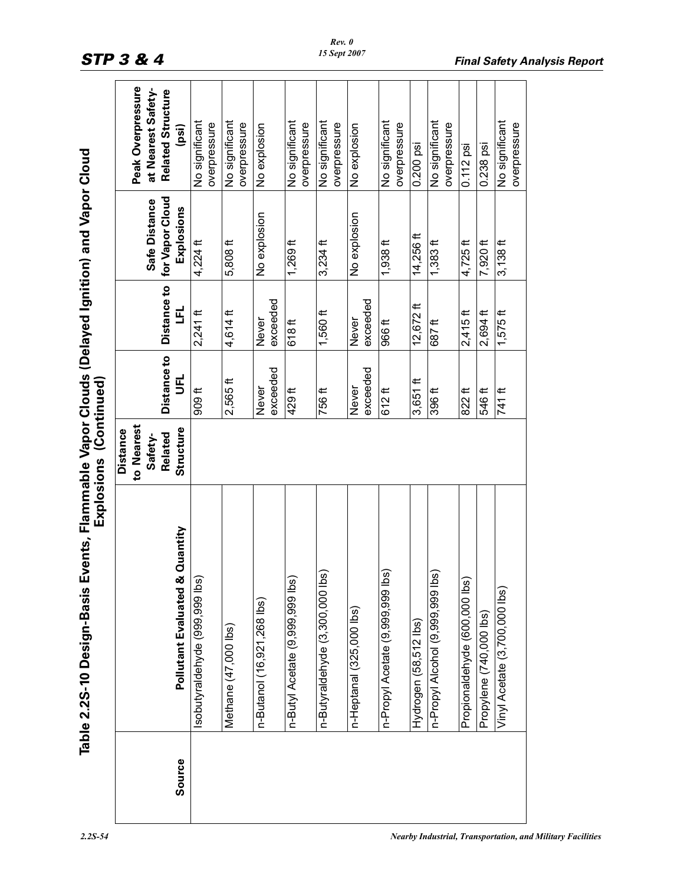| <b>NAME</b>                            |  |
|----------------------------------------|--|
|                                        |  |
|                                        |  |
|                                        |  |
| l                                      |  |
|                                        |  |
| וא האי הא<br>Ī,                        |  |
| $\epsilon$<br>)<br>;<br>;<br>in Europe |  |
| $\overline{\phantom{a}}$               |  |
| ۔<br>پا<br>こうこうこう<br>うつう               |  |

| Source | Quantity<br>Pollutant Evaluated & | to Nearest<br>Structure<br><b>Distance</b><br>Related<br>Safety- | <b>Distance to</b><br>้<br>5 | Distance to<br>E, | for Vapor Cloud<br>Safe Distance<br>Explosions | Peak Overpressure<br>at Nearest Safety-<br><b>Related Structure</b><br>(psi) |
|--------|-----------------------------------|------------------------------------------------------------------|------------------------------|-------------------|------------------------------------------------|------------------------------------------------------------------------------|
|        | sobutyraldehyde (999,999 lbs)     |                                                                  | 909 <sup>th</sup>            | $2,241$ ft        | $4,224$ ft                                     | No significant<br>overpressure                                               |
|        | Methane (47,000 lbs)              |                                                                  | $2,565$ ft                   | 4,614 ft          | $5,808$ ft                                     | No significant<br>overpressure                                               |
|        | n-Butanol (16,921,268 lbs)        |                                                                  | exceeded<br>Never            | exceeded<br>Never | No explosion                                   | No explosion                                                                 |
|        | n-Butyl Acetate (9,999,999 lbs)   |                                                                  | 429ft                        | 618ft             | $1,269$ ft                                     | No significant<br>overpressure                                               |
|        | n-Butyraldehyde (3,300,000 lbs)   |                                                                  | 756 ft                       | $1,560$ ft        | $3,234$ ft                                     | No significant<br>overpressure                                               |
|        | n-Heptanal (325,000 lbs)          |                                                                  | exceeded<br><b>Never</b>     | exceeded<br>Never | No explosion                                   | No explosion                                                                 |
|        | n-Propyl Acetate (9,999,999 lbs   |                                                                  | $612$ ft                     | 966 <sup>ft</sup> | $1,938$ ft                                     | No significant<br>overpressure                                               |
|        | Hydrogen (58,512 lbs)             |                                                                  | $3,651$ ft                   | $12,672$ ft       | 14,256 ft                                      | 0.200 psi                                                                    |
|        | n-Propyl Alcohol (9,999,999 lbs)  |                                                                  | 396 ft                       | 687ft             | $1,383$ ft                                     | No significant<br>overpressure                                               |
|        | Propionaldehyde (600,000 lbs)     |                                                                  | 822 ft                       | $2,415$ ft        | $4,725$ ft                                     | $0.112$ psi                                                                  |
|        | Propylene (740,000 lbs)           |                                                                  | 546 ft                       | $2,694$ ft        | 7,920 ft                                       | 0.238 psi                                                                    |
|        | Vinyl Acetate (3,700,000 lbs)     |                                                                  | 741 ft                       | $1,575$ ft        | $3,138$ ft                                     | No significant<br>overpressure                                               |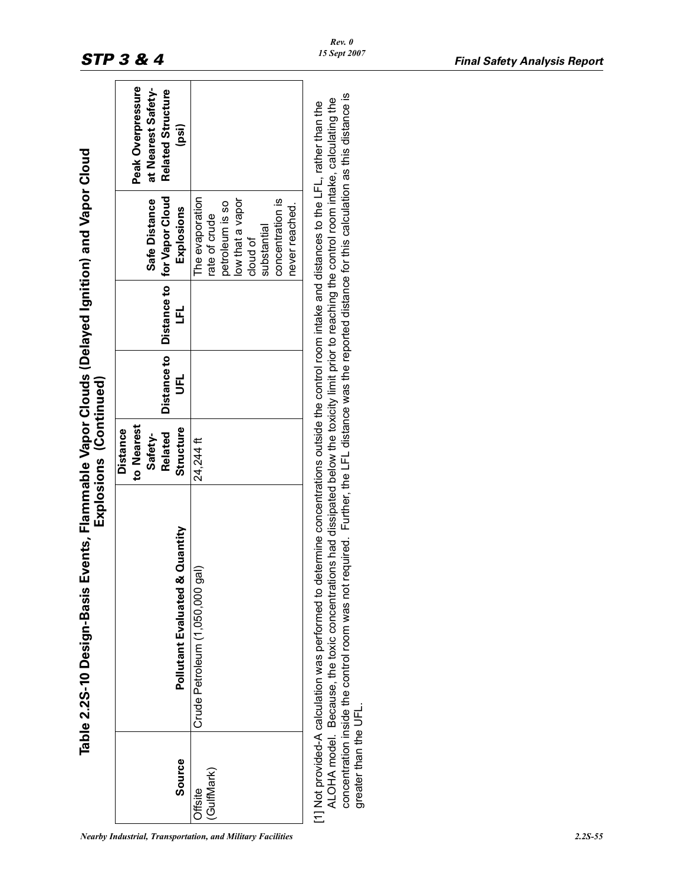|                       | Events, Flammable Vapor Clouds (Delayed Ignition) and Vapor Cloud<br>Table 2.2S-10 Design-Basis                                                                                                                                                                                                                                                                                                                                                                   | Explosions (Continued)                                                  |                        |        |                                                                                                                                          |                                                                       |
|-----------------------|-------------------------------------------------------------------------------------------------------------------------------------------------------------------------------------------------------------------------------------------------------------------------------------------------------------------------------------------------------------------------------------------------------------------------------------------------------------------|-------------------------------------------------------------------------|------------------------|--------|------------------------------------------------------------------------------------------------------------------------------------------|-----------------------------------------------------------------------|
| Source                | & Quantity<br>Pollutant<br>Evaluated                                                                                                                                                                                                                                                                                                                                                                                                                              | to Nearest<br>Structure<br><b>Distance</b><br><b>Related</b><br>Safety- | Distance to<br>รี<br>5 | r<br>F | Distance to for Vapor Cloud<br>Safe Distance<br>Explosions                                                                               | Peak Overpressure<br>at Nearest Safety-<br>Related Structure<br>(psi) |
| (GulfMark)<br>Offsite | Crude Petroleum (1,050,000 gal)                                                                                                                                                                                                                                                                                                                                                                                                                                   | 24,244 ft                                                               |                        |        | The evaporation<br>low that a vapor<br>concentration is<br>petroleum is so<br>never reached.<br>rate of crude<br>substantial<br>cloud of |                                                                       |
| greater than the UFL. | concentration inside the control room was not required. Further, the LFL distance was the reported distance for this calculation as this distance is<br>ALOHA model. Because, the toxic concentrations had dissipated below the toxicity limit prior to reaching the control room intake, calculating the<br>determine concentrations outside the control room intake and distances to the LFL, rather than the<br>1] Not provided-A calculation was performed to |                                                                         |                        |        |                                                                                                                                          |                                                                       |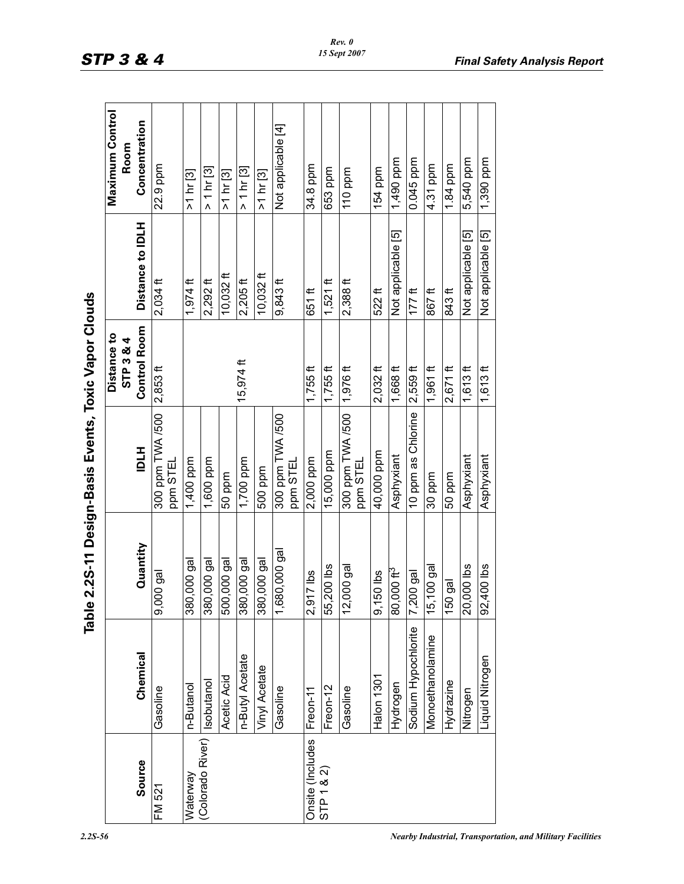|                  | lqel                |                          | e 2.2S-11 Design-Basis Events, Toxic Vapor Clouds |                          |                    |                         |
|------------------|---------------------|--------------------------|---------------------------------------------------|--------------------------|--------------------|-------------------------|
|                  |                     |                          |                                                   | Distance to<br>STP 3 & 4 |                    | Maximum Control<br>Room |
| Source           | Chemical            | Quantity                 | <b>HTD</b>                                        | <b>Control Room</b>      | Distance to IDLH   | Concentration           |
| FM 521           | Gasoline            | ,000 gal<br>တ            | 300 ppm TWA /500<br>ppm STEL                      | 2,853                    | $2,034$ ft         | 22.9 ppm                |
| Waterway         | n-Butanol           | 380,000 gal              | 1,400 ppm                                         |                          | $1,974$ ft         | >1 hr [3]               |
| (Colorado River) | Isobutanol          | 380,000 gal              | 1,600 ppm                                         |                          | $2,292$ ft         | $> 1 \text{ hr}$ [3]    |
|                  | Acetic Acid         | 500,000 gal              | 50 ppm                                            |                          | 10,032 ft          | >1 hr [3]               |
|                  | n-Butyl Acetate     | 380,000 gal              | 1,700 ppm                                         | $15,974$ ft              | $2,205$ ft         | $> 1$ hr [3]            |
|                  | Vinyl Acetate       | 380,000 gal              | 500 ppm                                           |                          | $10,032$ ft        | >1 hr [3]               |
|                  | Gasoline            | .680,000 gal<br>᠇        | 300 ppm TWA /500<br>ppm STEL                      |                          | $9,843$ ft         | Not applicable [4]      |
| Onsite (Includes | Freon-11            | 2,917 lbs                | 2,000 ppm                                         | $1,755$ ft               | 651 ft             | 34.8 ppm                |
| STP 1 8 2        | Freon-12            | 55,200 lbs               | 15,000 ppm                                        | $1,755$ ft               | $1,521$ ft         | 653 ppm                 |
|                  | Gasoline            | 2,000 gal<br>↽           | 300 ppm TWA /500<br>ppm STEL                      | 1,976 ft                 | $2,388$ ft         | 110 ppm                 |
|                  | Halon 1301          | 9,150 lbs                | 40,000 ppm                                        | $2,032$ ft               | 522 ft             | 154 ppm                 |
|                  | Hydrogen            | 80,000 $\mathrm{ft}^{3}$ | Asphyxiant                                        | 1,668 ft                 | Not applicable [5] | 1,490 ppm               |
|                  | Sodium Hypochlorite | $.200$ gal<br>N          | 10 ppm as Chlorine                                | $2,559$ ft               | $177$ ft           | 0.045 ppm               |
|                  | Monoethanolamine    | 5,100 gal<br>↽           | 30 ppm                                            | $1,961$ ft               | 867 ft             | 4.31 ppm                |
|                  | Hydrazine           | 50 gal                   | 50 ppm                                            | $2,671$ ft               | 843 ft             | 1.84 ppm                |
|                  | Nitrogen            | 20,000 lbs               | Asphyxiant                                        | $1,613$ ft               | Not applicable [5] | 5,540 ppm               |
|                  | Liquid Nitrogen     | 92,400 lbs               | Asphyxiant                                        | $1,613$ ft               | Not applicable [5] | 1,390 ppm               |

| $\overline{\phantom{a}}$<br>i<br>ּי               |
|---------------------------------------------------|
| )<br>Si<br>Į                                      |
| $\frac{1}{2}$                                     |
| ׇ֧֧֧֧֧֧֧֧֧֧֝֓֝֓֝֓֝֓֝֬֝֓֓֝֓֝֓֓֝֬֝֓֝֬֝֓֓֝֬֝֓֓֝<br>׆ |
| <b>Pacion-h</b><br>)                              |
| こち ひらり                                            |
| $\frac{1}{2}$<br>-<br>                            |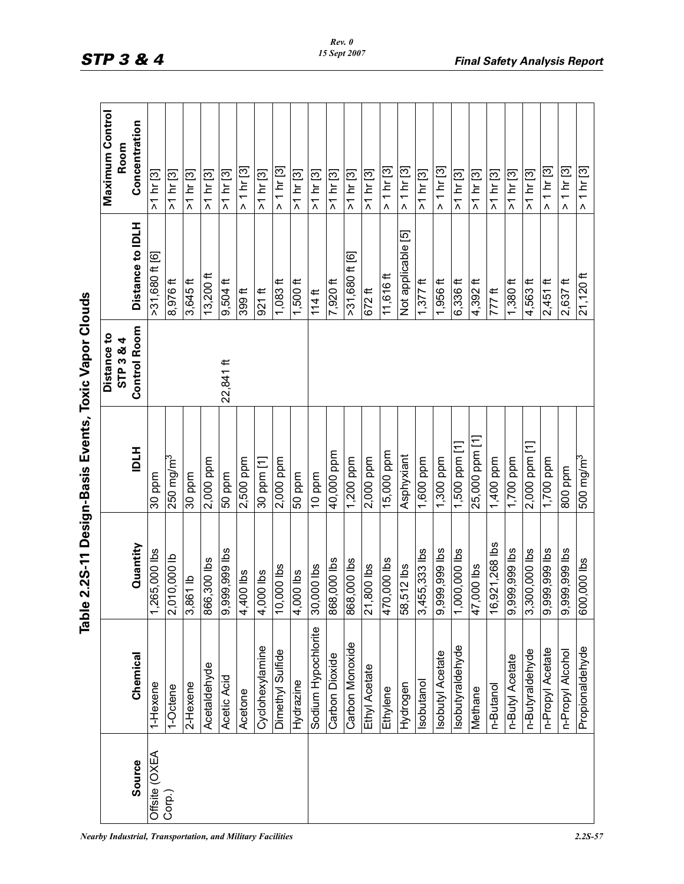|                                                   | <b>Maximum Control</b><br>Room | Concentration       | >1 hr [3]                               | >1 hr [3]                              | >1 hr [3]  | >1 hr [3]    | >1 hr [3]         | $> 1$ hr [3]      | >1 hr [3]       | $> 1$ hr [3]            | >1 hr [3]     | >1 hr [3]           | $>1$ hr [3]    | >1 hr [3]       | $>1$ hr [3]              | $> 1 \text{ hr}$ [3] | $> 1 \text{ hr}$ [3] | >1 hr [3]         | $> 1 \text{ hr}$ [3]   | $>1$ hr [3]                              | >1 hr [3]            | $>1$ hr [3]   | $>1$ hr [3]       | >1 hr [3]         | $> 1$ hr [3]             | > 1 hr [3]       | $> 1$ hr [3]          |
|---------------------------------------------------|--------------------------------|---------------------|-----------------------------------------|----------------------------------------|------------|--------------|-------------------|-------------------|-----------------|-------------------------|---------------|---------------------|----------------|-----------------|--------------------------|----------------------|----------------------|-------------------|------------------------|------------------------------------------|----------------------|---------------|-------------------|-------------------|--------------------------|------------------|-----------------------|
|                                                   |                                |                     |                                         |                                        |            |              |                   |                   |                 |                         |               |                     |                |                 |                          |                      |                      |                   |                        |                                          |                      |               |                   |                   |                          |                  |                       |
|                                                   |                                | Distance to IDLH    | $>31,680$ ft [6]                        | 8,976 ft                               | $3,645$ ft | $13,200$ ft  | $9,504$ ft        | 399 <sup>ft</sup> | $921$ ft        | $1,083$ ft              | $1,500$ ft    | $114$ ft            | 7,920 ft       | >31,680 ft [6]  | $672$ ft                 | 11,616 ft            | Not applicable [5]   | $1,377$ ft        | 1,956 ft               | $6,336$ ft                               | $4,392$ ft           | 777 ft        | $1,380$ ft        | 4,563 ft          | $2,451$ ft               | $2,637$ ft       | $21,120$ ft           |
|                                                   | Distance to<br>STP 3 & 4       | <b>Control Room</b> |                                         |                                        |            |              | 22,841 ft         |                   |                 |                         |               |                     |                |                 |                          |                      |                      |                   |                        |                                          |                      |               |                   |                   |                          |                  |                       |
| e 2.2S-11 Design-Basis Events, Toxic Vapor Clouds |                                | <b>IDLH</b>         | 30 ppm                                  | $250$ mg/m $^3$                        | 30 ppm     | 2,000 ppm    | 50 ppm            | 2,500 ppm         | 30 ppm [1]      | $\overline{2}$ ,000 ppm | 50 ppm        | 10 ppm              | 40,000 ppm     | 1,200 ppm       | 2,000 ppm                | $15,000$ ppm         | Asphyxiant           | 1,600 ppm         | $\overline{1,300}$ ppm | 1,500 ppm [1]                            | 25,000 ppm [1        | $1,400$ ppm   | 1,700 ppm         | 2,000 ppm [1]     | $1,700$ ppm              | 800 ppm          | 500 mg/m <sup>3</sup> |
|                                                   |                                | Quantity            | 265,000 lbs<br>$\overline{\phantom{0}}$ | ,010,000 lb<br>$\overline{\mathsf{N}}$ | 3,861 lb   | 866,300 lbs  | ,999,999 lbs<br>တ | $400$ lbs<br>4    | ,000 lbs<br>4   | 0,000 lbs<br>᠇          | ,000 lbs<br>4 | $30,000$ lbs        | 868,000 lbs    | 868,000 lbs     | $\overline{21}$ ,800 lbs | 70,000 lbs<br>4      | 58,512 lbs           | ,455,333 lbs<br>က | 9,999,999 lbs          | sql 000'000'<br>$\overline{\phantom{0}}$ | <b>z</b> 000, 7<br>4 | 6,921,268 lbs | ,999,999 lbs<br>တ | ,300,000 lbs<br>က | sql 666'666'<br>$\infty$ | 999,999 lbs<br>တ | 600,000 lbs           |
| 읾                                                 |                                | Chemical            | 1-Hexene                                | <b>-Octene</b>                         | 2-Hexene   | Acetaldehyde | Acetic Acid       | Acetone           | Cyclohexylamine | Dimethyl Sulfide        | Hydrazine     | Sodium Hypochlorite | Carbon Dioxide | Carbon Monoxide | Ethyl Acetate            | Ethylene             | Hydrogen             | sobutanol         | sobutyl Acetate        | sobutyraldehyde                          | Methane              | n-Butanol     | n-Butyl Acetate   | n-Butyraldehyde   | n-Propyl Acetate         | n-Propyl Alcohol | Propionaldehyde       |
|                                                   |                                | Source              | Offsite (OXEA                           | Corp.)                                 |            |              |                   |                   |                 |                         |               |                     |                |                 |                          |                      |                      |                   |                        |                                          |                      |               |                   |                   |                          |                  |                       |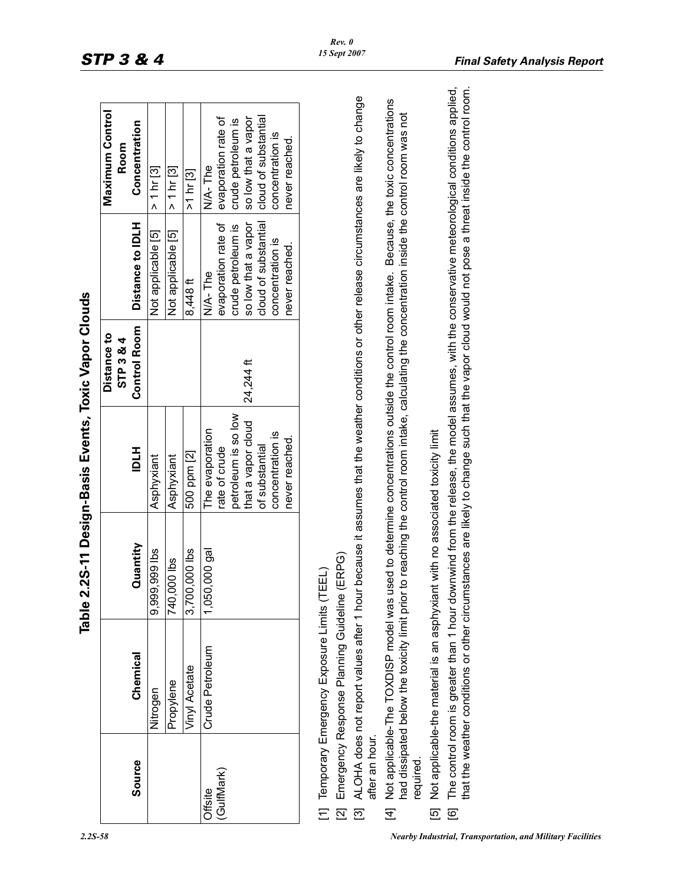|                |                                                                                                                                                  | Table 2.2S-11 Design-Basis Events, Toxic Vapor Clouds |                                      |                                                 |                                             |                                                                                                                                                                                                                                                                                                      |
|----------------|--------------------------------------------------------------------------------------------------------------------------------------------------|-------------------------------------------------------|--------------------------------------|-------------------------------------------------|---------------------------------------------|------------------------------------------------------------------------------------------------------------------------------------------------------------------------------------------------------------------------------------------------------------------------------------------------------|
| Source         | Chemical                                                                                                                                         | Quantity                                              | <b>HTD</b>                           | <b>Control Room</b><br>Distance to<br>STP 3 & 4 | Distance to IDLH                            | Maximum Control<br>Concentration<br>Room                                                                                                                                                                                                                                                             |
|                | Nitrogen                                                                                                                                         | 9,999,999 lbs                                         | Asphyxiant                           |                                                 | Not applicable [5]                          | > 1 hr [3]                                                                                                                                                                                                                                                                                           |
|                | Propylene                                                                                                                                        | 740,000 lbs                                           | Asphyxiant                           |                                                 | Not applicable [5]                          | > 1 hr [3]                                                                                                                                                                                                                                                                                           |
|                | Vinyl Acetate                                                                                                                                    | 3,700,000 lbs                                         | 500 ppm [2]                          |                                                 | 8,448ft                                     | >1 hr [3]                                                                                                                                                                                                                                                                                            |
| Offsite        | Crude Petroleum                                                                                                                                  | <b>Ieb</b> 000<br>1,050,                              | The evaporation                      |                                                 | N/A-The                                     | N/A-The                                                                                                                                                                                                                                                                                              |
| (GulfMark)     |                                                                                                                                                  |                                                       | rate of crude                        |                                                 | evaporation rate of                         | evaporation rate of                                                                                                                                                                                                                                                                                  |
|                |                                                                                                                                                  |                                                       | petroleum is so low                  |                                                 | crude petroleum is                          | crude petroleum is                                                                                                                                                                                                                                                                                   |
|                |                                                                                                                                                  |                                                       | that a vapor cloud<br>of substantial | 24,244 ft                                       | cloud of substantial<br>so low that a vapor | so low that a vapor<br>cloud of substantial                                                                                                                                                                                                                                                          |
|                |                                                                                                                                                  |                                                       | concentration is                     |                                                 | concentration is                            | concentration is                                                                                                                                                                                                                                                                                     |
|                |                                                                                                                                                  |                                                       | never reached.                       |                                                 | never reached.                              | never reached.                                                                                                                                                                                                                                                                                       |
|                | [1] Temporary Emergency Exposure Limits (TE                                                                                                      | $\Xi$                                                 |                                      |                                                 |                                             |                                                                                                                                                                                                                                                                                                      |
|                | [2] Emergency Response Planning Guideline (ERPG)                                                                                                 |                                                       |                                      |                                                 |                                             |                                                                                                                                                                                                                                                                                                      |
| after an hour. |                                                                                                                                                  |                                                       |                                      |                                                 |                                             | [3] ALOHA does not report values after 1 hour because it assumes that the weather conditions or other release circumstances are likely to change                                                                                                                                                     |
| required.      | had dissipated below the toxicity limit prior to reaching the control room intake, calculating the concentration inside the control room was not |                                                       |                                      |                                                 |                                             | [4] Not applicable-The TOXDISP model was used to determine concentrations outside the control room intake. Because, the toxic concentrations                                                                                                                                                         |
|                | [5] Not applicable-the material is an asphyxiant with no associated toxicity limit                                                               |                                                       |                                      |                                                 |                                             |                                                                                                                                                                                                                                                                                                      |
| .<br>ල         |                                                                                                                                                  |                                                       |                                      |                                                 |                                             | that the weather conditions or other circumstances are likely to change such that the vapor cloud would not pose a threat inside the control room.<br>The control room is greater than 1 hour downwind from the release, the model assumes, with the conservative meteorological conditions applied, |

- 
-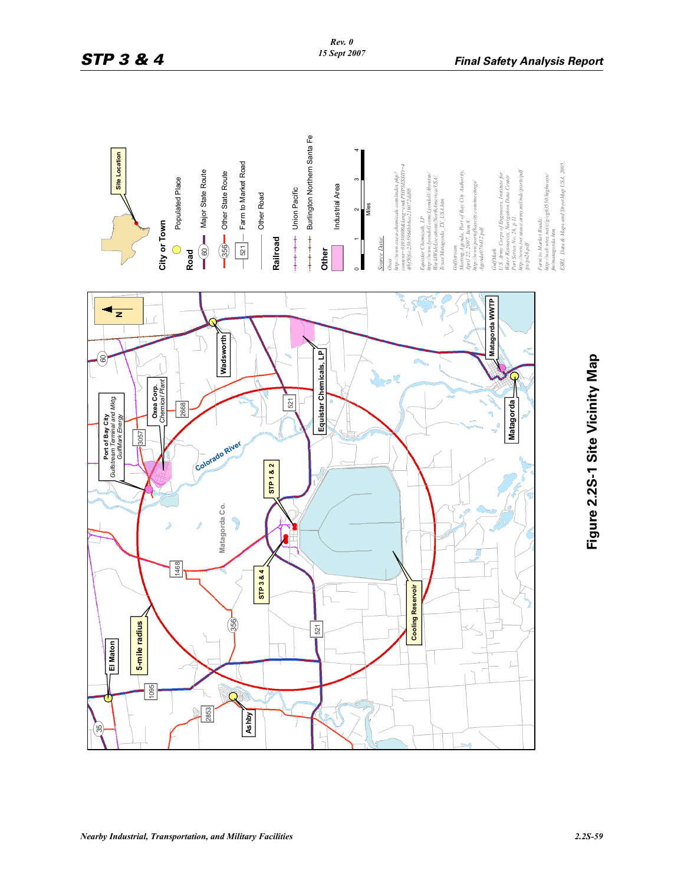

# Figure 2.2S-1 Site Vicinity Map **Figure 2.2S-1 Site Vicinity Map**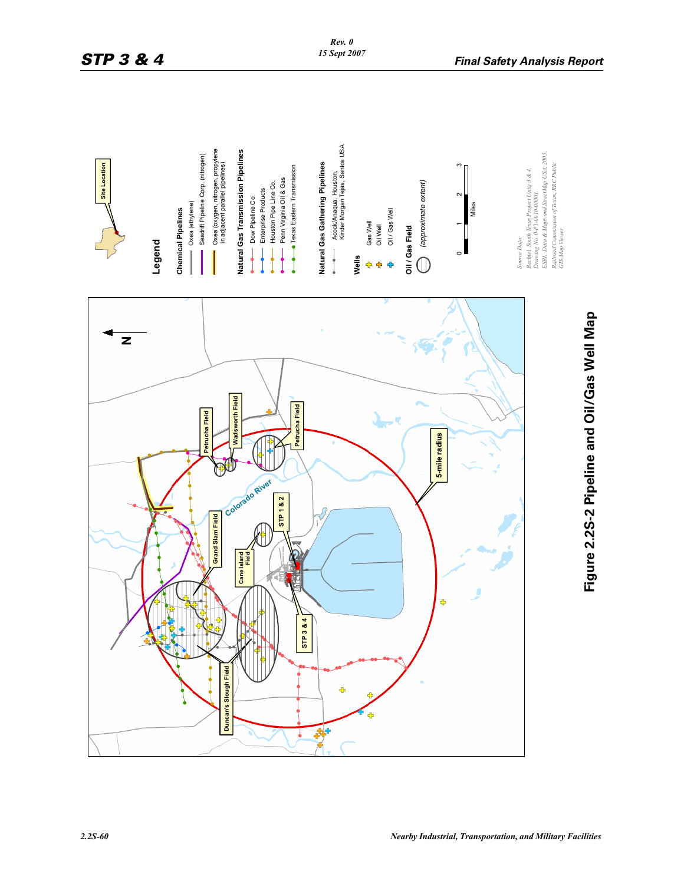

# **Figure 2.2S-2 Pipeline and Oil/Gas Well Map**  Figure 2.2S-2 Pipeline and Oil/Gas Well Map